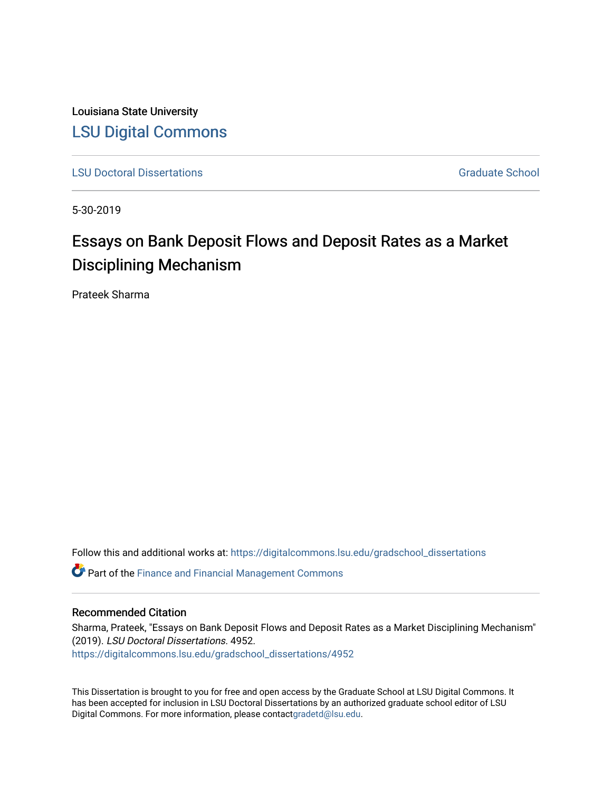Louisiana State University [LSU Digital Commons](https://digitalcommons.lsu.edu/)

[LSU Doctoral Dissertations](https://digitalcommons.lsu.edu/gradschool_dissertations) Graduate School

5-30-2019

# Essays on Bank Deposit Flows and Deposit Rates as a Market Disciplining Mechanism

Prateek Sharma

Follow this and additional works at: [https://digitalcommons.lsu.edu/gradschool\\_dissertations](https://digitalcommons.lsu.edu/gradschool_dissertations?utm_source=digitalcommons.lsu.edu%2Fgradschool_dissertations%2F4952&utm_medium=PDF&utm_campaign=PDFCoverPages)

**C** Part of the Finance and Financial Management Commons

#### Recommended Citation

Sharma, Prateek, "Essays on Bank Deposit Flows and Deposit Rates as a Market Disciplining Mechanism" (2019). LSU Doctoral Dissertations. 4952. [https://digitalcommons.lsu.edu/gradschool\\_dissertations/4952](https://digitalcommons.lsu.edu/gradschool_dissertations/4952?utm_source=digitalcommons.lsu.edu%2Fgradschool_dissertations%2F4952&utm_medium=PDF&utm_campaign=PDFCoverPages)

This Dissertation is brought to you for free and open access by the Graduate School at LSU Digital Commons. It has been accepted for inclusion in LSU Doctoral Dissertations by an authorized graduate school editor of LSU Digital Commons. For more information, please contac[tgradetd@lsu.edu.](mailto:gradetd@lsu.edu)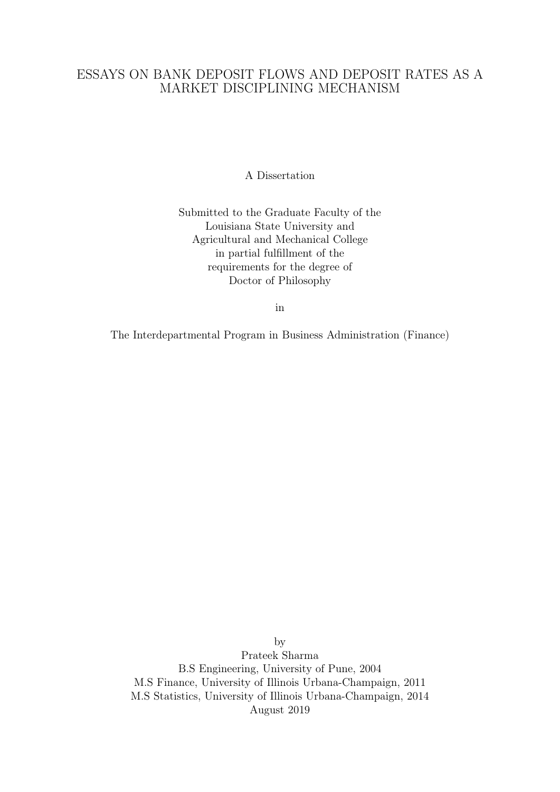## ESSAYS ON BANK DEPOSIT FLOWS AND DEPOSIT RATES AS A MARKET DISCIPLINING MECHANISM

A Dissertation

Submitted to the Graduate Faculty of the Louisiana State University and Agricultural and Mechanical College in partial fulfillment of the requirements for the degree of Doctor of Philosophy

in

The Interdepartmental Program in Business Administration (Finance)

by Prateek Sharma B.S Engineering, University of Pune, 2004 M.S Finance, University of Illinois Urbana-Champaign, 2011 M.S Statistics, University of Illinois Urbana-Champaign, 2014 August 2019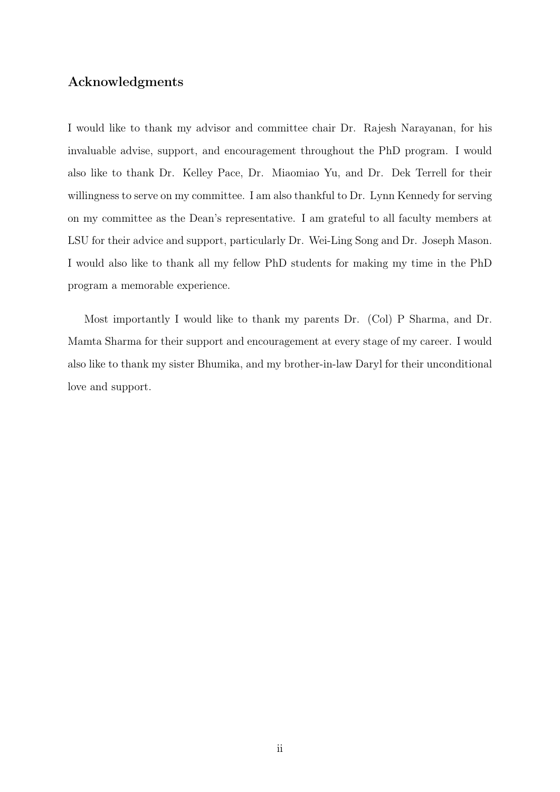## Acknowledgments

I would like to thank my advisor and committee chair Dr. Rajesh Narayanan, for his invaluable advise, support, and encouragement throughout the PhD program. I would also like to thank Dr. Kelley Pace, Dr. Miaomiao Yu, and Dr. Dek Terrell for their willingness to serve on my committee. I am also thankful to Dr. Lynn Kennedy for serving on my committee as the Dean's representative. I am grateful to all faculty members at LSU for their advice and support, particularly Dr. Wei-Ling Song and Dr. Joseph Mason. I would also like to thank all my fellow PhD students for making my time in the PhD program a memorable experience.

Most importantly I would like to thank my parents Dr. (Col) P Sharma, and Dr. Mamta Sharma for their support and encouragement at every stage of my career. I would also like to thank my sister Bhumika, and my brother-in-law Daryl for their unconditional love and support.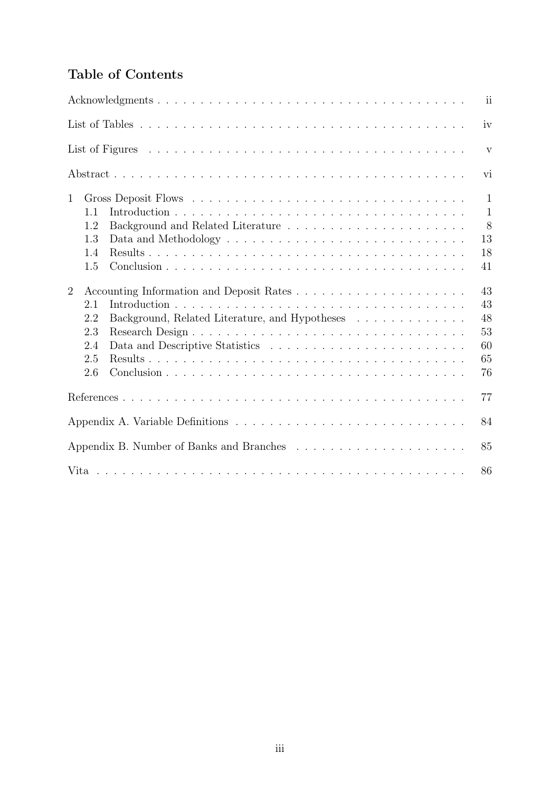## Table of Contents

|                |     |                                                                              | $\overline{\mathbf{ii}}$ |
|----------------|-----|------------------------------------------------------------------------------|--------------------------|
|                |     |                                                                              | iv                       |
|                |     |                                                                              | $\mathbf{V}$             |
|                |     |                                                                              | vi                       |
| $\mathbf{1}$   |     |                                                                              | $\mathbf{1}$             |
|                | 1.1 |                                                                              | $\mathbf{1}$             |
|                | 1.2 |                                                                              | 8                        |
|                | 1.3 |                                                                              | 13                       |
|                | 1.4 |                                                                              | 18                       |
|                | 1.5 |                                                                              | 41                       |
| $\overline{2}$ |     |                                                                              | 43                       |
|                | 2.1 |                                                                              | 43                       |
|                | 2.2 | Background, Related Literature, and Hypotheses $\ldots \ldots \ldots \ldots$ | 48                       |
|                | 2.3 |                                                                              | 53                       |
|                | 2.4 |                                                                              | 60                       |
|                | 2.5 |                                                                              | 65                       |
|                | 2.6 |                                                                              | 76                       |
|                |     |                                                                              | 77                       |
|                |     |                                                                              | 84                       |
|                |     |                                                                              | 85                       |
|                |     |                                                                              | 86                       |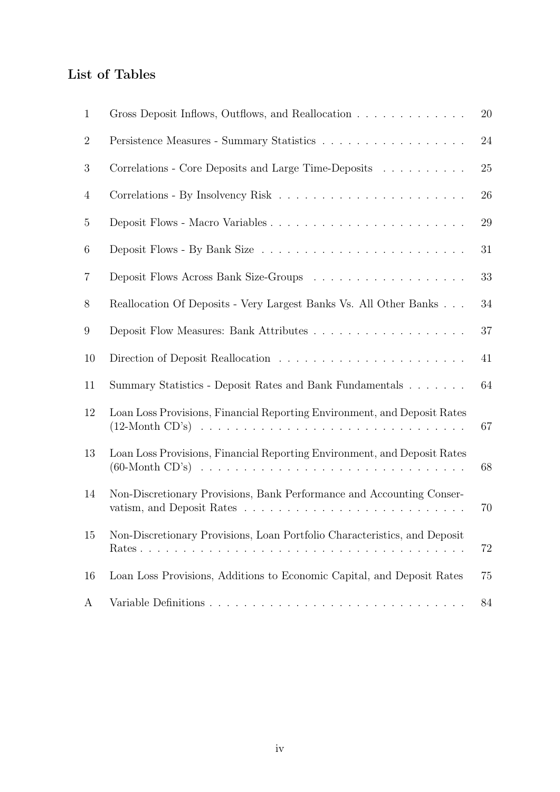## List of Tables

| $\mathbf{1}$    | Gross Deposit Inflows, Outflows, and Reallocation                         | 20 |
|-----------------|---------------------------------------------------------------------------|----|
| $\overline{2}$  |                                                                           | 24 |
| 3               | Correlations - Core Deposits and Large Time-Deposits                      | 25 |
| 4               |                                                                           | 26 |
| 5               |                                                                           | 29 |
| 6               |                                                                           | 31 |
| $\overline{7}$  |                                                                           | 33 |
| 8               | Reallocation Of Deposits - Very Largest Banks Vs. All Other Banks         | 34 |
| $9\phantom{.0}$ |                                                                           | 37 |
| 10              |                                                                           | 41 |
| 11              | Summary Statistics - Deposit Rates and Bank Fundamentals                  | 64 |
| 12              | Loan Loss Provisions, Financial Reporting Environment, and Deposit Rates  | 67 |
| 13              | Loan Loss Provisions, Financial Reporting Environment, and Deposit Rates  | 68 |
| 14              | Non-Discretionary Provisions, Bank Performance and Accounting Conser-     | 70 |
| 15              | Non-Discretionary Provisions, Loan Portfolio Characteristics, and Deposit | 72 |
| 16              | Loan Loss Provisions, Additions to Economic Capital, and Deposit Rates    | 75 |
| A               |                                                                           | 84 |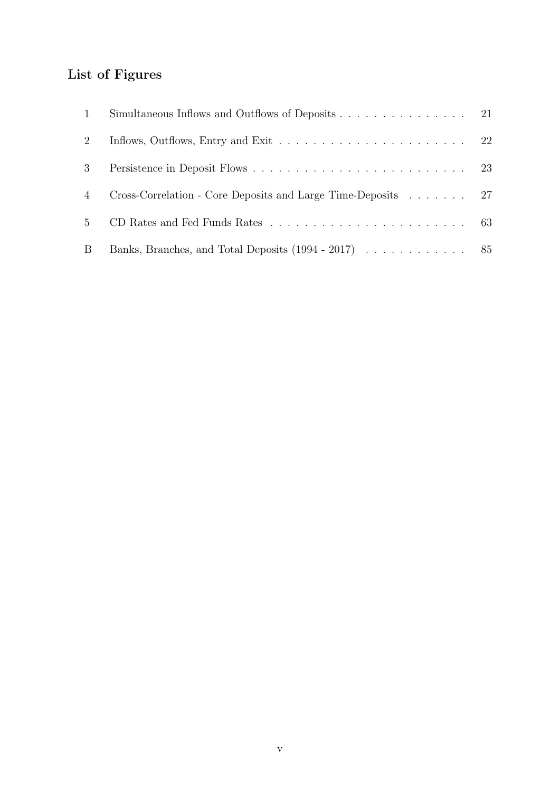# List of Figures

| 1           | Simultaneous Inflows and Outflows of Deposits 21             |  |
|-------------|--------------------------------------------------------------|--|
| 2           |                                                              |  |
| 3           |                                                              |  |
| 4           | Cross-Correlation - Core Deposits and Large Time-Deposits 27 |  |
| $5^{\circ}$ |                                                              |  |
| B           |                                                              |  |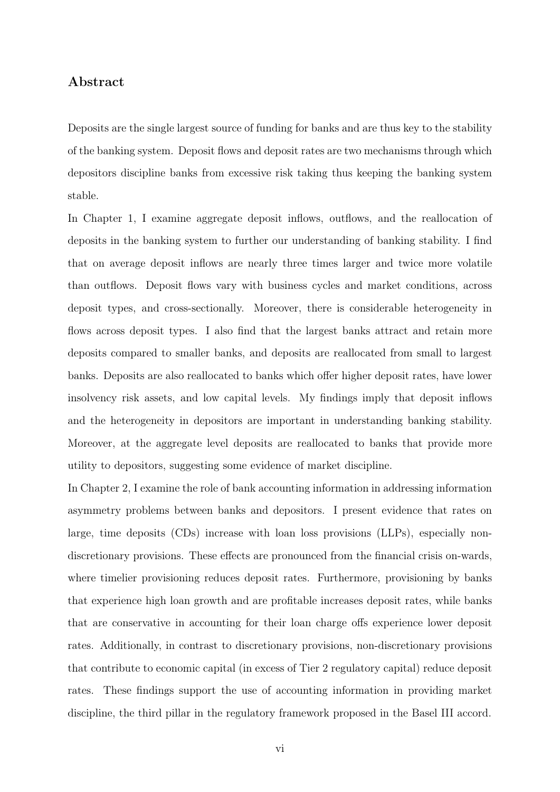### Abstract

Deposits are the single largest source of funding for banks and are thus key to the stability of the banking system. Deposit flows and deposit rates are two mechanisms through which depositors discipline banks from excessive risk taking thus keeping the banking system stable.

In Chapter 1, I examine aggregate deposit inflows, outflows, and the reallocation of deposits in the banking system to further our understanding of banking stability. I find that on average deposit inflows are nearly three times larger and twice more volatile than outflows. Deposit flows vary with business cycles and market conditions, across deposit types, and cross-sectionally. Moreover, there is considerable heterogeneity in flows across deposit types. I also find that the largest banks attract and retain more deposits compared to smaller banks, and deposits are reallocated from small to largest banks. Deposits are also reallocated to banks which offer higher deposit rates, have lower insolvency risk assets, and low capital levels. My findings imply that deposit inflows and the heterogeneity in depositors are important in understanding banking stability. Moreover, at the aggregate level deposits are reallocated to banks that provide more utility to depositors, suggesting some evidence of market discipline.

In Chapter 2, I examine the role of bank accounting information in addressing information asymmetry problems between banks and depositors. I present evidence that rates on large, time deposits (CDs) increase with loan loss provisions (LLPs), especially nondiscretionary provisions. These effects are pronounced from the financial crisis on-wards, where timelier provisioning reduces deposit rates. Furthermore, provisioning by banks that experience high loan growth and are profitable increases deposit rates, while banks that are conservative in accounting for their loan charge offs experience lower deposit rates. Additionally, in contrast to discretionary provisions, non-discretionary provisions that contribute to economic capital (in excess of Tier 2 regulatory capital) reduce deposit rates. These findings support the use of accounting information in providing market discipline, the third pillar in the regulatory framework proposed in the Basel III accord.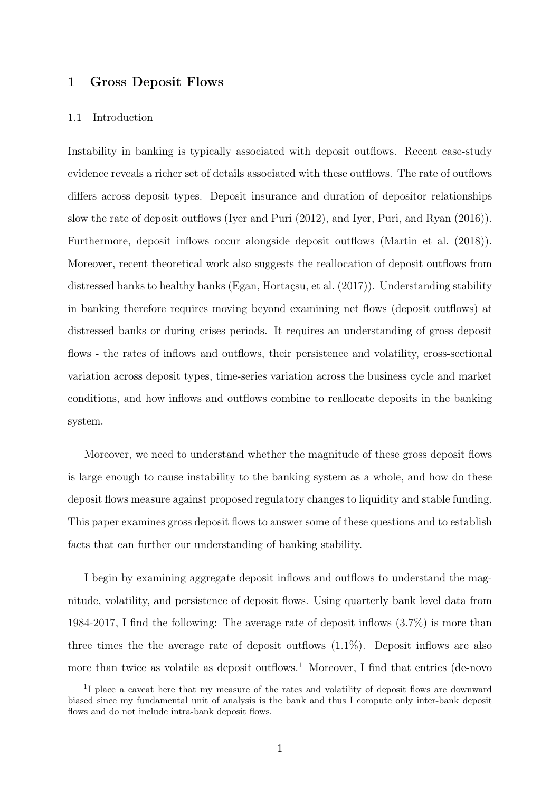### 1 Gross Deposit Flows

#### 1.1 Introduction

Instability in banking is typically associated with deposit outflows. Recent case-study evidence reveals a richer set of details associated with these outflows. The rate of outflows differs across deposit types. Deposit insurance and duration of depositor relationships slow the rate of deposit outflows (Iyer and Puri (2012), and Iyer, Puri, and Ryan (2016)). Furthermore, deposit inflows occur alongside deposit outflows (Martin et al. (2018)). Moreover, recent theoretical work also suggests the reallocation of deposit outflows from distressed banks to healthy banks (Egan, Hortaçsu, et al. (2017)). Understanding stability in banking therefore requires moving beyond examining net flows (deposit outflows) at distressed banks or during crises periods. It requires an understanding of gross deposit flows - the rates of inflows and outflows, their persistence and volatility, cross-sectional variation across deposit types, time-series variation across the business cycle and market conditions, and how inflows and outflows combine to reallocate deposits in the banking system.

Moreover, we need to understand whether the magnitude of these gross deposit flows is large enough to cause instability to the banking system as a whole, and how do these deposit flows measure against proposed regulatory changes to liquidity and stable funding. This paper examines gross deposit flows to answer some of these questions and to establish facts that can further our understanding of banking stability.

I begin by examining aggregate deposit inflows and outflows to understand the magnitude, volatility, and persistence of deposit flows. Using quarterly bank level data from 1984-2017, I find the following: The average rate of deposit inflows (3.7%) is more than three times the the average rate of deposit outflows (1.1%). Deposit inflows are also more than twice as volatile as deposit outflows.<sup>1</sup> Moreover, I find that entries (de-novo

<sup>&</sup>lt;sup>1</sup>I place a caveat here that my measure of the rates and volatility of deposit flows are downward biased since my fundamental unit of analysis is the bank and thus I compute only inter-bank deposit flows and do not include intra-bank deposit flows.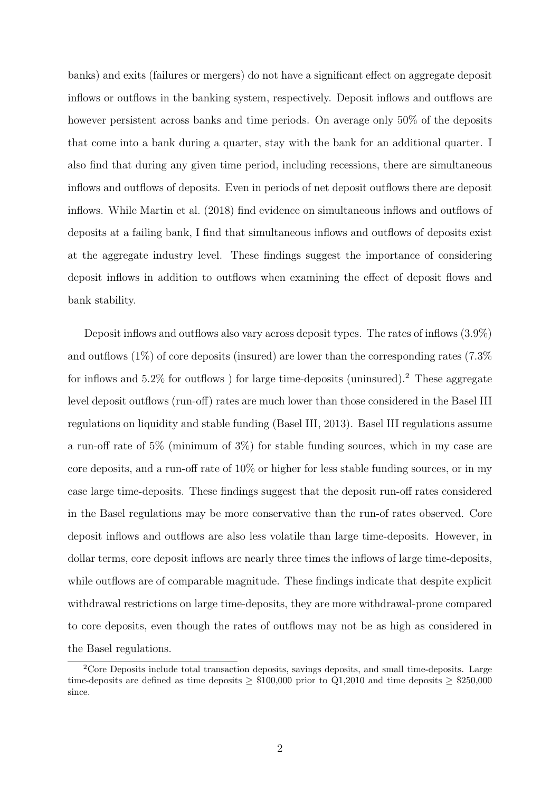banks) and exits (failures or mergers) do not have a significant effect on aggregate deposit inflows or outflows in the banking system, respectively. Deposit inflows and outflows are however persistent across banks and time periods. On average only 50% of the deposits that come into a bank during a quarter, stay with the bank for an additional quarter. I also find that during any given time period, including recessions, there are simultaneous inflows and outflows of deposits. Even in periods of net deposit outflows there are deposit inflows. While Martin et al. (2018) find evidence on simultaneous inflows and outflows of deposits at a failing bank, I find that simultaneous inflows and outflows of deposits exist at the aggregate industry level. These findings suggest the importance of considering deposit inflows in addition to outflows when examining the effect of deposit flows and bank stability.

Deposit inflows and outflows also vary across deposit types. The rates of inflows (3.9%) and outflows  $(1\%)$  of core deposits (insured) are lower than the corresponding rates (7.3%) for inflows and  $5.2\%$  for outflows) for large time-deposits (uninsured).<sup>2</sup> These aggregate level deposit outflows (run-off) rates are much lower than those considered in the Basel III regulations on liquidity and stable funding (Basel III, 2013). Basel III regulations assume a run-off rate of 5% (minimum of 3%) for stable funding sources, which in my case are core deposits, and a run-off rate of 10% or higher for less stable funding sources, or in my case large time-deposits. These findings suggest that the deposit run-off rates considered in the Basel regulations may be more conservative than the run-of rates observed. Core deposit inflows and outflows are also less volatile than large time-deposits. However, in dollar terms, core deposit inflows are nearly three times the inflows of large time-deposits, while outflows are of comparable magnitude. These findings indicate that despite explicit withdrawal restrictions on large time-deposits, they are more withdrawal-prone compared to core deposits, even though the rates of outflows may not be as high as considered in the Basel regulations.

<sup>2</sup>Core Deposits include total transaction deposits, savings deposits, and small time-deposits. Large time-deposits are defined as time deposits  $> $100,000$  prior to Q1,2010 and time deposits  $> $250,000$ since.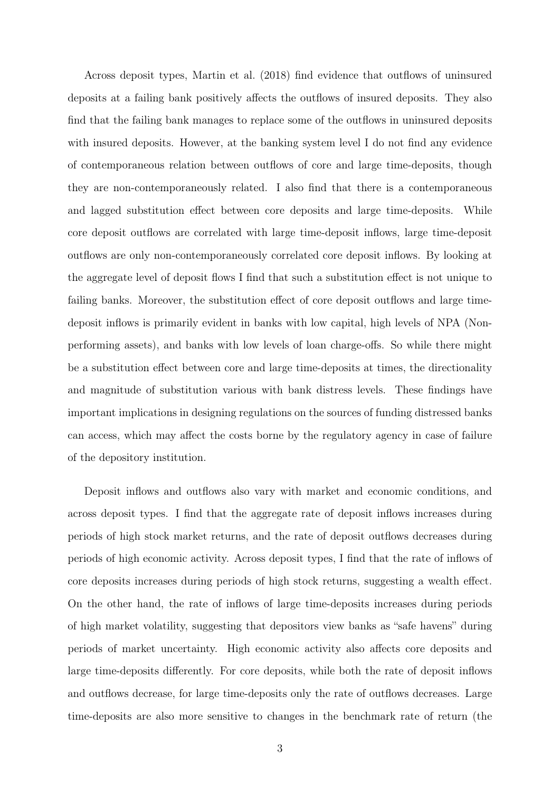Across deposit types, Martin et al. (2018) find evidence that outflows of uninsured deposits at a failing bank positively affects the outflows of insured deposits. They also find that the failing bank manages to replace some of the outflows in uninsured deposits with insured deposits. However, at the banking system level I do not find any evidence of contemporaneous relation between outflows of core and large time-deposits, though they are non-contemporaneously related. I also find that there is a contemporaneous and lagged substitution effect between core deposits and large time-deposits. While core deposit outflows are correlated with large time-deposit inflows, large time-deposit outflows are only non-contemporaneously correlated core deposit inflows. By looking at the aggregate level of deposit flows I find that such a substitution effect is not unique to failing banks. Moreover, the substitution effect of core deposit outflows and large timedeposit inflows is primarily evident in banks with low capital, high levels of NPA (Nonperforming assets), and banks with low levels of loan charge-offs. So while there might be a substitution effect between core and large time-deposits at times, the directionality and magnitude of substitution various with bank distress levels. These findings have important implications in designing regulations on the sources of funding distressed banks can access, which may affect the costs borne by the regulatory agency in case of failure of the depository institution.

Deposit inflows and outflows also vary with market and economic conditions, and across deposit types. I find that the aggregate rate of deposit inflows increases during periods of high stock market returns, and the rate of deposit outflows decreases during periods of high economic activity. Across deposit types, I find that the rate of inflows of core deposits increases during periods of high stock returns, suggesting a wealth effect. On the other hand, the rate of inflows of large time-deposits increases during periods of high market volatility, suggesting that depositors view banks as "safe havens" during periods of market uncertainty. High economic activity also affects core deposits and large time-deposits differently. For core deposits, while both the rate of deposit inflows and outflows decrease, for large time-deposits only the rate of outflows decreases. Large time-deposits are also more sensitive to changes in the benchmark rate of return (the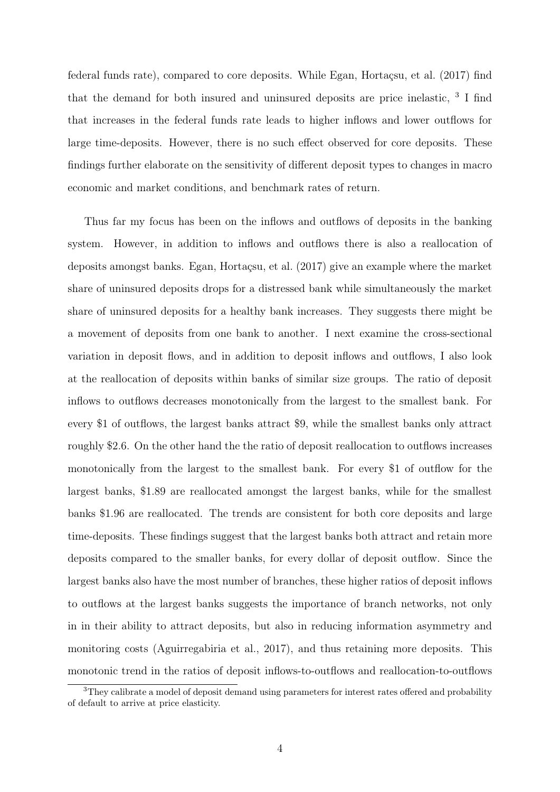federal funds rate), compared to core deposits. While Egan, Hortaçsu, et al. (2017) find that the demand for both insured and uninsured deposits are price inelastic, <sup>3</sup> I find that increases in the federal funds rate leads to higher inflows and lower outflows for large time-deposits. However, there is no such effect observed for core deposits. These findings further elaborate on the sensitivity of different deposit types to changes in macro economic and market conditions, and benchmark rates of return.

Thus far my focus has been on the inflows and outflows of deposits in the banking system. However, in addition to inflows and outflows there is also a reallocation of deposits amongst banks. Egan, Hortaçsu, et al. (2017) give an example where the market share of uninsured deposits drops for a distressed bank while simultaneously the market share of uninsured deposits for a healthy bank increases. They suggests there might be a movement of deposits from one bank to another. I next examine the cross-sectional variation in deposit flows, and in addition to deposit inflows and outflows, I also look at the reallocation of deposits within banks of similar size groups. The ratio of deposit inflows to outflows decreases monotonically from the largest to the smallest bank. For every \$1 of outflows, the largest banks attract \$9, while the smallest banks only attract roughly \$2.6. On the other hand the the ratio of deposit reallocation to outflows increases monotonically from the largest to the smallest bank. For every \$1 of outflow for the largest banks, \$1.89 are reallocated amongst the largest banks, while for the smallest banks \$1.96 are reallocated. The trends are consistent for both core deposits and large time-deposits. These findings suggest that the largest banks both attract and retain more deposits compared to the smaller banks, for every dollar of deposit outflow. Since the largest banks also have the most number of branches, these higher ratios of deposit inflows to outflows at the largest banks suggests the importance of branch networks, not only in in their ability to attract deposits, but also in reducing information asymmetry and monitoring costs (Aguirregabiria et al., 2017), and thus retaining more deposits. This monotonic trend in the ratios of deposit inflows-to-outflows and reallocation-to-outflows

 $3$ They calibrate a model of deposit demand using parameters for interest rates offered and probability of default to arrive at price elasticity.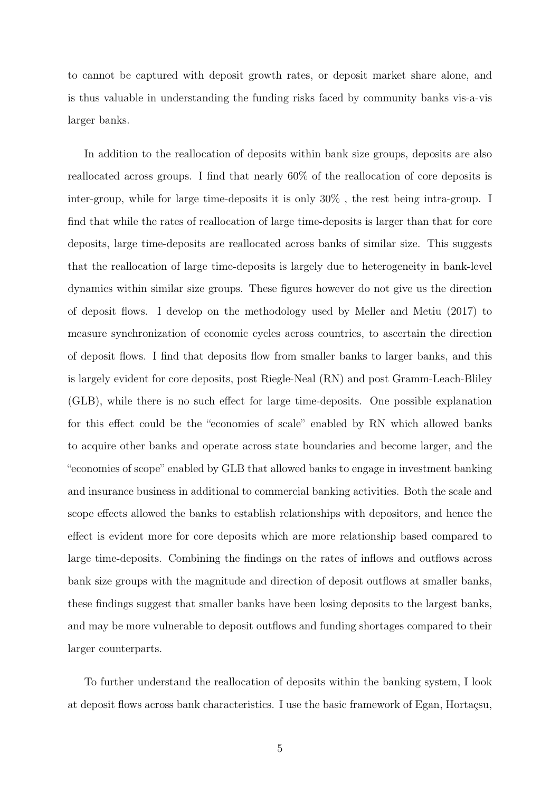to cannot be captured with deposit growth rates, or deposit market share alone, and is thus valuable in understanding the funding risks faced by community banks vis-a-vis larger banks.

In addition to the reallocation of deposits within bank size groups, deposits are also reallocated across groups. I find that nearly 60% of the reallocation of core deposits is inter-group, while for large time-deposits it is only 30% , the rest being intra-group. I find that while the rates of reallocation of large time-deposits is larger than that for core deposits, large time-deposits are reallocated across banks of similar size. This suggests that the reallocation of large time-deposits is largely due to heterogeneity in bank-level dynamics within similar size groups. These figures however do not give us the direction of deposit flows. I develop on the methodology used by Meller and Metiu (2017) to measure synchronization of economic cycles across countries, to ascertain the direction of deposit flows. I find that deposits flow from smaller banks to larger banks, and this is largely evident for core deposits, post Riegle-Neal (RN) and post Gramm-Leach-Bliley (GLB), while there is no such effect for large time-deposits. One possible explanation for this effect could be the "economies of scale" enabled by RN which allowed banks to acquire other banks and operate across state boundaries and become larger, and the "economies of scope" enabled by GLB that allowed banks to engage in investment banking and insurance business in additional to commercial banking activities. Both the scale and scope effects allowed the banks to establish relationships with depositors, and hence the effect is evident more for core deposits which are more relationship based compared to large time-deposits. Combining the findings on the rates of inflows and outflows across bank size groups with the magnitude and direction of deposit outflows at smaller banks, these findings suggest that smaller banks have been losing deposits to the largest banks, and may be more vulnerable to deposit outflows and funding shortages compared to their larger counterparts.

To further understand the reallocation of deposits within the banking system, I look at deposit flows across bank characteristics. I use the basic framework of Egan, Hortaçsu,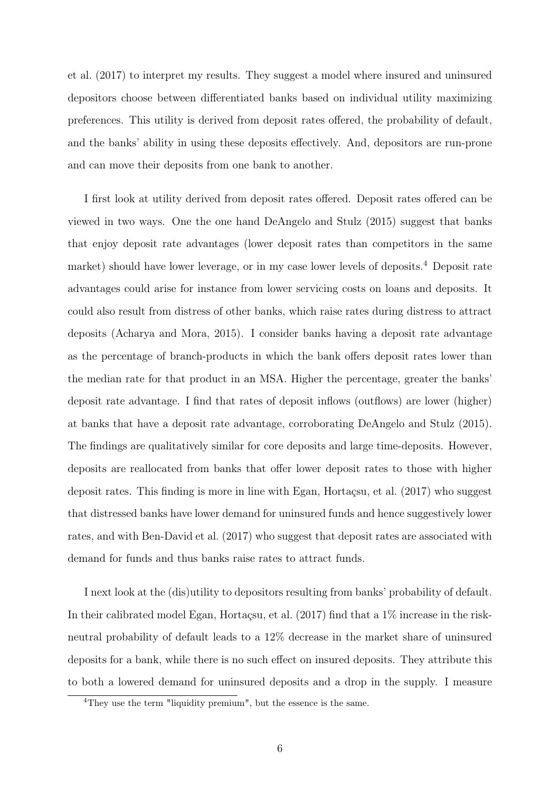et al. (2017) to interpret my results. They suggest a model where insured and uninsured depositors choose between differentiated banks based on individual utility maximizing preferences. This utility is derived from deposit rates offered, the probability of default, and the banks' ability in using these deposits effectively. And, depositors are run-prone and can move their deposits from one bank to another.

I first look at utility derived from deposit rates offered. Deposit rates offered can be viewed in two ways. One the one hand DeAngelo and Stulz (2015) suggest that banks that enjoy deposit rate advantages (lower deposit rates than competitors in the same market) should have lower leverage, or in my case lower levels of deposits.<sup>4</sup> Deposit rate advantages could arise for instance from lower servicing costs on loans and deposits. It could also result from distress of other banks, which raise rates during distress to attract deposits (Acharya and Mora, 2015). I consider banks having a deposit rate advantage as the percentage of branch-products in which the bank offers deposit rates lower than the median rate for that product in an MSA. Higher the percentage, greater the banks' deposit rate advantage. I find that rates of deposit inflows (outflows) are lower (higher) at banks that have a deposit rate advantage, corroborating DeAngelo and Stulz (2015). The findings are qualitatively similar for core deposits and large time-deposits. However, deposits are reallocated from banks that offer lower deposit rates to those with higher deposit rates. This finding is more in line with Egan, Hortaçsu, et al. (2017) who suggest that distressed banks have lower demand for uninsured funds and hence suggestively lower rates, and with Ben-David et al. (2017) who suggest that deposit rates are associated with demand for funds and thus banks raise rates to attract funds.

I next look at the (dis)utility to depositors resulting from banks' probability of default. In their calibrated model Egan, Hortaçsu, et al. (2017) find that a 1% increase in the riskneutral probability of default leads to a 12% decrease in the market share of uninsured deposits for a bank, while there is no such effect on insured deposits. They attribute this to both a lowered demand for uninsured deposits and a drop in the supply. I measure

<sup>&</sup>lt;sup>4</sup>They use the term "liquidity premium", but the essence is the same.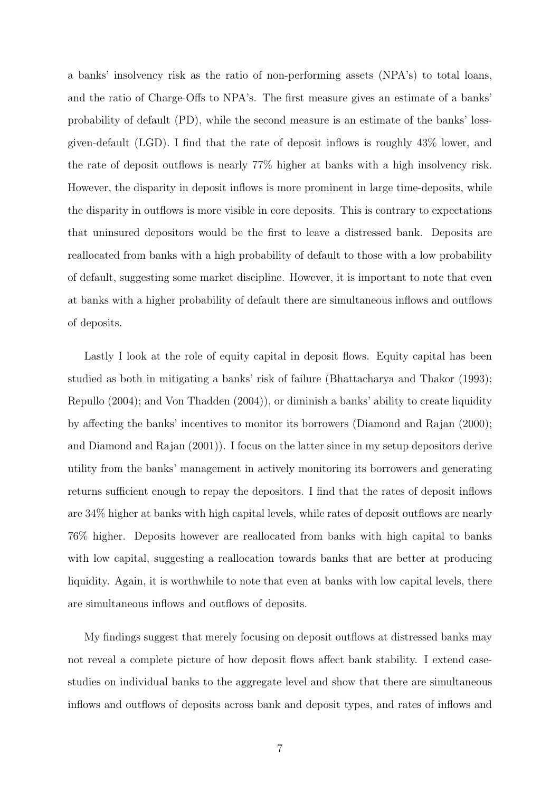a banks' insolvency risk as the ratio of non-performing assets (NPA's) to total loans, and the ratio of Charge-Offs to NPA's. The first measure gives an estimate of a banks' probability of default (PD), while the second measure is an estimate of the banks' lossgiven-default (LGD). I find that the rate of deposit inflows is roughly 43% lower, and the rate of deposit outflows is nearly 77% higher at banks with a high insolvency risk. However, the disparity in deposit inflows is more prominent in large time-deposits, while the disparity in outflows is more visible in core deposits. This is contrary to expectations that uninsured depositors would be the first to leave a distressed bank. Deposits are reallocated from banks with a high probability of default to those with a low probability of default, suggesting some market discipline. However, it is important to note that even at banks with a higher probability of default there are simultaneous inflows and outflows of deposits.

Lastly I look at the role of equity capital in deposit flows. Equity capital has been studied as both in mitigating a banks' risk of failure (Bhattacharya and Thakor (1993); Repullo (2004); and Von Thadden (2004)), or diminish a banks' ability to create liquidity by affecting the banks' incentives to monitor its borrowers (Diamond and Rajan (2000); and Diamond and Rajan (2001)). I focus on the latter since in my setup depositors derive utility from the banks' management in actively monitoring its borrowers and generating returns sufficient enough to repay the depositors. I find that the rates of deposit inflows are 34% higher at banks with high capital levels, while rates of deposit outflows are nearly 76% higher. Deposits however are reallocated from banks with high capital to banks with low capital, suggesting a reallocation towards banks that are better at producing liquidity. Again, it is worthwhile to note that even at banks with low capital levels, there are simultaneous inflows and outflows of deposits.

My findings suggest that merely focusing on deposit outflows at distressed banks may not reveal a complete picture of how deposit flows affect bank stability. I extend casestudies on individual banks to the aggregate level and show that there are simultaneous inflows and outflows of deposits across bank and deposit types, and rates of inflows and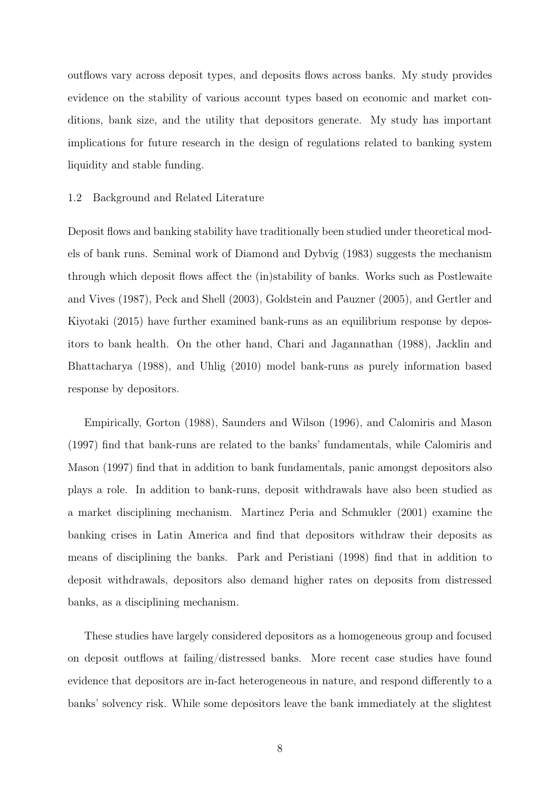outflows vary across deposit types, and deposits flows across banks. My study provides evidence on the stability of various account types based on economic and market conditions, bank size, and the utility that depositors generate. My study has important implications for future research in the design of regulations related to banking system liquidity and stable funding.

#### 1.2 Background and Related Literature

Deposit flows and banking stability have traditionally been studied under theoretical models of bank runs. Seminal work of Diamond and Dybvig (1983) suggests the mechanism through which deposit flows affect the (in)stability of banks. Works such as Postlewaite and Vives (1987), Peck and Shell (2003), Goldstein and Pauzner (2005), and Gertler and Kiyotaki (2015) have further examined bank-runs as an equilibrium response by depositors to bank health. On the other hand, Chari and Jagannathan (1988), Jacklin and Bhattacharya (1988), and Uhlig (2010) model bank-runs as purely information based response by depositors.

Empirically, Gorton (1988), Saunders and Wilson (1996), and Calomiris and Mason (1997) find that bank-runs are related to the banks' fundamentals, while Calomiris and Mason (1997) find that in addition to bank fundamentals, panic amongst depositors also plays a role. In addition to bank-runs, deposit withdrawals have also been studied as a market disciplining mechanism. Martinez Peria and Schmukler (2001) examine the banking crises in Latin America and find that depositors withdraw their deposits as means of disciplining the banks. Park and Peristiani (1998) find that in addition to deposit withdrawals, depositors also demand higher rates on deposits from distressed banks, as a disciplining mechanism.

These studies have largely considered depositors as a homogeneous group and focused on deposit outflows at failing/distressed banks. More recent case studies have found evidence that depositors are in-fact heterogeneous in nature, and respond differently to a banks' solvency risk. While some depositors leave the bank immediately at the slightest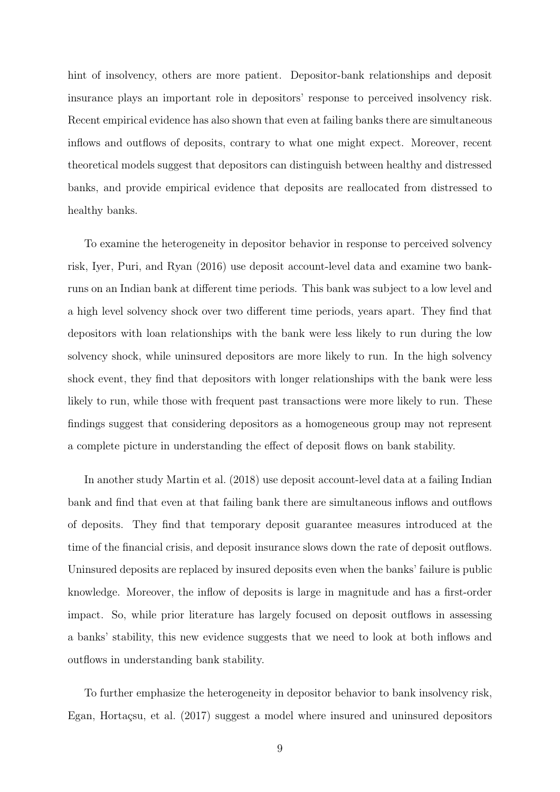hint of insolvency, others are more patient. Depositor-bank relationships and deposit insurance plays an important role in depositors' response to perceived insolvency risk. Recent empirical evidence has also shown that even at failing banks there are simultaneous inflows and outflows of deposits, contrary to what one might expect. Moreover, recent theoretical models suggest that depositors can distinguish between healthy and distressed banks, and provide empirical evidence that deposits are reallocated from distressed to healthy banks.

To examine the heterogeneity in depositor behavior in response to perceived solvency risk, Iyer, Puri, and Ryan (2016) use deposit account-level data and examine two bankruns on an Indian bank at different time periods. This bank was subject to a low level and a high level solvency shock over two different time periods, years apart. They find that depositors with loan relationships with the bank were less likely to run during the low solvency shock, while uninsured depositors are more likely to run. In the high solvency shock event, they find that depositors with longer relationships with the bank were less likely to run, while those with frequent past transactions were more likely to run. These findings suggest that considering depositors as a homogeneous group may not represent a complete picture in understanding the effect of deposit flows on bank stability.

In another study Martin et al. (2018) use deposit account-level data at a failing Indian bank and find that even at that failing bank there are simultaneous inflows and outflows of deposits. They find that temporary deposit guarantee measures introduced at the time of the financial crisis, and deposit insurance slows down the rate of deposit outflows. Uninsured deposits are replaced by insured deposits even when the banks' failure is public knowledge. Moreover, the inflow of deposits is large in magnitude and has a first-order impact. So, while prior literature has largely focused on deposit outflows in assessing a banks' stability, this new evidence suggests that we need to look at both inflows and outflows in understanding bank stability.

To further emphasize the heterogeneity in depositor behavior to bank insolvency risk, Egan, Hortaçsu, et al. (2017) suggest a model where insured and uninsured depositors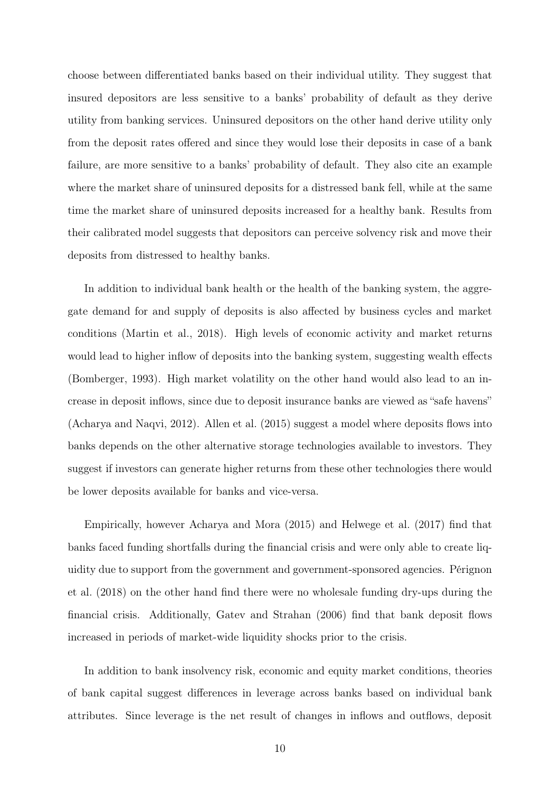choose between differentiated banks based on their individual utility. They suggest that insured depositors are less sensitive to a banks' probability of default as they derive utility from banking services. Uninsured depositors on the other hand derive utility only from the deposit rates offered and since they would lose their deposits in case of a bank failure, are more sensitive to a banks' probability of default. They also cite an example where the market share of uninsured deposits for a distressed bank fell, while at the same time the market share of uninsured deposits increased for a healthy bank. Results from their calibrated model suggests that depositors can perceive solvency risk and move their deposits from distressed to healthy banks.

In addition to individual bank health or the health of the banking system, the aggregate demand for and supply of deposits is also affected by business cycles and market conditions (Martin et al., 2018). High levels of economic activity and market returns would lead to higher inflow of deposits into the banking system, suggesting wealth effects (Bomberger, 1993). High market volatility on the other hand would also lead to an increase in deposit inflows, since due to deposit insurance banks are viewed as "safe havens" (Acharya and Naqvi, 2012). Allen et al. (2015) suggest a model where deposits flows into banks depends on the other alternative storage technologies available to investors. They suggest if investors can generate higher returns from these other technologies there would be lower deposits available for banks and vice-versa.

Empirically, however Acharya and Mora (2015) and Helwege et al. (2017) find that banks faced funding shortfalls during the financial crisis and were only able to create liquidity due to support from the government and government-sponsored agencies. Pérignon et al. (2018) on the other hand find there were no wholesale funding dry-ups during the financial crisis. Additionally, Gatev and Strahan (2006) find that bank deposit flows increased in periods of market-wide liquidity shocks prior to the crisis.

In addition to bank insolvency risk, economic and equity market conditions, theories of bank capital suggest differences in leverage across banks based on individual bank attributes. Since leverage is the net result of changes in inflows and outflows, deposit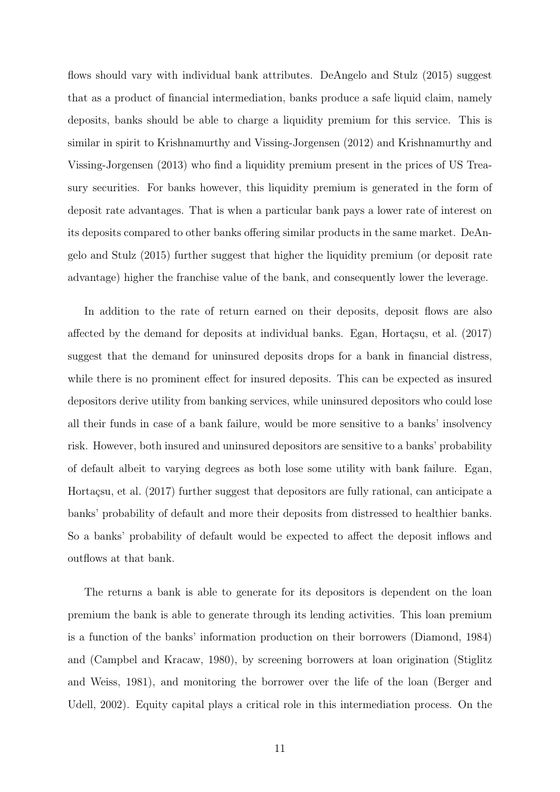flows should vary with individual bank attributes. DeAngelo and Stulz (2015) suggest that as a product of financial intermediation, banks produce a safe liquid claim, namely deposits, banks should be able to charge a liquidity premium for this service. This is similar in spirit to Krishnamurthy and Vissing-Jorgensen (2012) and Krishnamurthy and Vissing-Jorgensen (2013) who find a liquidity premium present in the prices of US Treasury securities. For banks however, this liquidity premium is generated in the form of deposit rate advantages. That is when a particular bank pays a lower rate of interest on its deposits compared to other banks offering similar products in the same market. DeAngelo and Stulz (2015) further suggest that higher the liquidity premium (or deposit rate advantage) higher the franchise value of the bank, and consequently lower the leverage.

In addition to the rate of return earned on their deposits, deposit flows are also affected by the demand for deposits at individual banks. Egan, Hortaçsu, et al. (2017) suggest that the demand for uninsured deposits drops for a bank in financial distress, while there is no prominent effect for insured deposits. This can be expected as insured depositors derive utility from banking services, while uninsured depositors who could lose all their funds in case of a bank failure, would be more sensitive to a banks' insolvency risk. However, both insured and uninsured depositors are sensitive to a banks' probability of default albeit to varying degrees as both lose some utility with bank failure. Egan, Hortaçsu, et al. (2017) further suggest that depositors are fully rational, can anticipate a banks' probability of default and more their deposits from distressed to healthier banks. So a banks' probability of default would be expected to affect the deposit inflows and outflows at that bank.

The returns a bank is able to generate for its depositors is dependent on the loan premium the bank is able to generate through its lending activities. This loan premium is a function of the banks' information production on their borrowers (Diamond, 1984) and (Campbel and Kracaw, 1980), by screening borrowers at loan origination (Stiglitz and Weiss, 1981), and monitoring the borrower over the life of the loan (Berger and Udell, 2002). Equity capital plays a critical role in this intermediation process. On the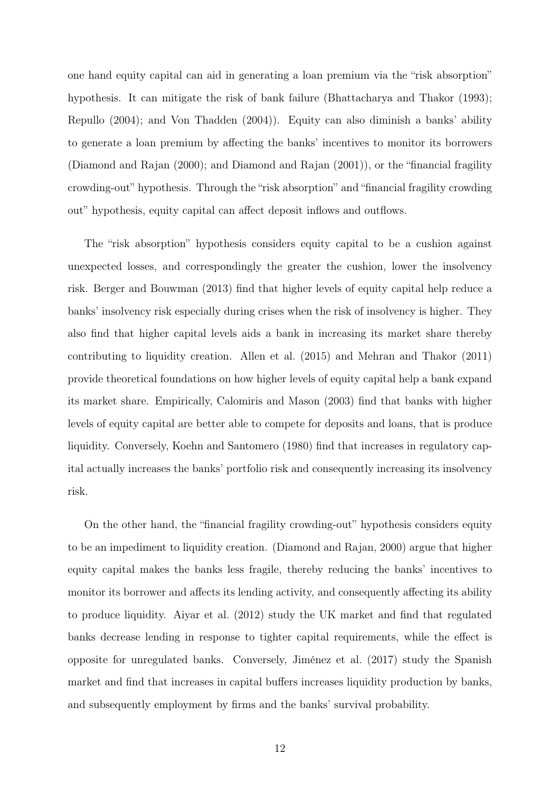one hand equity capital can aid in generating a loan premium via the "risk absorption" hypothesis. It can mitigate the risk of bank failure (Bhattacharya and Thakor (1993); Repullo (2004); and Von Thadden (2004)). Equity can also diminish a banks' ability to generate a loan premium by affecting the banks' incentives to monitor its borrowers (Diamond and Rajan (2000); and Diamond and Rajan (2001)), or the "financial fragility crowding-out" hypothesis. Through the "risk absorption" and "financial fragility crowding out" hypothesis, equity capital can affect deposit inflows and outflows.

The "risk absorption" hypothesis considers equity capital to be a cushion against unexpected losses, and correspondingly the greater the cushion, lower the insolvency risk. Berger and Bouwman (2013) find that higher levels of equity capital help reduce a banks' insolvency risk especially during crises when the risk of insolvency is higher. They also find that higher capital levels aids a bank in increasing its market share thereby contributing to liquidity creation. Allen et al. (2015) and Mehran and Thakor (2011) provide theoretical foundations on how higher levels of equity capital help a bank expand its market share. Empirically, Calomiris and Mason (2003) find that banks with higher levels of equity capital are better able to compete for deposits and loans, that is produce liquidity. Conversely, Koehn and Santomero (1980) find that increases in regulatory capital actually increases the banks' portfolio risk and consequently increasing its insolvency risk.

On the other hand, the "financial fragility crowding-out" hypothesis considers equity to be an impediment to liquidity creation. (Diamond and Rajan, 2000) argue that higher equity capital makes the banks less fragile, thereby reducing the banks' incentives to monitor its borrower and affects its lending activity, and consequently affecting its ability to produce liquidity. Aiyar et al. (2012) study the UK market and find that regulated banks decrease lending in response to tighter capital requirements, while the effect is opposite for unregulated banks. Conversely, Jiménez et al. (2017) study the Spanish market and find that increases in capital buffers increases liquidity production by banks, and subsequently employment by firms and the banks' survival probability.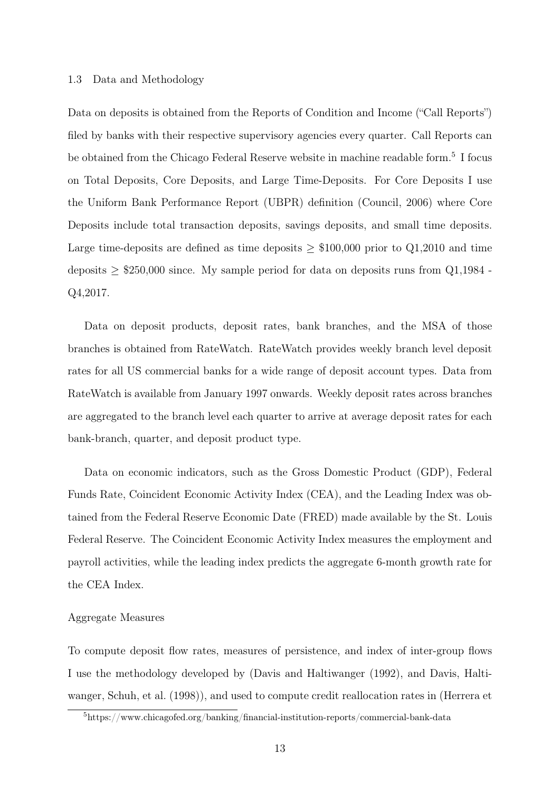#### 1.3 Data and Methodology

Data on deposits is obtained from the Reports of Condition and Income ("Call Reports") filed by banks with their respective supervisory agencies every quarter. Call Reports can be obtained from the Chicago Federal Reserve website in machine readable form.<sup>5</sup> I focus on Total Deposits, Core Deposits, and Large Time-Deposits. For Core Deposits I use the Uniform Bank Performance Report (UBPR) definition (Council, 2006) where Core Deposits include total transaction deposits, savings deposits, and small time deposits. Large time-deposits are defined as time deposits  $\geq$  \$100,000 prior to Q1,2010 and time deposits  $\geq$  \$250,000 since. My sample period for data on deposits runs from Q1,1984 -Q4,2017.

Data on deposit products, deposit rates, bank branches, and the MSA of those branches is obtained from RateWatch. RateWatch provides weekly branch level deposit rates for all US commercial banks for a wide range of deposit account types. Data from RateWatch is available from January 1997 onwards. Weekly deposit rates across branches are aggregated to the branch level each quarter to arrive at average deposit rates for each bank-branch, quarter, and deposit product type.

Data on economic indicators, such as the Gross Domestic Product (GDP), Federal Funds Rate, Coincident Economic Activity Index (CEA), and the Leading Index was obtained from the Federal Reserve Economic Date (FRED) made available by the St. Louis Federal Reserve. The Coincident Economic Activity Index measures the employment and payroll activities, while the leading index predicts the aggregate 6-month growth rate for the CEA Index.

#### Aggregate Measures

To compute deposit flow rates, measures of persistence, and index of inter-group flows I use the methodology developed by (Davis and Haltiwanger (1992), and Davis, Haltiwanger, Schuh, et al. (1998)), and used to compute credit reallocation rates in (Herrera et

<sup>5</sup>https://www.chicagofed.org/banking/financial-institution-reports/commercial-bank-data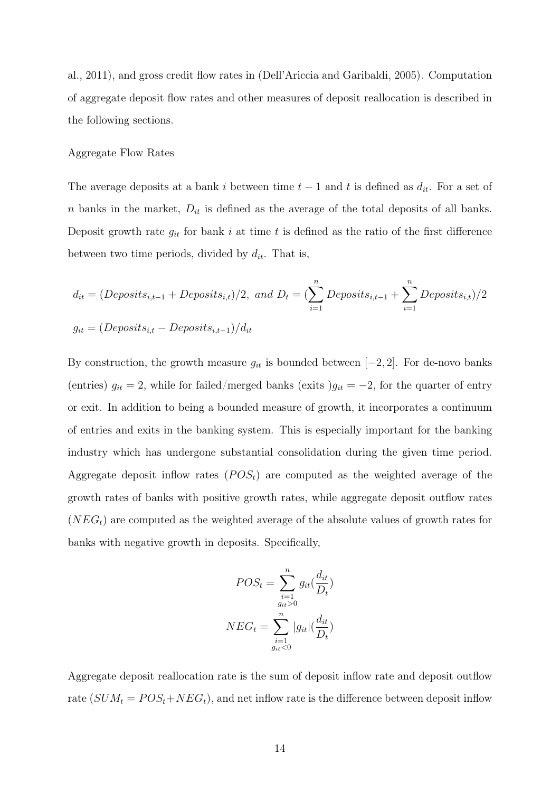al., 2011), and gross credit flow rates in (Dell'Ariccia and Garibaldi, 2005). Computation of aggregate deposit flow rates and other measures of deposit reallocation is described in the following sections.

#### Aggregate Flow Rates

The average deposits at a bank i between time  $t-1$  and t is defined as  $d_{it}$ . For a set of n banks in the market,  $D_{it}$  is defined as the average of the total deposits of all banks. Deposit growth rate  $g_{it}$  for bank i at time t is defined as the ratio of the first difference between two time periods, divided by  $d_{it}$ . That is,

$$
d_{it} = (Deposits_{i,t-1} + Deposits_{i,t})/2, \text{ and } D_t = \left(\sum_{i=1}^n Deposits_{i,t-1} + \sum_{i=1}^n Deposits_{i,t}\right)/2
$$
  

$$
g_{it} = (Deposits_{i,t} - Deposits_{i,t-1})/d_{it}
$$

By construction, the growth measure  $g_{it}$  is bounded between  $[-2, 2]$ . For de-novo banks (entries)  $g_{it} = 2$ , while for failed/merged banks (exits ) $g_{it} = -2$ , for the quarter of entry or exit. In addition to being a bounded measure of growth, it incorporates a continuum of entries and exits in the banking system. This is especially important for the banking industry which has undergone substantial consolidation during the given time period. Aggregate deposit inflow rates  $(POS<sub>t</sub>)$  are computed as the weighted average of the growth rates of banks with positive growth rates, while aggregate deposit outflow rates  $(NEG_{t})$  are computed as the weighted average of the absolute values of growth rates for banks with negative growth in deposits. Specifically,

$$
POS_{t} = \sum_{\substack{i=1 \ g_{it} > 0}}^{n} g_{it}(\frac{d_{it}}{D_{t}})
$$

$$
NEG_{t} = \sum_{\substack{i=1 \ g_{it} < 0}}^{n} |g_{it}|(\frac{d_{it}}{D_{t}})
$$

Aggregate deposit reallocation rate is the sum of deposit inflow rate and deposit outflow rate  $(SUM_t = POS_t + NEG_t)$ , and net inflow rate is the difference between deposit inflow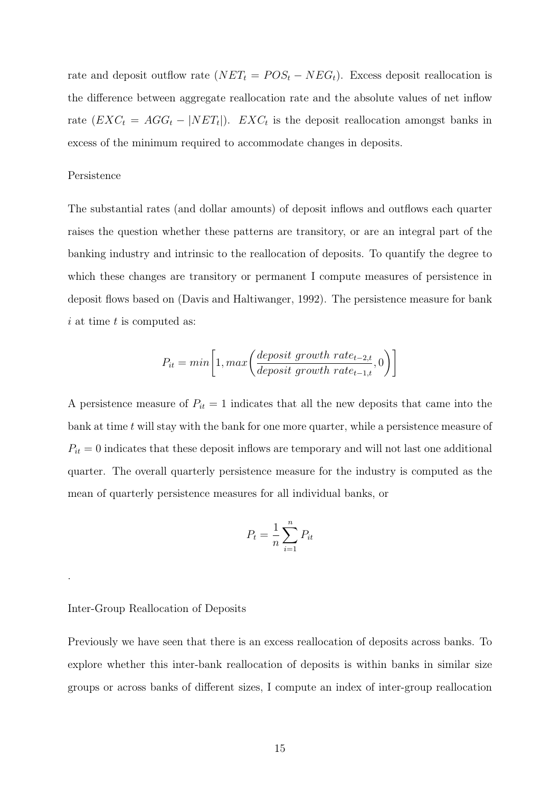rate and deposit outflow rate  $(NET_t = POS_t - NEG_t)$ . Excess deposit reallocation is the difference between aggregate reallocation rate and the absolute values of net inflow rate  $(EXC_t = AGG_t - |NET_t|)$ .  $EXC_t$  is the deposit reallocation amongst banks in excess of the minimum required to accommodate changes in deposits.

#### Persistence

The substantial rates (and dollar amounts) of deposit inflows and outflows each quarter raises the question whether these patterns are transitory, or are an integral part of the banking industry and intrinsic to the reallocation of deposits. To quantify the degree to which these changes are transitory or permanent I compute measures of persistence in deposit flows based on (Davis and Haltiwanger, 1992). The persistence measure for bank  $i$  at time  $t$  is computed as:

$$
P_{it} = min\bigg[1, max\bigg(\frac{deposit\ growth\ rate_{t-2,t}}{deposit\ growth\ rate_{t-1,t}}, 0\bigg)\bigg]
$$

A persistence measure of  $P_{it} = 1$  indicates that all the new deposits that came into the bank at time  $t$  will stay with the bank for one more quarter, while a persistence measure of  $\mathcal{P}_{it} = 0$  indicates that these deposit inflows are temporary and will not last one additional quarter. The overall quarterly persistence measure for the industry is computed as the mean of quarterly persistence measures for all individual banks, or

$$
P_t = \frac{1}{n} \sum_{i=1}^n P_{it}
$$

#### Inter-Group Reallocation of Deposits

.

Previously we have seen that there is an excess reallocation of deposits across banks. To explore whether this inter-bank reallocation of deposits is within banks in similar size groups or across banks of different sizes, I compute an index of inter-group reallocation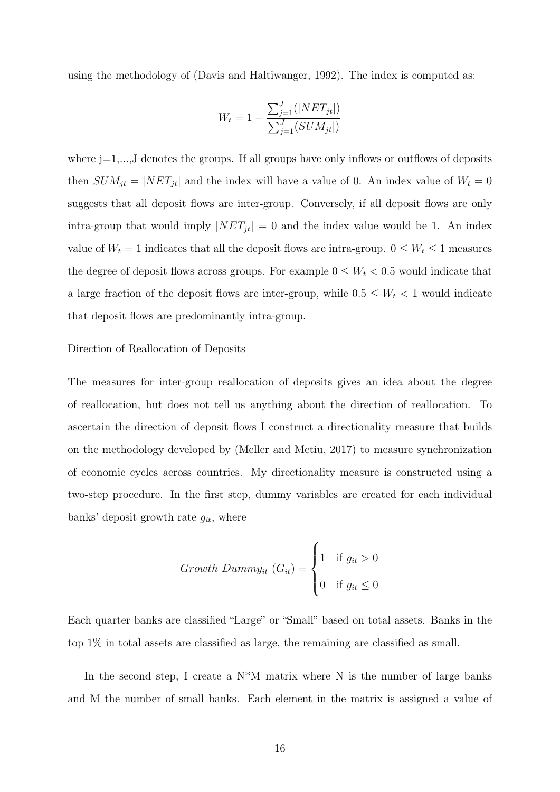using the methodology of (Davis and Haltiwanger, 1992). The index is computed as:

$$
W_t = 1 - \frac{\sum_{j=1}^{J} (|NET_{jt}|)}{\sum_{j=1}^{J} (SUM_{jt}|)}
$$

where  $j=1,\ldots,J$  denotes the groups. If all groups have only inflows or outflows of deposits then  $SUM_{jt} = |NET_{jt}|$  and the index will have a value of 0. An index value of  $W_t = 0$ suggests that all deposit flows are inter-group. Conversely, if all deposit flows are only intra-group that would imply  $|NET_{jt}| = 0$  and the index value would be 1. An index value of  $W_t = 1$  indicates that all the deposit flows are intra-group.  $0 \leq W_t \leq 1$  measures the degree of deposit flows across groups. For example  $0 \leq W_t < 0.5$  would indicate that a large fraction of the deposit flows are inter-group, while  $0.5 \leq W_t < 1$  would indicate that deposit flows are predominantly intra-group.

#### Direction of Reallocation of Deposits

The measures for inter-group reallocation of deposits gives an idea about the degree of reallocation, but does not tell us anything about the direction of reallocation. To ascertain the direction of deposit flows I construct a directionality measure that builds on the methodology developed by (Meller and Metiu, 2017) to measure synchronization of economic cycles across countries. My directionality measure is constructed using a two-step procedure. In the first step, dummy variables are created for each individual banks' deposit growth rate  $g_{it}$ , where

$$
Growth\ Dumm y_{it} (G_{it}) = \begin{cases} 1 & \text{if } g_{it} > 0 \\ 0 & \text{if } g_{it} \le 0 \end{cases}
$$

Each quarter banks are classified "Large" or "Small" based on total assets. Banks in the top 1% in total assets are classified as large, the remaining are classified as small.

In the second step, I create a  $N^*M$  matrix where N is the number of large banks and M the number of small banks. Each element in the matrix is assigned a value of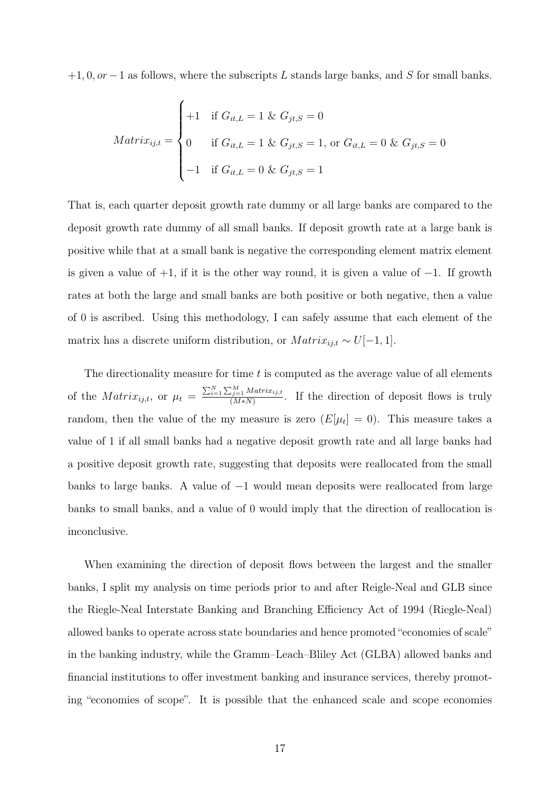$+1, 0, or-1$  as follows, where the subscripts L stands large banks, and S for small banks.

$$
Matrix_{ij,t} = \begin{cases} +1 & \text{if } G_{it,L} = 1 \& G_{jt,S} = 0\\ 0 & \text{if } G_{it,L} = 1 \& G_{jt,S} = 1, \text{ or } G_{it,L} = 0 \& G_{jt,S} = 0\\ -1 & \text{if } G_{it,L} = 0 \& G_{jt,S} = 1 \end{cases}
$$

That is, each quarter deposit growth rate dummy or all large banks are compared to the deposit growth rate dummy of all small banks. If deposit growth rate at a large bank is positive while that at a small bank is negative the corresponding element matrix element is given a value of  $+1$ , if it is the other way round, it is given a value of  $-1$ . If growth rates at both the large and small banks are both positive or both negative, then a value of 0 is ascribed. Using this methodology, I can safely assume that each element of the matrix has a discrete uniform distribution, or  $Matrix_{ij,t} \sim U[-1,1].$ 

The directionality measure for time  $t$  is computed as the average value of all elements of the  $Matrix_{ij,t}$ , or  $\mu_t = \frac{\sum_{i=1}^{N} \sum_{j=1}^{M} Matrix_{ij,t}}{(M*N)}$  $\frac{d_{j=1}^{j=1} Math. u_{ij,t}}{(M*N)}$ . If the direction of deposit flows is truly random, then the value of the my measure is zero  $(E[\mu_t] = 0)$ . This measure takes a value of 1 if all small banks had a negative deposit growth rate and all large banks had a positive deposit growth rate, suggesting that deposits were reallocated from the small banks to large banks. A value of −1 would mean deposits were reallocated from large banks to small banks, and a value of 0 would imply that the direction of reallocation is inconclusive.

When examining the direction of deposit flows between the largest and the smaller banks, I split my analysis on time periods prior to and after Reigle-Neal and GLB since the Riegle-Neal Interstate Banking and Branching Efficiency Act of 1994 (Riegle-Neal) allowed banks to operate across state boundaries and hence promoted "economies of scale" in the banking industry, while the Gramm–Leach–Bliley Act (GLBA) allowed banks and financial institutions to offer investment banking and insurance services, thereby promoting "economies of scope". It is possible that the enhanced scale and scope economies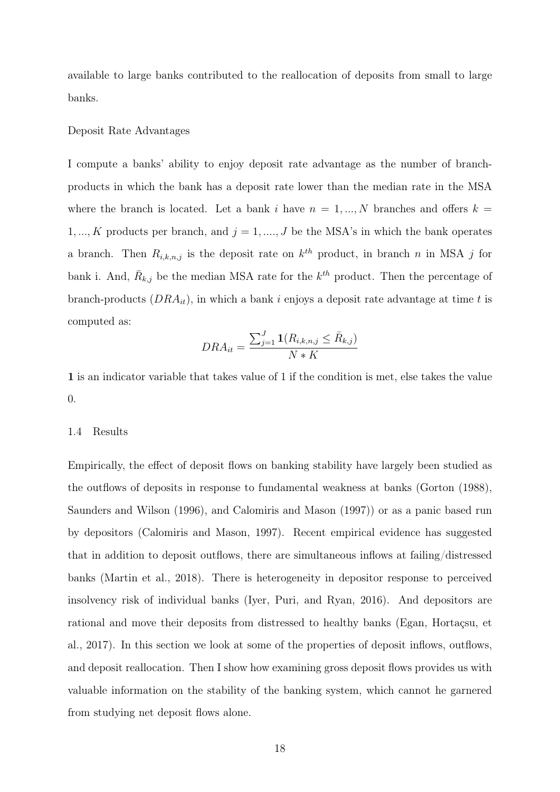available to large banks contributed to the reallocation of deposits from small to large banks.

#### Deposit Rate Advantages

I compute a banks' ability to enjoy deposit rate advantage as the number of branchproducts in which the bank has a deposit rate lower than the median rate in the MSA where the branch is located. Let a bank i have  $n = 1, ..., N$  branches and offers  $k =$ 1, ..., K products per branch, and  $j = 1, ..., J$  be the MSA's in which the bank operates a branch. Then  $R_{i,k,n,j}$  is the deposit rate on  $k^{th}$  product, in branch n in MSA j for bank i. And,  $\bar{R}_{k,j}$  be the median MSA rate for the  $k^{th}$  product. Then the percentage of branch-products  $(DRA_{it})$ , in which a bank i enjoys a deposit rate advantage at time t is computed as:

$$
DRA_{it} = \frac{\sum_{j=1}^{J} \mathbf{1}(R_{i,k,n,j} \leq \bar{R}_{k,j})}{N*K}
$$

1 is an indicator variable that takes value of 1 if the condition is met, else takes the value 0.

#### 1.4 Results

Empirically, the effect of deposit flows on banking stability have largely been studied as the outflows of deposits in response to fundamental weakness at banks (Gorton (1988), Saunders and Wilson (1996), and Calomiris and Mason (1997)) or as a panic based run by depositors (Calomiris and Mason, 1997). Recent empirical evidence has suggested that in addition to deposit outflows, there are simultaneous inflows at failing/distressed banks (Martin et al., 2018). There is heterogeneity in depositor response to perceived insolvency risk of individual banks (Iyer, Puri, and Ryan, 2016). And depositors are rational and move their deposits from distressed to healthy banks (Egan, Hortaçsu, et al., 2017). In this section we look at some of the properties of deposit inflows, outflows, and deposit reallocation. Then I show how examining gross deposit flows provides us with valuable information on the stability of the banking system, which cannot he garnered from studying net deposit flows alone.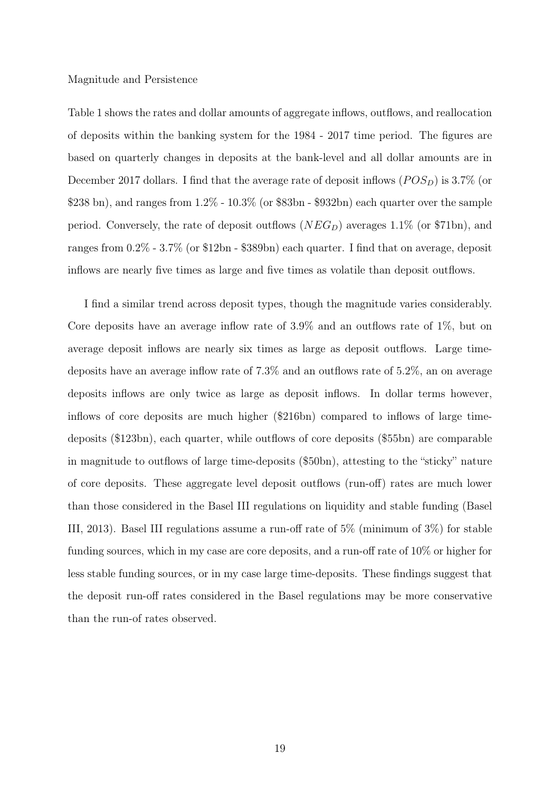#### Magnitude and Persistence

Table 1 shows the rates and dollar amounts of aggregate inflows, outflows, and reallocation of deposits within the banking system for the 1984 - 2017 time period. The figures are based on quarterly changes in deposits at the bank-level and all dollar amounts are in December 2017 dollars. I find that the average rate of deposit inflows  $(POS<sub>D</sub>)$  is 3.7% (or \$238 bn), and ranges from  $1.2\%$  -  $10.3\%$  (or \$83bn - \$932bn) each quarter over the sample period. Conversely, the rate of deposit outflows  $(NEG_{D})$  averages 1.1% (or \$71bn), and ranges from 0.2% - 3.7% (or \$12bn - \$389bn) each quarter. I find that on average, deposit inflows are nearly five times as large and five times as volatile than deposit outflows.

I find a similar trend across deposit types, though the magnitude varies considerably. Core deposits have an average inflow rate of 3.9% and an outflows rate of 1%, but on average deposit inflows are nearly six times as large as deposit outflows. Large timedeposits have an average inflow rate of 7.3% and an outflows rate of 5.2%, an on average deposits inflows are only twice as large as deposit inflows. In dollar terms however, inflows of core deposits are much higher (\$216bn) compared to inflows of large timedeposits (\$123bn), each quarter, while outflows of core deposits (\$55bn) are comparable in magnitude to outflows of large time-deposits (\$50bn), attesting to the "sticky" nature of core deposits. These aggregate level deposit outflows (run-off) rates are much lower than those considered in the Basel III regulations on liquidity and stable funding (Basel III, 2013). Basel III regulations assume a run-off rate of 5% (minimum of 3%) for stable funding sources, which in my case are core deposits, and a run-off rate of 10% or higher for less stable funding sources, or in my case large time-deposits. These findings suggest that the deposit run-off rates considered in the Basel regulations may be more conservative than the run-of rates observed.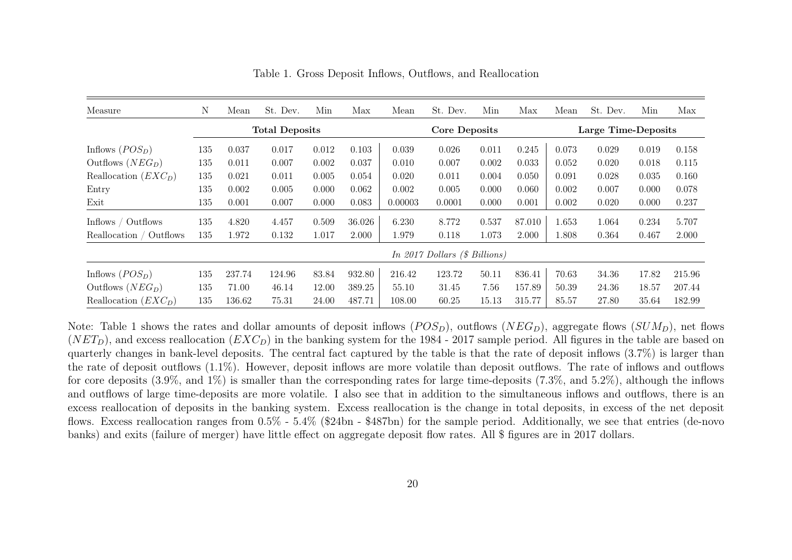| Measure                    | Ν   | Mean                  | St. Dev. | Min   | Max    | Mean    | St. Dev.                        | Min   | Max    | Mean                | St. Dev. | Min   | Max    |
|----------------------------|-----|-----------------------|----------|-------|--------|---------|---------------------------------|-------|--------|---------------------|----------|-------|--------|
|                            |     | <b>Total Deposits</b> |          |       |        |         | <b>Core Deposits</b>            |       |        | Large Time-Deposits |          |       |        |
| Inflows $(POS_D)$          | 135 | 0.037                 | 0.017    | 0.012 | 0.103  | 0.039   | 0.026                           | 0.011 | 0.245  | 0.073               | 0.029    | 0.019 | 0.158  |
| Outflows $(NEG_{D})$       | 135 | 0.011                 | 0.007    | 0.002 | 0.037  | 0.010   | 0.007                           | 0.002 | 0.033  | 0.052               | 0.020    | 0.018 | 0.115  |
| Reallocation $(EXC_D)$     | 135 | 0.021                 | 0.011    | 0.005 | 0.054  | 0.020   | 0.011                           | 0.004 | 0.050  | 0.091               | 0.028    | 0.035 | 0.160  |
| Entry                      | 135 | 0.002                 | 0.005    | 0.000 | 0.062  | 0.002   | 0.005                           | 0.000 | 0.060  | 0.002               | 0.007    | 0.000 | 0.078  |
| Exit                       | 135 | 0.001                 | 0.007    | 0.000 | 0.083  | 0.00003 | 0.0001                          | 0.000 | 0.001  | 0.002               | 0.020    | 0.000 | 0.237  |
| Inflows / Outflows         | 135 | 4.820                 | 4.457    | 0.509 | 36.026 | 6.230   | 8.772                           | 0.537 | 87.010 | 1.653               | 1.064    | 0.234 | 5.707  |
| Outflows<br>Reallocation / | 135 | 1.972                 | 0.132    | 1.017 | 2.000  | 1.979   | 0.118                           | 1.073 | 2.000  | 1.808               | 0.364    | 0.467 | 2.000  |
|                            |     |                       |          |       |        |         | In 2017 Dollars $(\$~Billions)$ |       |        |                     |          |       |        |
| Inflows $(POS_D)$          | 135 | 237.74                | 124.96   | 83.84 | 932.80 | 216.42  | 123.72                          | 50.11 | 836.41 | 70.63               | 34.36    | 17.82 | 215.96 |
| Outflows $(NEG_{D})$       | 135 | 71.00                 | 46.14    | 12.00 | 389.25 | 55.10   | 31.45                           | 7.56  | 157.89 | 50.39               | 24.36    | 18.57 | 207.44 |
| Reallocation $(EXCD)$      | 135 | 136.62                | 75.31    | 24.00 | 487.71 | 108.00  | 60.25                           | 15.13 | 315.77 | 85.57               | 27.80    | 35.64 | 182.99 |

Table 1. Gross Deposit Inflows, Outflows, and Reallocation

Note: Table 1 shows the rates and dollar amounts of deposit inflows  $(POS_D)$ , outflows  $(NEG_D)$ , aggregate flows  $(SUM_D)$ , net flows  $(NET<sub>D</sub>)$ , and excess reallocation  $(EXC<sub>D</sub>)$  in the banking system for the 1984 - 2017 sample period. All figures in the table are based on quarterly changes in bank-level deposits. The central fact captured by the table is that the rate of deposit inflows (3.7%) is larger than the rate of deposit outflows (1.1%). However, deposit inflows are more volatile than deposit outflows. The rate of inflows and outflows for core deposits (3.9%, and 1%) is smaller than the corresponding rates for large time-deposits (7.3%, and 5.2%), although the inflows and outflows of large time-deposits are more volatile. I also see that in addition to the simultaneous inflows and outflows, there is an excess reallocation of deposits in the banking system. Excess reallocation is the change in total deposits, in excess of the net deposit flows. Excess reallocation ranges from 0.5% - 5.4% (\$24bn - \$487bn) for the sample period. Additionally, we see that entries (de-novobanks) and exits (failure of merger) have little effect on aggregate deposit flow rates. All \$ figures are in <sup>2017</sup> dollars.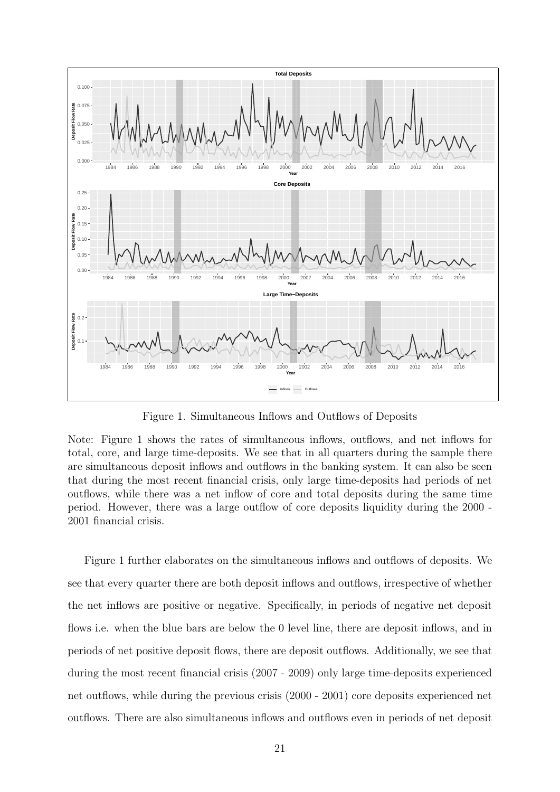

Figure 1. Simultaneous Inflows and Outflows of Deposits

Note: Figure 1 shows the rates of simultaneous inflows, outflows, and net inflows for total, core, and large time-deposits. We see that in all quarters during the sample there are simultaneous deposit inflows and outflows in the banking system. It can also be seen that during the most recent financial crisis, only large time-deposits had periods of net outflows, while there was a net inflow of core and total deposits during the same time period. However, there was a large outflow of core deposits liquidity during the 2000 - 2001 financial crisis.

Figure 1 further elaborates on the simultaneous inflows and outflows of deposits. We see that every quarter there are both deposit inflows and outflows, irrespective of whether the net inflows are positive or negative. Specifically, in periods of negative net deposit flows i.e. when the blue bars are below the 0 level line, there are deposit inflows, and in periods of net positive deposit flows, there are deposit outflows. Additionally, we see that during the most recent financial crisis (2007 - 2009) only large time-deposits experienced net outflows, while during the previous crisis (2000 - 2001) core deposits experienced net outflows. There are also simultaneous inflows and outflows even in periods of net deposit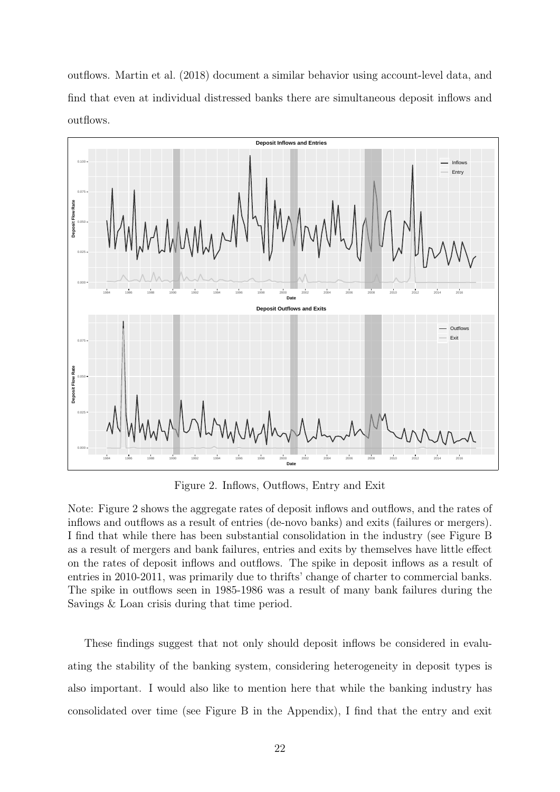outflows. Martin et al. (2018) document a similar behavior using account-level data, and find that even at individual distressed banks there are simultaneous deposit inflows and outflows.



Figure 2. Inflows, Outflows, Entry and Exit

Note: Figure 2 shows the aggregate rates of deposit inflows and outflows, and the rates of inflows and outflows as a result of entries (de-novo banks) and exits (failures or mergers). I find that while there has been substantial consolidation in the industry (see Figure B as a result of mergers and bank failures, entries and exits by themselves have little effect on the rates of deposit inflows and outflows. The spike in deposit inflows as a result of entries in 2010-2011, was primarily due to thrifts' change of charter to commercial banks. The spike in outflows seen in 1985-1986 was a result of many bank failures during the Savings & Loan crisis during that time period.

These findings suggest that not only should deposit inflows be considered in evaluating the stability of the banking system, considering heterogeneity in deposit types is also important. I would also like to mention here that while the banking industry has consolidated over time (see Figure B in the Appendix), I find that the entry and exit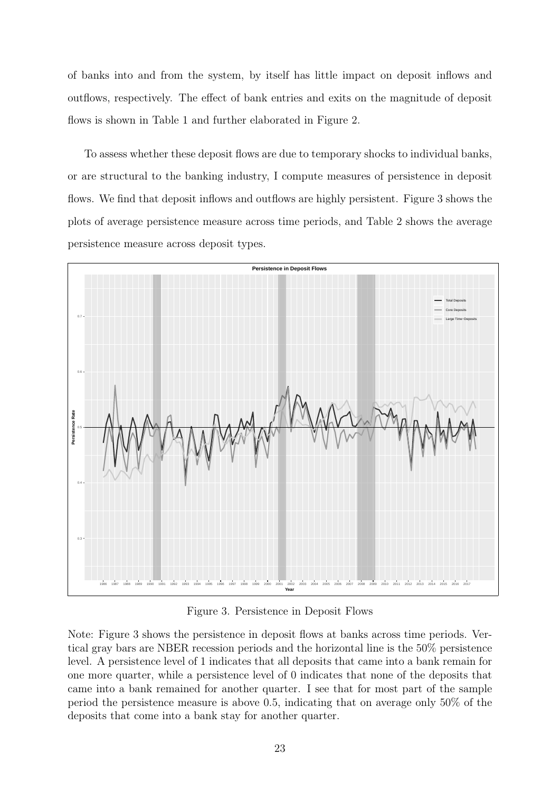of banks into and from the system, by itself has little impact on deposit inflows and outflows, respectively. The effect of bank entries and exits on the magnitude of deposit flows is shown in Table 1 and further elaborated in Figure 2.

To assess whether these deposit flows are due to temporary shocks to individual banks, or are structural to the banking industry, I compute measures of persistence in deposit flows. We find that deposit inflows and outflows are highly persistent. Figure 3 shows the plots of average persistence measure across time periods, and Table 2 shows the average persistence measure across deposit types.



Figure 3. Persistence in Deposit Flows

Note: Figure 3 shows the persistence in deposit flows at banks across time periods. Vertical gray bars are NBER recession periods and the horizontal line is the 50% persistence level. A persistence level of 1 indicates that all deposits that came into a bank remain for one more quarter, while a persistence level of 0 indicates that none of the deposits that came into a bank remained for another quarter. I see that for most part of the sample period the persistence measure is above 0.5, indicating that on average only 50% of the deposits that come into a bank stay for another quarter.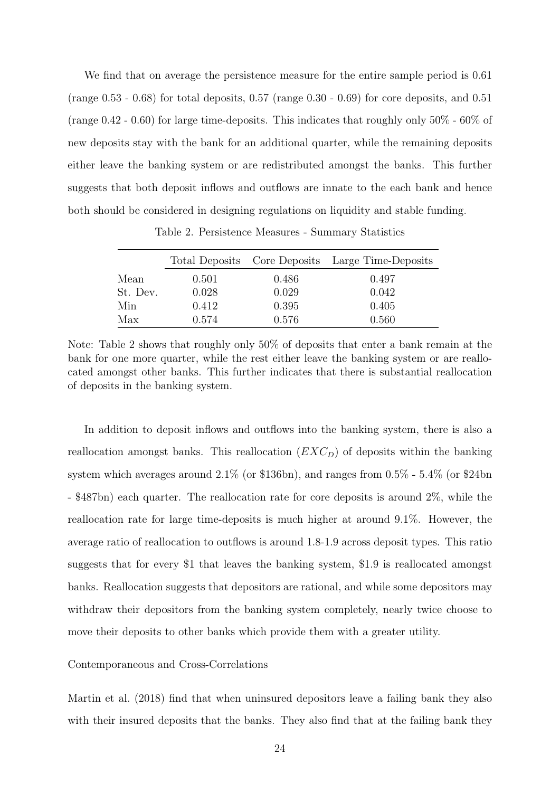We find that on average the persistence measure for the entire sample period is 0.61 (range  $0.53 - 0.68$ ) for total deposits,  $0.57$  (range  $0.30 - 0.69$ ) for core deposits, and  $0.51$ (range 0.42 - 0.60) for large time-deposits. This indicates that roughly only 50% - 60% of new deposits stay with the bank for an additional quarter, while the remaining deposits either leave the banking system or are redistributed amongst the banks. This further suggests that both deposit inflows and outflows are innate to the each bank and hence both should be considered in designing regulations on liquidity and stable funding.

|          |       |       | Total Deposits Core Deposits Large Time-Deposits |
|----------|-------|-------|--------------------------------------------------|
| Mean     | 0.501 | 0.486 | 0.497                                            |
| St. Dev. | 0.028 | 0.029 | 0.042                                            |
| Min      | 0.412 | 0.395 | 0.405                                            |
| Max      | 0.574 | 0.576 | 0.560                                            |

Table 2. Persistence Measures - Summary Statistics

Note: Table 2 shows that roughly only 50% of deposits that enter a bank remain at the bank for one more quarter, while the rest either leave the banking system or are reallocated amongst other banks. This further indicates that there is substantial reallocation of deposits in the banking system.

In addition to deposit inflows and outflows into the banking system, there is also a reallocation amongst banks. This reallocation  $(EXC<sub>D</sub>)$  of deposits within the banking system which averages around 2.1% (or \$136bn), and ranges from 0.5% - 5.4% (or \$24bn - \$487bn) each quarter. The reallocation rate for core deposits is around 2%, while the reallocation rate for large time-deposits is much higher at around 9.1%. However, the average ratio of reallocation to outflows is around 1.8-1.9 across deposit types. This ratio suggests that for every \$1 that leaves the banking system, \$1.9 is reallocated amongst banks. Reallocation suggests that depositors are rational, and while some depositors may withdraw their depositors from the banking system completely, nearly twice choose to move their deposits to other banks which provide them with a greater utility.

#### Contemporaneous and Cross-Correlations

Martin et al. (2018) find that when uninsured depositors leave a failing bank they also with their insured deposits that the banks. They also find that at the failing bank they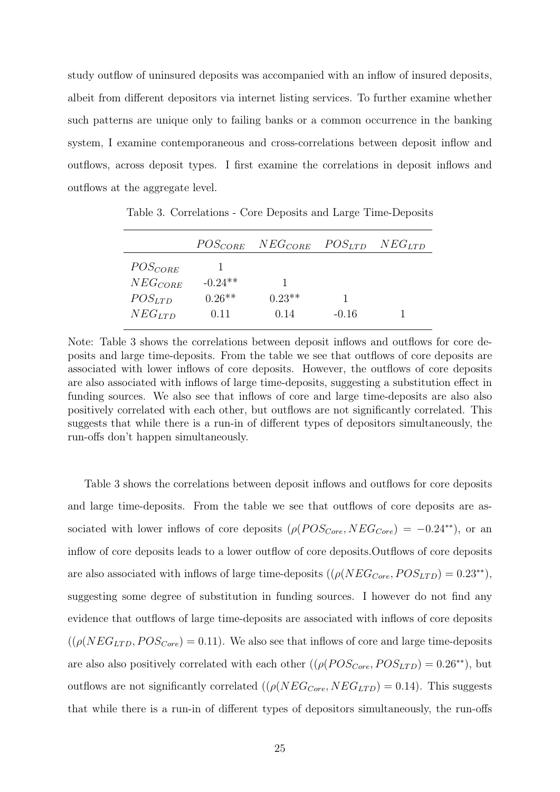study outflow of uninsured deposits was accompanied with an inflow of insured deposits, albeit from different depositors via internet listing services. To further examine whether such patterns are unique only to failing banks or a common occurrence in the banking system, I examine contemporaneous and cross-correlations between deposit inflow and outflows, across deposit types. I first examine the correlations in deposit inflows and outflows at the aggregate level.

|              | $POS_{CORE}$ | $NEG_{CORE}$ | $POS_{LTD}$ | $NEG_{LTD}$ |
|--------------|--------------|--------------|-------------|-------------|
| $POS_{CORE}$ |              |              |             |             |
| $NEG_{CORE}$ | $-0.24**$    |              |             |             |
| $POS_{LTD}$  | $0.26**$     | $0.23**$     |             |             |
| $NEG_{LTD}$  | 0.11         | 0.14         | $-0.16$     |             |

Table 3. Correlations - Core Deposits and Large Time-Deposits

Note: Table 3 shows the correlations between deposit inflows and outflows for core deposits and large time-deposits. From the table we see that outflows of core deposits are associated with lower inflows of core deposits. However, the outflows of core deposits are also associated with inflows of large time-deposits, suggesting a substitution effect in funding sources. We also see that inflows of core and large time-deposits are also also positively correlated with each other, but outflows are not significantly correlated. This suggests that while there is a run-in of different types of depositors simultaneously, the run-offs don't happen simultaneously.

Table 3 shows the correlations between deposit inflows and outflows for core deposits and large time-deposits. From the table we see that outflows of core deposits are associated with lower inflows of core deposits  $(\rho(POS_{Core}, NEG_{core}) = -0.24^{**})$ , or an inflow of core deposits leads to a lower outflow of core deposits.Outflows of core deposits are also associated with inflows of large time-deposits  $((\rho(NEG_{Core},POS_{LTD})=0.23^{**}),$ suggesting some degree of substitution in funding sources. I however do not find any evidence that outflows of large time-deposits are associated with inflows of core deposits  $((\rho(NEG_{LTD}, POS_{Core}) = 0.11)$ . We also see that inflows of core and large time-deposits are also also positively correlated with each other  $((\rho(POS_{Core}, POS_{LTD}) = 0.26^{**})$ , but outflows are not significantly correlated  $((\rho(NEG_{Core}, NEG_{LTD}) = 0.14)$ . This suggests that while there is a run-in of different types of depositors simultaneously, the run-offs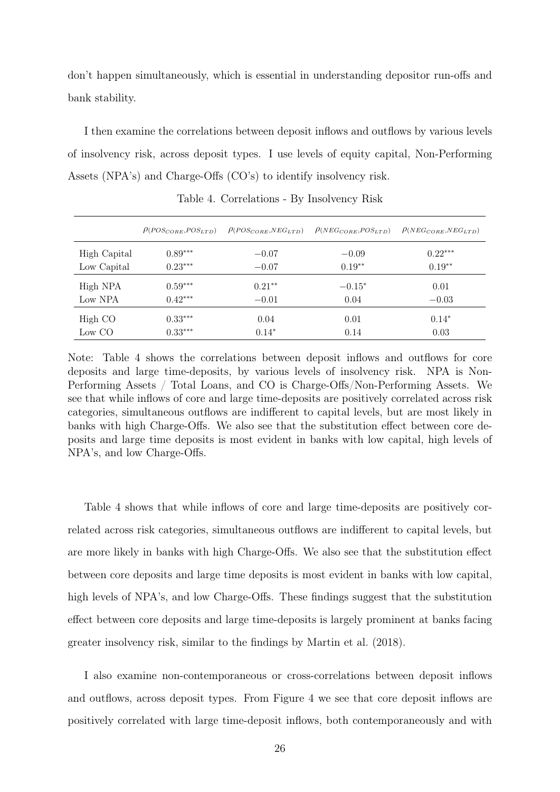don't happen simultaneously, which is essential in understanding depositor run-offs and bank stability.

I then examine the correlations between deposit inflows and outflows by various levels of insolvency risk, across deposit types. I use levels of equity capital, Non-Performing Assets (NPA's) and Charge-Offs (CO's) to identify insolvency risk.

|              | $P(POS_{COBE},POS_{LTD})$ | $\rho_{(POS_{CORE},NEG_{LTD})}$ | $\rho_{(NEG_{CORE},POS_{LTD})}$ | $\rho_{(NEG_{CORE},NEG_{LTD})}$ |
|--------------|---------------------------|---------------------------------|---------------------------------|---------------------------------|
| High Capital | $0.89***$                 | $-0.07$                         | $-0.09$                         | $0.22***$                       |
| Low Capital  | $0.23***$                 | $-0.07$                         | $0.19**$                        | $0.19**$                        |
| High NPA     | $0.59***$                 | $0.21**$                        | $-0.15^*$                       | 0.01                            |
| Low NPA      | $0.42***$                 | $-0.01$                         | 0.04                            | $-0.03$                         |
| High CO      | $0.33***$                 | 0.04                            | 0.01                            | $0.14*$                         |
| Low CO       | $0.33***$                 | $0.14*$                         | 0.14                            | 0.03                            |

Table 4. Correlations - By Insolvency Risk

Note: Table 4 shows the correlations between deposit inflows and outflows for core deposits and large time-deposits, by various levels of insolvency risk. NPA is Non-Performing Assets / Total Loans, and CO is Charge-Offs/Non-Performing Assets. We see that while inflows of core and large time-deposits are positively correlated across risk categories, simultaneous outflows are indifferent to capital levels, but are most likely in banks with high Charge-Offs. We also see that the substitution effect between core deposits and large time deposits is most evident in banks with low capital, high levels of NPA's, and low Charge-Offs.

Table 4 shows that while inflows of core and large time-deposits are positively correlated across risk categories, simultaneous outflows are indifferent to capital levels, but are more likely in banks with high Charge-Offs. We also see that the substitution effect between core deposits and large time deposits is most evident in banks with low capital, high levels of NPA's, and low Charge-Offs. These findings suggest that the substitution effect between core deposits and large time-deposits is largely prominent at banks facing greater insolvency risk, similar to the findings by Martin et al. (2018).

I also examine non-contemporaneous or cross-correlations between deposit inflows and outflows, across deposit types. From Figure 4 we see that core deposit inflows are positively correlated with large time-deposit inflows, both contemporaneously and with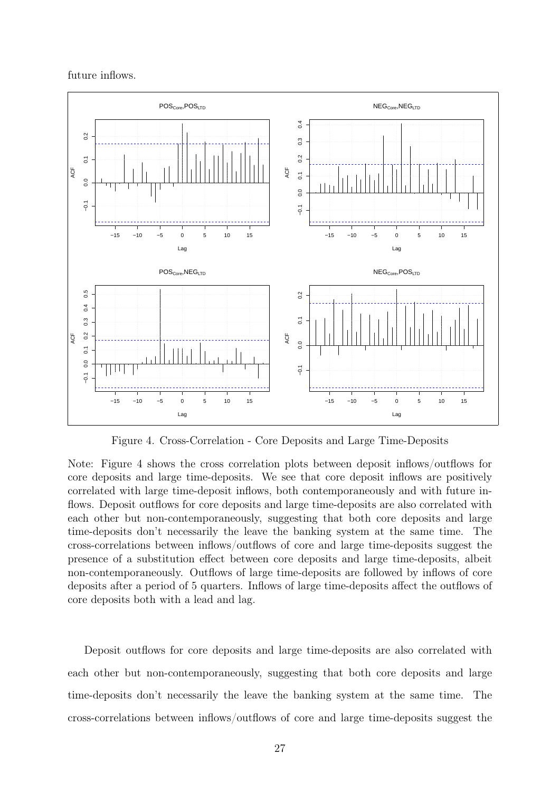future inflows.



Figure 4. Cross-Correlation - Core Deposits and Large Time-Deposits

Note: Figure 4 shows the cross correlation plots between deposit inflows/outflows for core deposits and large time-deposits. We see that core deposit inflows are positively correlated with large time-deposit inflows, both contemporaneously and with future inflows. Deposit outflows for core deposits and large time-deposits are also correlated with each other but non-contemporaneously, suggesting that both core deposits and large time-deposits don't necessarily the leave the banking system at the same time. The cross-correlations between inflows/outflows of core and large time-deposits suggest the presence of a substitution effect between core deposits and large time-deposits, albeit non-contemporaneously. Outflows of large time-deposits are followed by inflows of core deposits after a period of 5 quarters. Inflows of large time-deposits affect the outflows of core deposits both with a lead and lag.

Deposit outflows for core deposits and large time-deposits are also correlated with each other but non-contemporaneously, suggesting that both core deposits and large time-deposits don't necessarily the leave the banking system at the same time. The cross-correlations between inflows/outflows of core and large time-deposits suggest the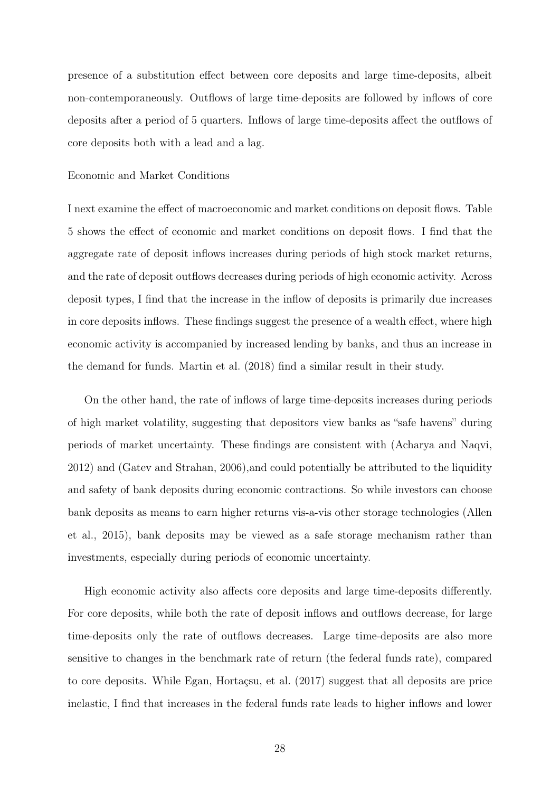presence of a substitution effect between core deposits and large time-deposits, albeit non-contemporaneously. Outflows of large time-deposits are followed by inflows of core deposits after a period of 5 quarters. Inflows of large time-deposits affect the outflows of core deposits both with a lead and a lag.

#### Economic and Market Conditions

I next examine the effect of macroeconomic and market conditions on deposit flows. Table 5 shows the effect of economic and market conditions on deposit flows. I find that the aggregate rate of deposit inflows increases during periods of high stock market returns, and the rate of deposit outflows decreases during periods of high economic activity. Across deposit types, I find that the increase in the inflow of deposits is primarily due increases in core deposits inflows. These findings suggest the presence of a wealth effect, where high economic activity is accompanied by increased lending by banks, and thus an increase in the demand for funds. Martin et al. (2018) find a similar result in their study.

On the other hand, the rate of inflows of large time-deposits increases during periods of high market volatility, suggesting that depositors view banks as "safe havens" during periods of market uncertainty. These findings are consistent with (Acharya and Naqvi, 2012) and (Gatev and Strahan, 2006),and could potentially be attributed to the liquidity and safety of bank deposits during economic contractions. So while investors can choose bank deposits as means to earn higher returns vis-a-vis other storage technologies (Allen et al., 2015), bank deposits may be viewed as a safe storage mechanism rather than investments, especially during periods of economic uncertainty.

High economic activity also affects core deposits and large time-deposits differently. For core deposits, while both the rate of deposit inflows and outflows decrease, for large time-deposits only the rate of outflows decreases. Large time-deposits are also more sensitive to changes in the benchmark rate of return (the federal funds rate), compared to core deposits. While Egan, Hortaçsu, et al. (2017) suggest that all deposits are price inelastic, I find that increases in the federal funds rate leads to higher inflows and lower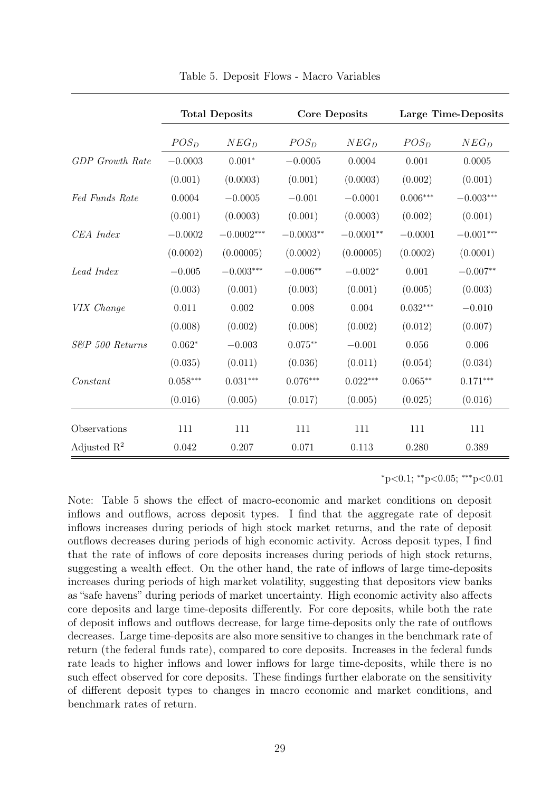|                        | <b>Total Deposits</b> |                  |             | <b>Core Deposits</b> | Large Time-Deposits |             |  |
|------------------------|-----------------------|------------------|-------------|----------------------|---------------------|-------------|--|
|                        | $POS_{D}$             | $NEG_{D}$        | $POS_{D}$   | $NEG_{D}$            | $POS_{D}$           | $NEG_{D}$   |  |
| <b>GDP</b> Growth Rate | $-0.0003$             | $0.001*$         | $-0.0005$   | 0.0004               | 0.001               | 0.0005      |  |
|                        | (0.001)               | (0.0003)         | (0.001)     | (0.0003)             | (0.002)             | (0.001)     |  |
| Fed Funds Rate         | 0.0004                | $-0.0005$        | $-0.001$    | $-0.0001$            | $0.006***$          | $-0.003***$ |  |
|                        | (0.001)               | (0.0003)         | (0.001)     | (0.0003)             | (0.002)             | (0.001)     |  |
| CEA Index              | $-0.0002$             | $-0.0002***$     | $-0.0003**$ | $-0.0001**$          | $-0.0001$           | $-0.001***$ |  |
|                        | (0.0002)              | (0.00005)        | (0.0002)    | (0.00005)            | (0.0002)            | (0.0001)    |  |
| Lead Index             | $-0.005$              | $-0.003^{***}\,$ | $-0.006**$  | $-0.002*$            | 0.001               | $-0.007**$  |  |
|                        | (0.003)               | (0.001)          | (0.003)     | (0.001)              | (0.005)             | (0.003)     |  |
| VIX Change             | 0.011                 | 0.002            | 0.008       | 0.004                | $0.032***$          | $-0.010$    |  |
|                        | (0.008)               | (0.002)          | (0.008)     | (0.002)              | (0.012)             | (0.007)     |  |
| S&P 500 Returns        | $0.062*$              | $-0.003$         | $0.075**$   | $-0.001$             | 0.056               | 0.006       |  |
|                        | (0.035)               | (0.011)          | (0.036)     | (0.011)              | (0.054)             | (0.034)     |  |
| Constant               | $0.058***$            | $0.031***$       | $0.076***$  | $0.022***$           | $0.065**$           | $0.171***$  |  |
|                        | (0.016)               | (0.005)          | (0.017)     | (0.005)              | (0.025)             | (0.016)     |  |
| Observations           | 111                   | 111              | 111         | 111                  | 111                 | 111         |  |
| Adjusted $R^2$         | 0.042                 | 0.207            | 0.071       | 0.113                | 0.280               | 0.389       |  |

Table 5. Deposit Flows - Macro Variables

 $*p<0.1$ ;  $*p<0.05$ ;  $**p<0.01$ 

Note: Table 5 shows the effect of macro-economic and market conditions on deposit inflows and outflows, across deposit types. I find that the aggregate rate of deposit inflows increases during periods of high stock market returns, and the rate of deposit outflows decreases during periods of high economic activity. Across deposit types, I find that the rate of inflows of core deposits increases during periods of high stock returns, suggesting a wealth effect. On the other hand, the rate of inflows of large time-deposits increases during periods of high market volatility, suggesting that depositors view banks as "safe havens" during periods of market uncertainty. High economic activity also affects core deposits and large time-deposits differently. For core deposits, while both the rate of deposit inflows and outflows decrease, for large time-deposits only the rate of outflows decreases. Large time-deposits are also more sensitive to changes in the benchmark rate of return (the federal funds rate), compared to core deposits. Increases in the federal funds rate leads to higher inflows and lower inflows for large time-deposits, while there is no such effect observed for core deposits. These findings further elaborate on the sensitivity of different deposit types to changes in macro economic and market conditions, and benchmark rates of return.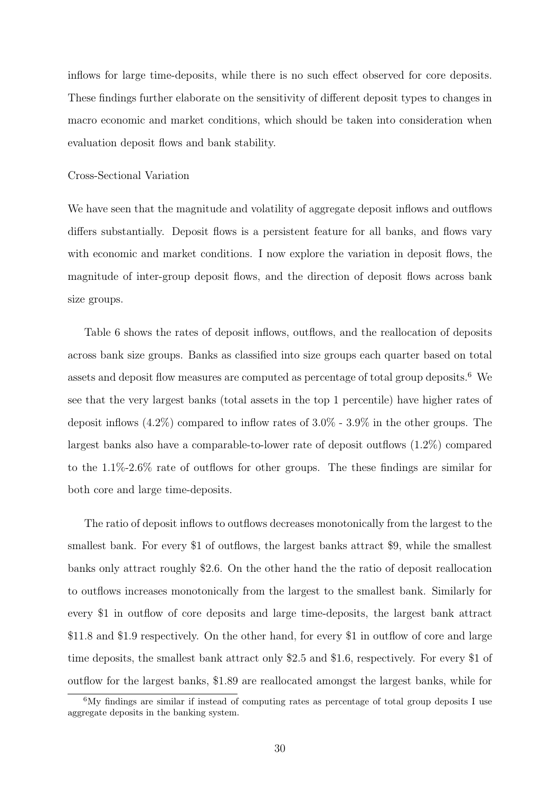inflows for large time-deposits, while there is no such effect observed for core deposits. These findings further elaborate on the sensitivity of different deposit types to changes in macro economic and market conditions, which should be taken into consideration when evaluation deposit flows and bank stability.

### Cross-Sectional Variation

We have seen that the magnitude and volatility of aggregate deposit inflows and outflows differs substantially. Deposit flows is a persistent feature for all banks, and flows vary with economic and market conditions. I now explore the variation in deposit flows, the magnitude of inter-group deposit flows, and the direction of deposit flows across bank size groups.

Table 6 shows the rates of deposit inflows, outflows, and the reallocation of deposits across bank size groups. Banks as classified into size groups each quarter based on total assets and deposit flow measures are computed as percentage of total group deposits.<sup>6</sup> We see that the very largest banks (total assets in the top 1 percentile) have higher rates of deposit inflows (4.2%) compared to inflow rates of 3.0% - 3.9% in the other groups. The largest banks also have a comparable-to-lower rate of deposit outflows (1.2%) compared to the 1.1%-2.6% rate of outflows for other groups. The these findings are similar for both core and large time-deposits.

The ratio of deposit inflows to outflows decreases monotonically from the largest to the smallest bank. For every \$1 of outflows, the largest banks attract \$9, while the smallest banks only attract roughly \$2.6. On the other hand the the ratio of deposit reallocation to outflows increases monotonically from the largest to the smallest bank. Similarly for every \$1 in outflow of core deposits and large time-deposits, the largest bank attract \$11.8 and \$1.9 respectively. On the other hand, for every \$1 in outflow of core and large time deposits, the smallest bank attract only \$2.5 and \$1.6, respectively. For every \$1 of outflow for the largest banks, \$1.89 are reallocated amongst the largest banks, while for

<sup>6</sup>My findings are similar if instead of computing rates as percentage of total group deposits I use aggregate deposits in the banking system.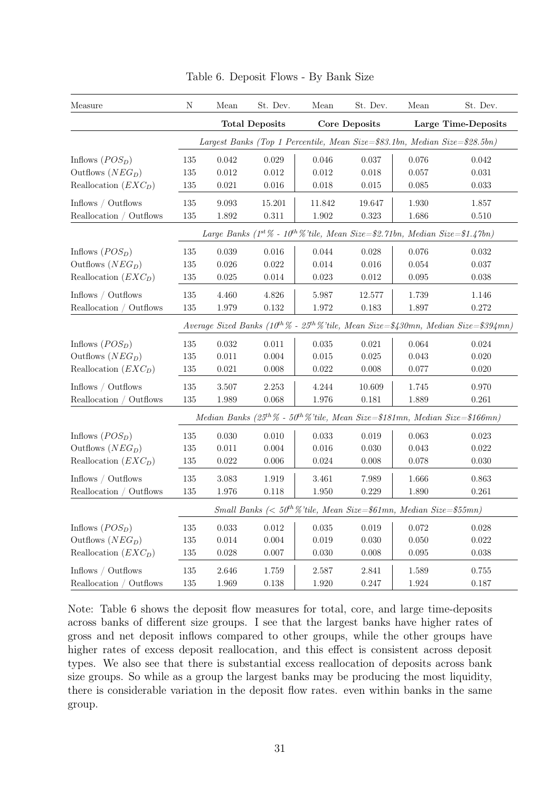| Measure                 | N                                                                                       | Mean                                                                                           | St. Dev.    | Mean   | St. Dev.             | Mean                | St. Dev.                                                                                                   |  |  |  |  |
|-------------------------|-----------------------------------------------------------------------------------------|------------------------------------------------------------------------------------------------|-------------|--------|----------------------|---------------------|------------------------------------------------------------------------------------------------------------|--|--|--|--|
|                         |                                                                                         | <b>Total Deposits</b>                                                                          |             |        | <b>Core Deposits</b> | Large Time-Deposits |                                                                                                            |  |  |  |  |
|                         | Largest Banks (Top 1 Percentile, Mean Size=\$83.1bn, Median Size=\$28.5bn)              |                                                                                                |             |        |                      |                     |                                                                                                            |  |  |  |  |
| Inflows $(POS_D)$       | 135                                                                                     | 0.042                                                                                          | 0.029       | 0.046  | 0.037                | 0.076               | 0.042                                                                                                      |  |  |  |  |
| Outflows $(NEG_{D})$    | 135                                                                                     | 0.012                                                                                          | 0.012       | 0.012  | 0.018                | 0.057               | 0.031                                                                                                      |  |  |  |  |
| Reallocation $(EXC_D)$  | 135                                                                                     | 0.021                                                                                          | 0.016       | 0.018  | 0.015                | 0.085               | 0.033                                                                                                      |  |  |  |  |
| Inflows / Outflows      | 135                                                                                     | 9.093                                                                                          | 15.201      | 11.842 | 19.647               | 1.930               | 1.857                                                                                                      |  |  |  |  |
| Reallocation / Outflows | 135                                                                                     | 1.892                                                                                          | 0.311       | 1.902  | 0.323                | 1.686               | 0.510                                                                                                      |  |  |  |  |
|                         | Large Banks ( $1^{st}\%$ - $10^{th}\%$ 'tile, Mean Size=\$2.71bn, Median Size=\$1.47bn) |                                                                                                |             |        |                      |                     |                                                                                                            |  |  |  |  |
| Inflows $(POS_D)$       | 135                                                                                     | 0.039                                                                                          | 0.016       | 0.044  | 0.028                | 0.076               | 0.032                                                                                                      |  |  |  |  |
| Outflows $(NEG_{D})$    | 135                                                                                     | 0.026                                                                                          | 0.022       | 0.014  | 0.016                | 0.054               | 0.037                                                                                                      |  |  |  |  |
| Reallocation $(EXC_D)$  | 135                                                                                     | 0.025                                                                                          | 0.014       | 0.023  | 0.012                | 0.095               | 0.038                                                                                                      |  |  |  |  |
| Inflows / Outflows      | 135                                                                                     | 4.460                                                                                          | $4.826\,$   | 5.987  | 12.577               | 1.739               | 1.146                                                                                                      |  |  |  |  |
| Reallocation / Outflows | 135                                                                                     | 1.979                                                                                          | 0.132       | 1.972  | 0.183                | 1.897               | 0.272                                                                                                      |  |  |  |  |
|                         |                                                                                         | Average Sized Banks ( $10^{th}\%$ - $25^{th}\%$ 'tile, Mean Size=\$430mn, Median Size=\$394mn) |             |        |                      |                     |                                                                                                            |  |  |  |  |
| Inflows $(POSD)$        | 135                                                                                     | 0.032                                                                                          | 0.011       | 0.035  | 0.021                | 0.064               | $\,0.024\,$                                                                                                |  |  |  |  |
| Outflows $(NEG_{D})$    | 135                                                                                     | 0.011                                                                                          | 0.004       | 0.015  | 0.025                | 0.043               | 0.020                                                                                                      |  |  |  |  |
| Reallocation $(EXC_D)$  | 135                                                                                     | 0.021                                                                                          | 0.008       | 0.022  | 0.008                | 0.077               | 0.020                                                                                                      |  |  |  |  |
| Inflows / Outflows      | 135                                                                                     | 3.507                                                                                          | 2.253       | 4.244  | 10.609               | 1.745               | 0.970                                                                                                      |  |  |  |  |
| Reallocation / Outflows | 135                                                                                     | 1.989                                                                                          | 0.068       | 1.976  | 0.181                | 1.889               | 0.261                                                                                                      |  |  |  |  |
|                         |                                                                                         |                                                                                                |             |        |                      |                     | Median Banks (25 <sup>th</sup> $\%$ - 50 <sup>th</sup> $\%$ 'tile, Mean Size=\$181mn, Median Size=\$166mn) |  |  |  |  |
| Inflows $(POS_D)$       | 135                                                                                     | 0.030                                                                                          | 0.010       | 0.033  | 0.019                | 0.063               | 0.023                                                                                                      |  |  |  |  |
| Outflows $(NEG_{D})$    | 135                                                                                     | 0.011                                                                                          | 0.004       | 0.016  | 0.030                | 0.043               | $0.022\,$                                                                                                  |  |  |  |  |
| Reallocation $(EXC_D)$  | 135                                                                                     | $0.022\,$                                                                                      | 0.006       | 0.024  | 0.008                | 0.078               | 0.030                                                                                                      |  |  |  |  |
| Inflows / Outflows      | 135                                                                                     | 3.083                                                                                          | 1.919       | 3.461  | 7.989                | 1.666               | 0.863                                                                                                      |  |  |  |  |
| Reallocation / Outflows | 135                                                                                     | 1.976                                                                                          | 0.118       | 1.950  | 0.229                | 1.890               | 0.261                                                                                                      |  |  |  |  |
|                         | Small Banks (< $50^{th}\%$ 'tile, Mean Size=\$61mn, Median Size=\$55mn)                 |                                                                                                |             |        |                      |                     |                                                                                                            |  |  |  |  |
| Inflows $(POS_D)$       | 135                                                                                     | 0.033                                                                                          | $\,0.012\,$ | 0.035  | 0.019                | 0.072               | $0.028\,$                                                                                                  |  |  |  |  |
| Outflows $(NEG_{D})$    | 135                                                                                     | 0.014                                                                                          | 0.004       | 0.019  | 0.030                | 0.050               | $0.022\,$                                                                                                  |  |  |  |  |
| Reallocation $(EXC_D)$  | 135                                                                                     | $0.028\,$                                                                                      | 0.007       | 0.030  | 0.008                | $0.095\,$           | $0.038\,$                                                                                                  |  |  |  |  |
| Inflows / Outflows      | 135                                                                                     | 2.646                                                                                          | 1.759       | 2.587  | 2.841                | 1.589               | $0.755\,$                                                                                                  |  |  |  |  |
| Reallocation / Outflows | $135\,$                                                                                 | 1.969                                                                                          | $0.138\,$   | 1.920  | 0.247                | $1.924\,$           | 0.187                                                                                                      |  |  |  |  |

Table 6. Deposit Flows - By Bank Size

Note: Table 6 shows the deposit flow measures for total, core, and large time-deposits across banks of different size groups. I see that the largest banks have higher rates of gross and net deposit inflows compared to other groups, while the other groups have higher rates of excess deposit reallocation, and this effect is consistent across deposit types. We also see that there is substantial excess reallocation of deposits across bank size groups. So while as a group the largest banks may be producing the most liquidity, there is considerable variation in the deposit flow rates. even within banks in the same group.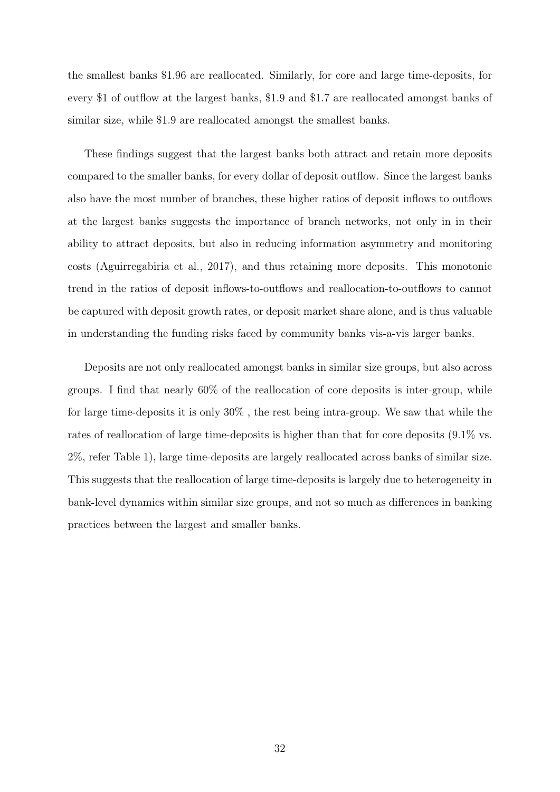the smallest banks \$1.96 are reallocated. Similarly, for core and large time-deposits, for every \$1 of outflow at the largest banks, \$1.9 and \$1.7 are reallocated amongst banks of similar size, while \$1.9 are reallocated amongst the smallest banks.

These findings suggest that the largest banks both attract and retain more deposits compared to the smaller banks, for every dollar of deposit outflow. Since the largest banks also have the most number of branches, these higher ratios of deposit inflows to outflows at the largest banks suggests the importance of branch networks, not only in in their ability to attract deposits, but also in reducing information asymmetry and monitoring costs (Aguirregabiria et al., 2017), and thus retaining more deposits. This monotonic trend in the ratios of deposit inflows-to-outflows and reallocation-to-outflows to cannot be captured with deposit growth rates, or deposit market share alone, and is thus valuable in understanding the funding risks faced by community banks vis-a-vis larger banks.

Deposits are not only reallocated amongst banks in similar size groups, but also across groups. I find that nearly 60% of the reallocation of core deposits is inter-group, while for large time-deposits it is only 30% , the rest being intra-group. We saw that while the rates of reallocation of large time-deposits is higher than that for core deposits (9.1% vs. 2%, refer Table 1), large time-deposits are largely reallocated across banks of similar size. This suggests that the reallocation of large time-deposits is largely due to heterogeneity in bank-level dynamics within similar size groups, and not so much as differences in banking practices between the largest and smaller banks.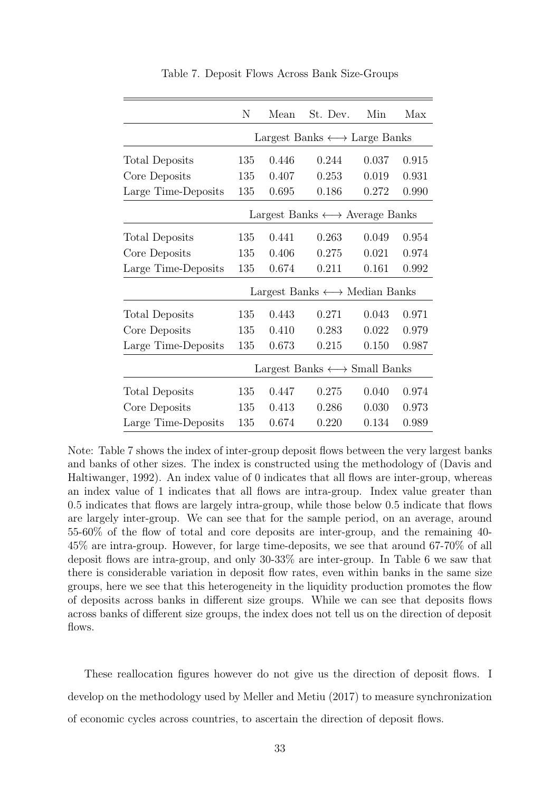|                       | N                                                | Mean           | St. Dev.                                          | Min   | Max   |  |  |
|-----------------------|--------------------------------------------------|----------------|---------------------------------------------------|-------|-------|--|--|
|                       | Largest Banks $\longleftrightarrow$ Large Banks  |                |                                                   |       |       |  |  |
| <b>Total Deposits</b> | 135                                              | 0.446          | 0.244                                             | 0.037 | 0.915 |  |  |
| Core Deposits         | 135                                              | 0.407          | 0.253                                             |       | 0.931 |  |  |
| Large Time-Deposits   | 135                                              | 0.695          | 0.186                                             | 0.272 | 0.990 |  |  |
|                       |                                                  |                | Largest Banks $\longleftrightarrow$ Average Banks |       |       |  |  |
| Total Deposits        | 135                                              | 0.441          | 0.263                                             | 0.049 | 0.954 |  |  |
| Core Deposits         | 135                                              | 0.406          | 0.275                                             | 0.021 | 0.974 |  |  |
| Large Time-Deposits   | 135                                              | 0.674<br>0.211 |                                                   | 0.161 | 0.992 |  |  |
|                       | Largest Banks $\longleftrightarrow$ Median Banks |                |                                                   |       |       |  |  |
| <b>Total Deposits</b> | 135                                              | 0.443          | 0.271                                             | 0.043 | 0.971 |  |  |
| Core Deposits         | 135                                              | 0.410          | 0.283                                             | 0.022 | 0.979 |  |  |
| Large Time-Deposits   | 135                                              | 0.673<br>0.215 |                                                   | 0.150 | 0.987 |  |  |
|                       | Largest Banks $\longleftrightarrow$ Small Banks  |                |                                                   |       |       |  |  |
| Total Deposits        | 135                                              | 0.447          | 0.275                                             | 0.040 | 0.974 |  |  |
| Core Deposits         | 135                                              | 0.413          | 0.286                                             | 0.030 | 0.973 |  |  |
| Large Time-Deposits   | 135                                              | 0.674          | 0.220                                             | 0.134 | 0.989 |  |  |

Table 7. Deposit Flows Across Bank Size-Groups

Note: Table 7 shows the index of inter-group deposit flows between the very largest banks and banks of other sizes. The index is constructed using the methodology of (Davis and Haltiwanger, 1992). An index value of 0 indicates that all flows are inter-group, whereas an index value of 1 indicates that all flows are intra-group. Index value greater than 0.5 indicates that flows are largely intra-group, while those below 0.5 indicate that flows are largely inter-group. We can see that for the sample period, on an average, around 55-60% of the flow of total and core deposits are inter-group, and the remaining 40- 45% are intra-group. However, for large time-deposits, we see that around 67-70% of all deposit flows are intra-group, and only 30-33% are inter-group. In Table 6 we saw that there is considerable variation in deposit flow rates, even within banks in the same size groups, here we see that this heterogeneity in the liquidity production promotes the flow of deposits across banks in different size groups. While we can see that deposits flows across banks of different size groups, the index does not tell us on the direction of deposit flows.

These reallocation figures however do not give us the direction of deposit flows. I develop on the methodology used by Meller and Metiu (2017) to measure synchronization of economic cycles across countries, to ascertain the direction of deposit flows.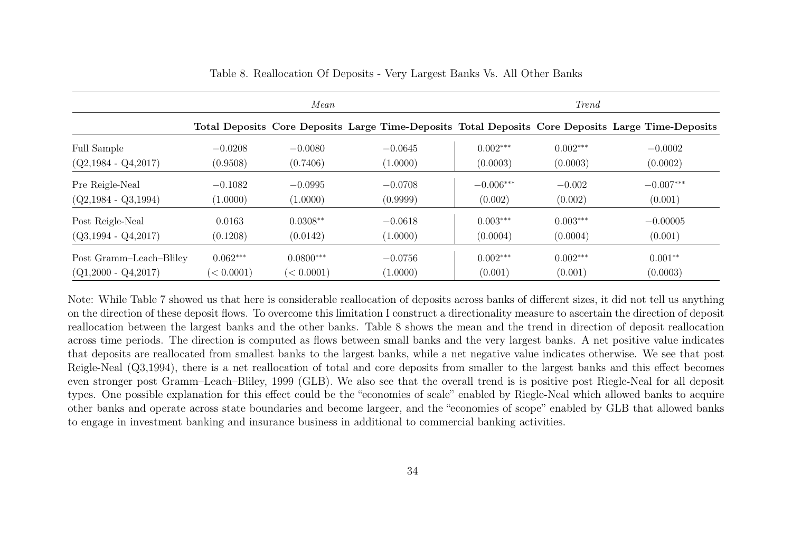|                         | Mean       |             |                                                                                                   | <i>Trend</i> |            |             |  |
|-------------------------|------------|-------------|---------------------------------------------------------------------------------------------------|--------------|------------|-------------|--|
|                         |            |             | Total Deposits Core Deposits Large Time-Deposits Total Deposits Core Deposits Large Time-Deposits |              |            |             |  |
| Full Sample             | $-0.0208$  | $-0.0080$   | $-0.0645$                                                                                         | $0.002***$   | $0.002***$ | $-0.0002$   |  |
| $(Q2, 1984 - Q4, 2017)$ | (0.9508)   | (0.7406)    | (1.0000)                                                                                          | (0.0003)     | (0.0003)   | (0.0002)    |  |
| Pre Reigle-Neal         | $-0.1082$  | $-0.0995$   | $-0.0708$                                                                                         | $-0.006***$  | $-0.002$   | $-0.007***$ |  |
| $(Q2, 1984 - Q3, 1994)$ | (1.0000)   | (1.0000)    | (0.9999)                                                                                          | (0.002)      | (0.002)    | (0.001)     |  |
| Post Reigle-Neal        | 0.0163     | $0.0308**$  | $-0.0618$                                                                                         | $0.003***$   | $0.003***$ | $-0.00005$  |  |
| $(Q3, 1994 - Q4, 2017)$ | (0.1208)   | (0.0142)    | (1.0000)                                                                                          | (0.0004)     | (0.0004)   | (0.001)     |  |
| Post Gramm-Leach-Bliley | $0.062***$ | $0.0800***$ | $-0.0756$                                                                                         | $0.002***$   | $0.002***$ | $0.001**$   |  |
| $(Q1,2000 - Q4,2017)$   | (< 0.0001) | (< 0.0001)  | (1.0000)                                                                                          | (0.001)      | (0.001)    | (0.0003)    |  |

Table 8. Reallocation Of Deposits - Very Largest Banks Vs. All Other Banks

Note: While Table 7 showed us that here is considerable reallocation of deposits across banks of different sizes, it did not tell us anything on the direction of these deposit flows. To overcome this limitation I construct <sup>a</sup> directionality measure to ascertain the direction of deposit reallocation between the largest banks and the other banks. Table 8 shows the mean and the trend in direction of deposit reallocation across time periods. The direction is computed as flows between small banks and the very largest banks. A net positive value indicates that deposits are reallocated from smallest banks to the largest banks, while <sup>a</sup> net negative value indicates otherwise. We see that post Reigle-Neal (Q3,1994), there is <sup>a</sup> net reallocation of total and core deposits from smaller to the largest banks and this effect becomes even stronger post Gramm–Leach–Bliley, <sup>1999</sup> (GLB). We also see that the overall trend is is positive post Riegle-Neal for all deposit types. One possible explanation for this effect could be the "economies of scale" enabled by Riegle-Neal which allowed banks to acquire other banks and operate across state boundaries and become largeer, and the "economies of scope" enabled by GLB that allowed banksto engage in investment banking and insurance business in additional to commercial banking activities.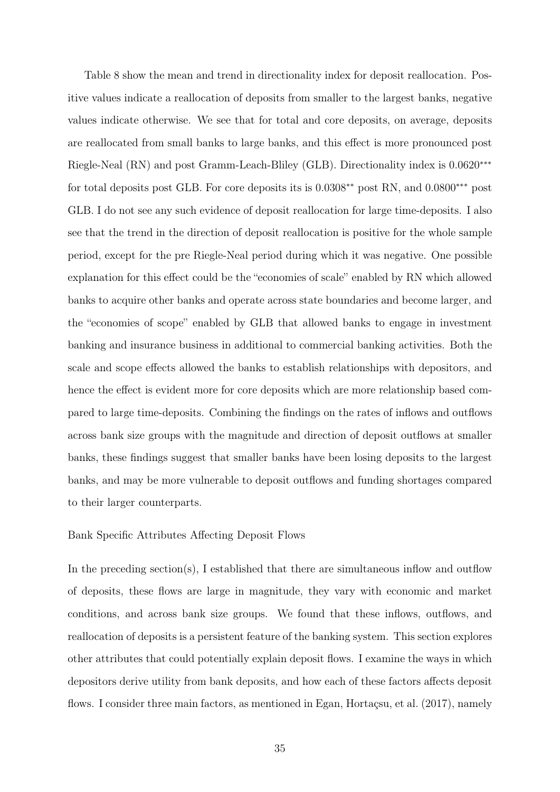Table 8 show the mean and trend in directionality index for deposit reallocation. Positive values indicate a reallocation of deposits from smaller to the largest banks, negative values indicate otherwise. We see that for total and core deposits, on average, deposits are reallocated from small banks to large banks, and this effect is more pronounced post Riegle-Neal (RN) and post Gramm-Leach-Bliley (GLB). Directionality index is 0.0620∗∗∗ for total deposits post GLB. For core deposits its is  $0.0308^{**}$  post RN, and  $0.0800^{***}$  post GLB. I do not see any such evidence of deposit reallocation for large time-deposits. I also see that the trend in the direction of deposit reallocation is positive for the whole sample period, except for the pre Riegle-Neal period during which it was negative. One possible explanation for this effect could be the "economies of scale" enabled by RN which allowed banks to acquire other banks and operate across state boundaries and become larger, and the "economies of scope" enabled by GLB that allowed banks to engage in investment banking and insurance business in additional to commercial banking activities. Both the scale and scope effects allowed the banks to establish relationships with depositors, and hence the effect is evident more for core deposits which are more relationship based compared to large time-deposits. Combining the findings on the rates of inflows and outflows across bank size groups with the magnitude and direction of deposit outflows at smaller banks, these findings suggest that smaller banks have been losing deposits to the largest banks, and may be more vulnerable to deposit outflows and funding shortages compared to their larger counterparts.

## Bank Specific Attributes Affecting Deposit Flows

In the preceding section(s), I established that there are simultaneous inflow and outflow of deposits, these flows are large in magnitude, they vary with economic and market conditions, and across bank size groups. We found that these inflows, outflows, and reallocation of deposits is a persistent feature of the banking system. This section explores other attributes that could potentially explain deposit flows. I examine the ways in which depositors derive utility from bank deposits, and how each of these factors affects deposit flows. I consider three main factors, as mentioned in Egan, Hortaçsu, et al. (2017), namely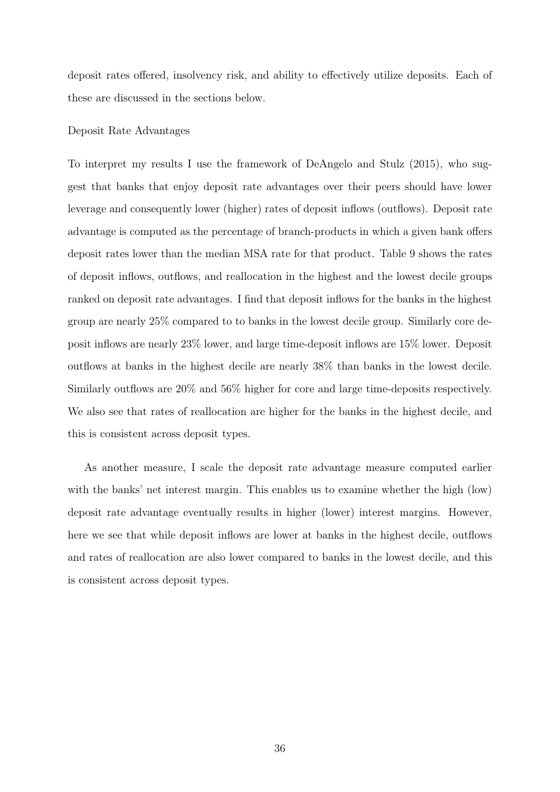deposit rates offered, insolvency risk, and ability to effectively utilize deposits. Each of these are discussed in the sections below.

## Deposit Rate Advantages

To interpret my results I use the framework of DeAngelo and Stulz (2015), who suggest that banks that enjoy deposit rate advantages over their peers should have lower leverage and consequently lower (higher) rates of deposit inflows (outflows). Deposit rate advantage is computed as the percentage of branch-products in which a given bank offers deposit rates lower than the median MSA rate for that product. Table 9 shows the rates of deposit inflows, outflows, and reallocation in the highest and the lowest decile groups ranked on deposit rate advantages. I find that deposit inflows for the banks in the highest group are nearly 25% compared to to banks in the lowest decile group. Similarly core deposit inflows are nearly 23% lower, and large time-deposit inflows are 15% lower. Deposit outflows at banks in the highest decile are nearly 38% than banks in the lowest decile. Similarly outflows are 20% and 56% higher for core and large time-deposits respectively. We also see that rates of reallocation are higher for the banks in the highest decile, and this is consistent across deposit types.

As another measure, I scale the deposit rate advantage measure computed earlier with the banks' net interest margin. This enables us to examine whether the high (low) deposit rate advantage eventually results in higher (lower) interest margins. However, here we see that while deposit inflows are lower at banks in the highest decile, outflows and rates of reallocation are also lower compared to banks in the lowest decile, and this is consistent across deposit types.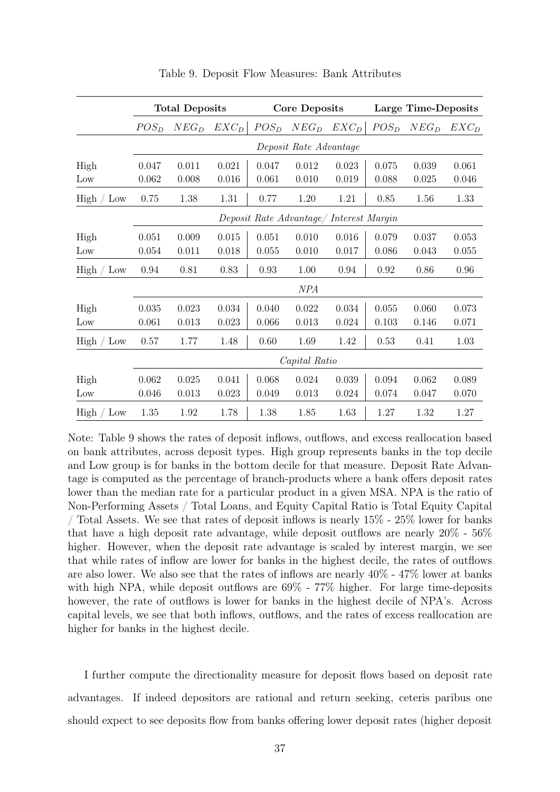|                      | <b>Total Deposits</b>                   |           | <b>Core Deposits</b> |         |           | Large Time-Deposits |           |           |         |
|----------------------|-----------------------------------------|-----------|----------------------|---------|-----------|---------------------|-----------|-----------|---------|
|                      | $POS_{D}$                               | $NEG_{D}$ | $EXC_D$              | $POS_D$ | $NEG_{D}$ | $EXC_D$             | $POS_{D}$ | $NEG_{D}$ | $EXC_D$ |
|                      | Deposit Rate Advantage                  |           |                      |         |           |                     |           |           |         |
| High                 | 0.047                                   | 0.011     | 0.021                | 0.047   | 0.012     | 0.023               | 0.075     | 0.039     | 0.061   |
| Low                  | 0.062                                   | 0.008     | 0.016                | 0.061   | 0.010     | 0.019               | 0.088     | 0.025     | 0.046   |
| High<br>$\angle$ Low | 0.75                                    | 1.38      | 1.31                 | 0.77    | 1.20      | 1.21                | 0.85      | 1.56      | 1.33    |
|                      | Deposit Rate Advantage/ Interest Margin |           |                      |         |           |                     |           |           |         |
| High                 | 0.051                                   | 0.009     | 0.015                | 0.051   | 0.010     | 0.016               | 0.079     | 0.037     | 0.053   |
| Low                  | 0.054                                   | 0.011     | 0.018                | 0.055   | 0.010     | 0.017               | 0.086     | 0.043     | 0.055   |
| Low<br>High          | 0.94                                    | 0.81      | 0.83                 | 0.93    | 1.00      | 0.94                | 0.92      | 0.86      | 0.96    |
|                      | NPA                                     |           |                      |         |           |                     |           |           |         |
| High                 | 0.035                                   | 0.023     | 0.034                | 0.040   | 0.022     | 0.034               | 0.055     | 0.060     | 0.073   |
| Low                  | 0.061                                   | 0.013     | 0.023                | 0.066   | 0.013     | 0.024               | 0.103     | 0.146     | 0.071   |
| High<br>Low          | 0.57                                    | 1.77      | 1.48                 | 0.60    | 1.69      | 1.42                | 0.53      | 0.41      | 1.03    |
|                      | Capital Ratio                           |           |                      |         |           |                     |           |           |         |
| High                 | 0.062                                   | 0.025     | 0.041                | 0.068   | 0.024     | 0.039               | 0.094     | 0.062     | 0.089   |
| Low                  | 0.046                                   | 0.013     | 0.023                | 0.049   | 0.013     | 0.024               | $0.074\,$ | 0.047     | 0.070   |
| High<br>Low          | 1.35                                    | 1.92      | 1.78                 | 1.38    | 1.85      | 1.63                | 1.27      | 1.32      | 1.27    |

Table 9. Deposit Flow Measures: Bank Attributes

Note: Table 9 shows the rates of deposit inflows, outflows, and excess reallocation based on bank attributes, across deposit types. High group represents banks in the top decile and Low group is for banks in the bottom decile for that measure. Deposit Rate Advantage is computed as the percentage of branch-products where a bank offers deposit rates lower than the median rate for a particular product in a given MSA. NPA is the ratio of Non-Performing Assets / Total Loans, and Equity Capital Ratio is Total Equity Capital / Total Assets. We see that rates of deposit inflows is nearly  $15\%$  -  $25\%$  lower for banks that have a high deposit rate advantage, while deposit outflows are nearly 20% - 56% higher. However, when the deposit rate advantage is scaled by interest margin, we see that while rates of inflow are lower for banks in the highest decile, the rates of outflows are also lower. We also see that the rates of inflows are nearly 40% - 47% lower at banks with high NPA, while deposit outflows are  $69\%$  -  $77\%$  higher. For large time-deposits however, the rate of outflows is lower for banks in the highest decile of NPA's. Across capital levels, we see that both inflows, outflows, and the rates of excess reallocation are higher for banks in the highest decile.

I further compute the directionality measure for deposit flows based on deposit rate advantages. If indeed depositors are rational and return seeking, ceteris paribus one should expect to see deposits flow from banks offering lower deposit rates (higher deposit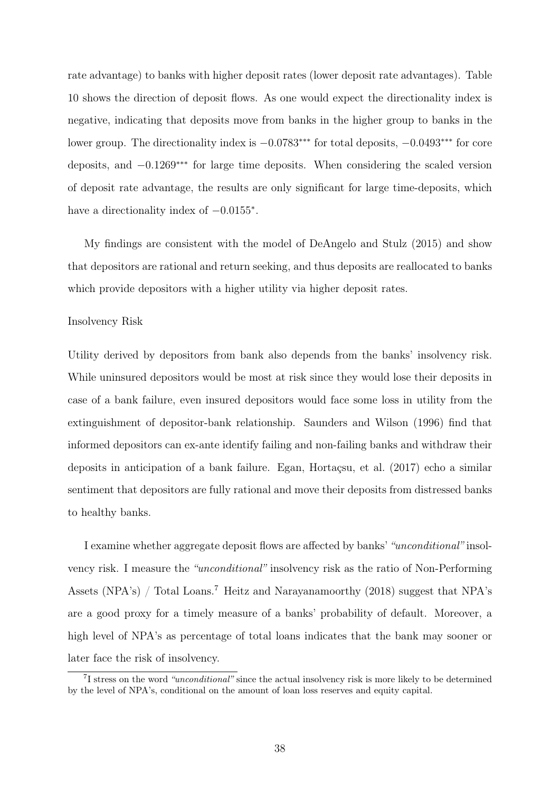rate advantage) to banks with higher deposit rates (lower deposit rate advantages). Table 10 shows the direction of deposit flows. As one would expect the directionality index is negative, indicating that deposits move from banks in the higher group to banks in the lower group. The directionality index is −0.0783∗∗∗ for total deposits, −0.0493∗∗∗ for core deposits, and −0.1269∗∗∗ for large time deposits. When considering the scaled version of deposit rate advantage, the results are only significant for large time-deposits, which have a directionality index of  $-0.0155^*$ .

My findings are consistent with the model of DeAngelo and Stulz (2015) and show that depositors are rational and return seeking, and thus deposits are reallocated to banks which provide depositors with a higher utility via higher deposit rates.

#### Insolvency Risk

Utility derived by depositors from bank also depends from the banks' insolvency risk. While uninsured depositors would be most at risk since they would lose their deposits in case of a bank failure, even insured depositors would face some loss in utility from the extinguishment of depositor-bank relationship. Saunders and Wilson (1996) find that informed depositors can ex-ante identify failing and non-failing banks and withdraw their deposits in anticipation of a bank failure. Egan, Hortaçsu, et al. (2017) echo a similar sentiment that depositors are fully rational and move their deposits from distressed banks to healthy banks.

I examine whether aggregate deposit flows are affected by banks' "unconditional" insolvency risk. I measure the "unconditional" insolvency risk as the ratio of Non-Performing Assets (NPA's) / Total Loans.<sup>7</sup> Heitz and Narayanamoorthy (2018) suggest that NPA's are a good proxy for a timely measure of a banks' probability of default. Moreover, a high level of NPA's as percentage of total loans indicates that the bank may sooner or later face the risk of insolvency.

<sup>&</sup>lt;sup>7</sup>I stress on the word "unconditional" since the actual insolvency risk is more likely to be determined by the level of NPA's, conditional on the amount of loan loss reserves and equity capital.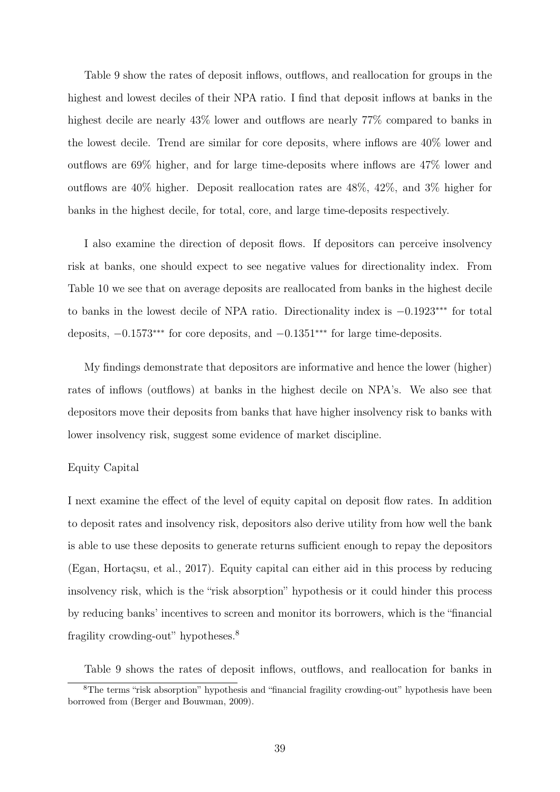Table 9 show the rates of deposit inflows, outflows, and reallocation for groups in the highest and lowest deciles of their NPA ratio. I find that deposit inflows at banks in the highest decile are nearly  $43\%$  lower and outflows are nearly 77% compared to banks in the lowest decile. Trend are similar for core deposits, where inflows are 40% lower and outflows are 69% higher, and for large time-deposits where inflows are 47% lower and outflows are 40% higher. Deposit reallocation rates are 48%, 42%, and 3% higher for banks in the highest decile, for total, core, and large time-deposits respectively.

I also examine the direction of deposit flows. If depositors can perceive insolvency risk at banks, one should expect to see negative values for directionality index. From Table 10 we see that on average deposits are reallocated from banks in the highest decile to banks in the lowest decile of NPA ratio. Directionality index is −0.1923∗∗∗ for total deposits, −0.1573∗∗∗ for core deposits, and −0.1351∗∗∗ for large time-deposits.

My findings demonstrate that depositors are informative and hence the lower (higher) rates of inflows (outflows) at banks in the highest decile on NPA's. We also see that depositors move their deposits from banks that have higher insolvency risk to banks with lower insolvency risk, suggest some evidence of market discipline.

# Equity Capital

I next examine the effect of the level of equity capital on deposit flow rates. In addition to deposit rates and insolvency risk, depositors also derive utility from how well the bank is able to use these deposits to generate returns sufficient enough to repay the depositors (Egan, Hortaçsu, et al., 2017). Equity capital can either aid in this process by reducing insolvency risk, which is the "risk absorption" hypothesis or it could hinder this process by reducing banks' incentives to screen and monitor its borrowers, which is the "financial fragility crowding-out" hypotheses.<sup>8</sup>

Table 9 shows the rates of deposit inflows, outflows, and reallocation for banks in

<sup>&</sup>lt;sup>8</sup>The terms "risk absorption" hypothesis and "financial fragility crowding-out" hypothesis have been borrowed from (Berger and Bouwman, 2009).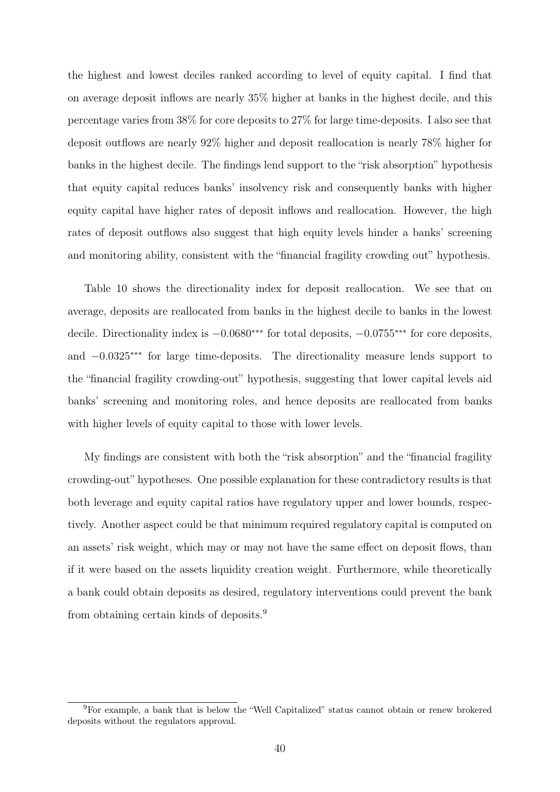the highest and lowest deciles ranked according to level of equity capital. I find that on average deposit inflows are nearly 35% higher at banks in the highest decile, and this percentage varies from 38% for core deposits to 27% for large time-deposits. I also see that deposit outflows are nearly 92% higher and deposit reallocation is nearly 78% higher for banks in the highest decile. The findings lend support to the "risk absorption" hypothesis that equity capital reduces banks' insolvency risk and consequently banks with higher equity capital have higher rates of deposit inflows and reallocation. However, the high rates of deposit outflows also suggest that high equity levels hinder a banks' screening and monitoring ability, consistent with the "financial fragility crowding out" hypothesis.

Table 10 shows the directionality index for deposit reallocation. We see that on average, deposits are reallocated from banks in the highest decile to banks in the lowest decile. Directionality index is −0.0680∗∗∗ for total deposits, −0.0755∗∗∗ for core deposits, and −0.0325∗∗∗ for large time-deposits. The directionality measure lends support to the "financial fragility crowding-out" hypothesis, suggesting that lower capital levels aid banks' screening and monitoring roles, and hence deposits are reallocated from banks with higher levels of equity capital to those with lower levels.

My findings are consistent with both the "risk absorption" and the "financial fragility crowding-out" hypotheses. One possible explanation for these contradictory results is that both leverage and equity capital ratios have regulatory upper and lower bounds, respectively. Another aspect could be that minimum required regulatory capital is computed on an assets' risk weight, which may or may not have the same effect on deposit flows, than if it were based on the assets liquidity creation weight. Furthermore, while theoretically a bank could obtain deposits as desired, regulatory interventions could prevent the bank from obtaining certain kinds of deposits.<sup>9</sup>

<sup>9</sup>For example, a bank that is below the "Well Capitalized" status cannot obtain or renew brokered deposits without the regulators approval.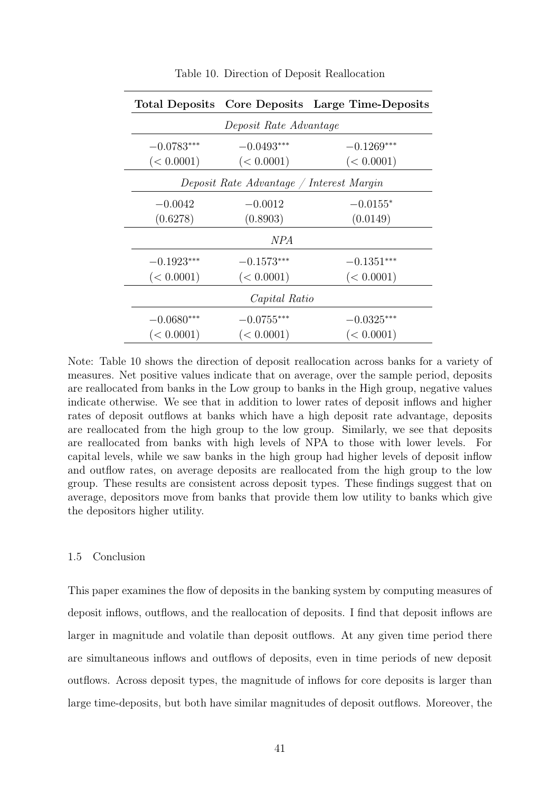|                        |                                          | Total Deposits Core Deposits Large Time-Deposits |  |  |  |  |  |  |
|------------------------|------------------------------------------|--------------------------------------------------|--|--|--|--|--|--|
| Deposit Rate Advantage |                                          |                                                  |  |  |  |  |  |  |
| $-0.0783***$           | $-0.0493***$                             | $-0.1269***$                                     |  |  |  |  |  |  |
| (< 0.0001)             | (< 0.0001)                               | (< 0.0001)                                       |  |  |  |  |  |  |
|                        | Deposit Rate Advantage / Interest Margin |                                                  |  |  |  |  |  |  |
| $-0.0042$              | $-0.0012$                                | $-0.0155*$                                       |  |  |  |  |  |  |
| (0.6278)               | (0.8903)                                 | (0.0149)                                         |  |  |  |  |  |  |
| <i>NPA</i>             |                                          |                                                  |  |  |  |  |  |  |
| $-0.1923***$           | $-0.1573***$                             | $-0.1351***$                                     |  |  |  |  |  |  |
| (< 0.0001)             | (< 0.0001)                               | (< 0.0001)                                       |  |  |  |  |  |  |
| Capital Ratio          |                                          |                                                  |  |  |  |  |  |  |
| $-0.0680***$           | $-0.0755***$                             | $-0.0325***$                                     |  |  |  |  |  |  |
| (< 0.0001)             | (< 0.0001)                               | (< 0.0001)                                       |  |  |  |  |  |  |

Table 10. Direction of Deposit Reallocation

Note: Table 10 shows the direction of deposit reallocation across banks for a variety of measures. Net positive values indicate that on average, over the sample period, deposits are reallocated from banks in the Low group to banks in the High group, negative values indicate otherwise. We see that in addition to lower rates of deposit inflows and higher rates of deposit outflows at banks which have a high deposit rate advantage, deposits are reallocated from the high group to the low group. Similarly, we see that deposits are reallocated from banks with high levels of NPA to those with lower levels. For capital levels, while we saw banks in the high group had higher levels of deposit inflow and outflow rates, on average deposits are reallocated from the high group to the low group. These results are consistent across deposit types. These findings suggest that on average, depositors move from banks that provide them low utility to banks which give the depositors higher utility.

#### 1.5 Conclusion

This paper examines the flow of deposits in the banking system by computing measures of deposit inflows, outflows, and the reallocation of deposits. I find that deposit inflows are larger in magnitude and volatile than deposit outflows. At any given time period there are simultaneous inflows and outflows of deposits, even in time periods of new deposit outflows. Across deposit types, the magnitude of inflows for core deposits is larger than large time-deposits, but both have similar magnitudes of deposit outflows. Moreover, the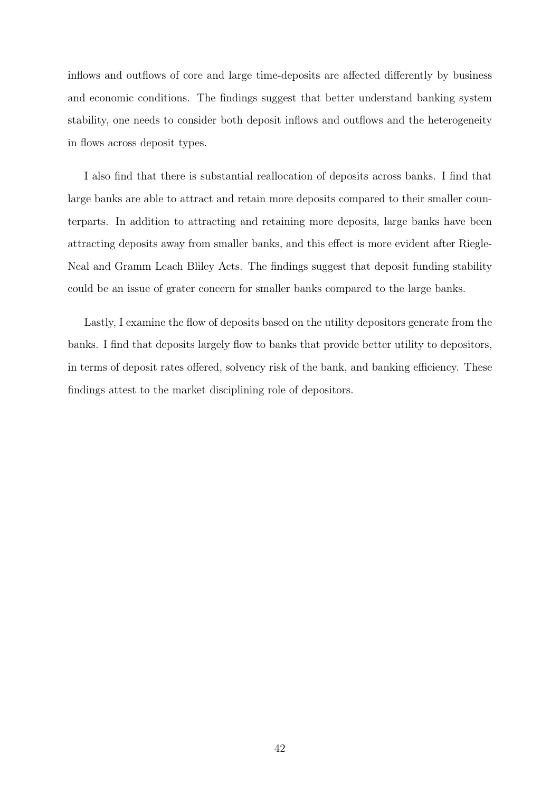inflows and outflows of core and large time-deposits are affected differently by business and economic conditions. The findings suggest that better understand banking system stability, one needs to consider both deposit inflows and outflows and the heterogeneity in flows across deposit types.

I also find that there is substantial reallocation of deposits across banks. I find that large banks are able to attract and retain more deposits compared to their smaller counterparts. In addition to attracting and retaining more deposits, large banks have been attracting deposits away from smaller banks, and this effect is more evident after Riegle-Neal and Gramm Leach Bliley Acts. The findings suggest that deposit funding stability could be an issue of grater concern for smaller banks compared to the large banks.

Lastly, I examine the flow of deposits based on the utility depositors generate from the banks. I find that deposits largely flow to banks that provide better utility to depositors, in terms of deposit rates offered, solvency risk of the bank, and banking efficiency. These findings attest to the market disciplining role of depositors.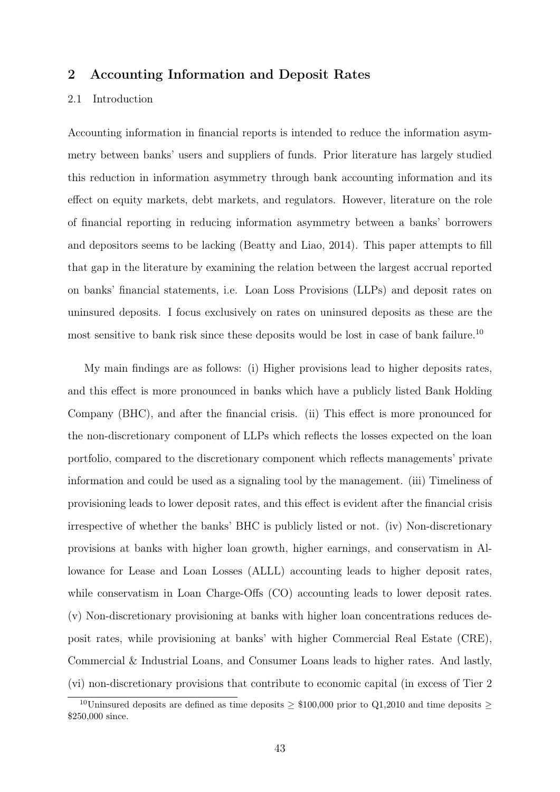# 2 Accounting Information and Deposit Rates

## 2.1 Introduction

Accounting information in financial reports is intended to reduce the information asymmetry between banks' users and suppliers of funds. Prior literature has largely studied this reduction in information asymmetry through bank accounting information and its effect on equity markets, debt markets, and regulators. However, literature on the role of financial reporting in reducing information asymmetry between a banks' borrowers and depositors seems to be lacking (Beatty and Liao, 2014). This paper attempts to fill that gap in the literature by examining the relation between the largest accrual reported on banks' financial statements, i.e. Loan Loss Provisions (LLPs) and deposit rates on uninsured deposits. I focus exclusively on rates on uninsured deposits as these are the most sensitive to bank risk since these deposits would be lost in case of bank failure.<sup>10</sup>

My main findings are as follows: (i) Higher provisions lead to higher deposits rates, and this effect is more pronounced in banks which have a publicly listed Bank Holding Company (BHC), and after the financial crisis. (ii) This effect is more pronounced for the non-discretionary component of LLPs which reflects the losses expected on the loan portfolio, compared to the discretionary component which reflects managements' private information and could be used as a signaling tool by the management. (iii) Timeliness of provisioning leads to lower deposit rates, and this effect is evident after the financial crisis irrespective of whether the banks' BHC is publicly listed or not. (iv) Non-discretionary provisions at banks with higher loan growth, higher earnings, and conservatism in Allowance for Lease and Loan Losses (ALLL) accounting leads to higher deposit rates, while conservatism in Loan Charge-Offs (CO) accounting leads to lower deposit rates. (v) Non-discretionary provisioning at banks with higher loan concentrations reduces deposit rates, while provisioning at banks' with higher Commercial Real Estate (CRE), Commercial & Industrial Loans, and Consumer Loans leads to higher rates. And lastly, (vi) non-discretionary provisions that contribute to economic capital (in excess of Tier 2

<sup>&</sup>lt;sup>10</sup>Uninsured deposits are defined as time deposits  $\geq$  \$100,000 prior to Q1,2010 and time deposits  $\geq$ \$250,000 since.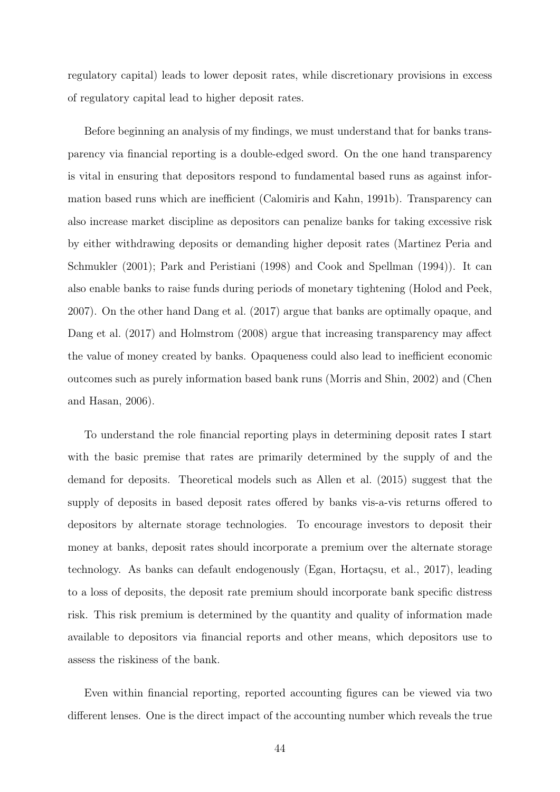regulatory capital) leads to lower deposit rates, while discretionary provisions in excess of regulatory capital lead to higher deposit rates.

Before beginning an analysis of my findings, we must understand that for banks transparency via financial reporting is a double-edged sword. On the one hand transparency is vital in ensuring that depositors respond to fundamental based runs as against information based runs which are inefficient (Calomiris and Kahn, 1991b). Transparency can also increase market discipline as depositors can penalize banks for taking excessive risk by either withdrawing deposits or demanding higher deposit rates (Martinez Peria and Schmukler (2001); Park and Peristiani (1998) and Cook and Spellman (1994)). It can also enable banks to raise funds during periods of monetary tightening (Holod and Peek, 2007). On the other hand Dang et al. (2017) argue that banks are optimally opaque, and Dang et al. (2017) and Holmstrom (2008) argue that increasing transparency may affect the value of money created by banks. Opaqueness could also lead to inefficient economic outcomes such as purely information based bank runs (Morris and Shin, 2002) and (Chen and Hasan, 2006).

To understand the role financial reporting plays in determining deposit rates I start with the basic premise that rates are primarily determined by the supply of and the demand for deposits. Theoretical models such as Allen et al. (2015) suggest that the supply of deposits in based deposit rates offered by banks vis-a-vis returns offered to depositors by alternate storage technologies. To encourage investors to deposit their money at banks, deposit rates should incorporate a premium over the alternate storage technology. As banks can default endogenously (Egan, Hortaçsu, et al., 2017), leading to a loss of deposits, the deposit rate premium should incorporate bank specific distress risk. This risk premium is determined by the quantity and quality of information made available to depositors via financial reports and other means, which depositors use to assess the riskiness of the bank.

Even within financial reporting, reported accounting figures can be viewed via two different lenses. One is the direct impact of the accounting number which reveals the true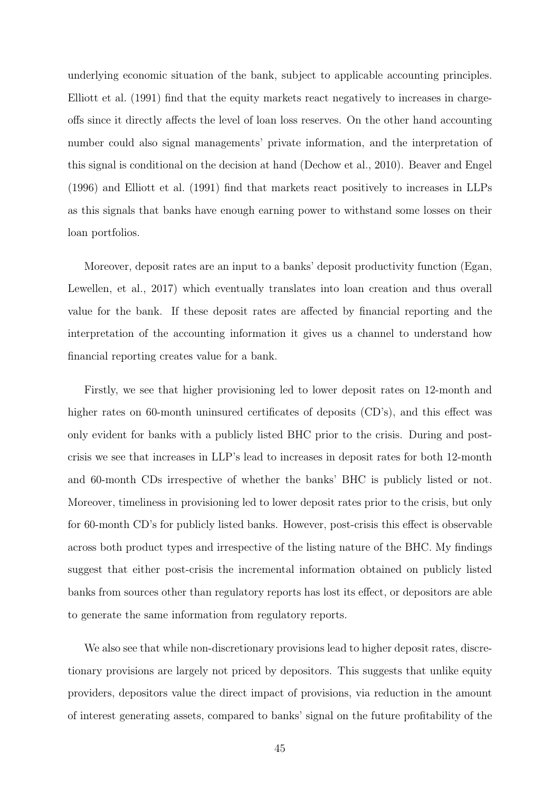underlying economic situation of the bank, subject to applicable accounting principles. Elliott et al. (1991) find that the equity markets react negatively to increases in chargeoffs since it directly affects the level of loan loss reserves. On the other hand accounting number could also signal managements' private information, and the interpretation of this signal is conditional on the decision at hand (Dechow et al., 2010). Beaver and Engel (1996) and Elliott et al. (1991) find that markets react positively to increases in LLPs as this signals that banks have enough earning power to withstand some losses on their loan portfolios.

Moreover, deposit rates are an input to a banks' deposit productivity function (Egan, Lewellen, et al., 2017) which eventually translates into loan creation and thus overall value for the bank. If these deposit rates are affected by financial reporting and the interpretation of the accounting information it gives us a channel to understand how financial reporting creates value for a bank.

Firstly, we see that higher provisioning led to lower deposit rates on 12-month and higher rates on 60-month uninsured certificates of deposits (CD's), and this effect was only evident for banks with a publicly listed BHC prior to the crisis. During and postcrisis we see that increases in LLP's lead to increases in deposit rates for both 12-month and 60-month CDs irrespective of whether the banks' BHC is publicly listed or not. Moreover, timeliness in provisioning led to lower deposit rates prior to the crisis, but only for 60-month CD's for publicly listed banks. However, post-crisis this effect is observable across both product types and irrespective of the listing nature of the BHC. My findings suggest that either post-crisis the incremental information obtained on publicly listed banks from sources other than regulatory reports has lost its effect, or depositors are able to generate the same information from regulatory reports.

We also see that while non-discretionary provisions lead to higher deposit rates, discretionary provisions are largely not priced by depositors. This suggests that unlike equity providers, depositors value the direct impact of provisions, via reduction in the amount of interest generating assets, compared to banks' signal on the future profitability of the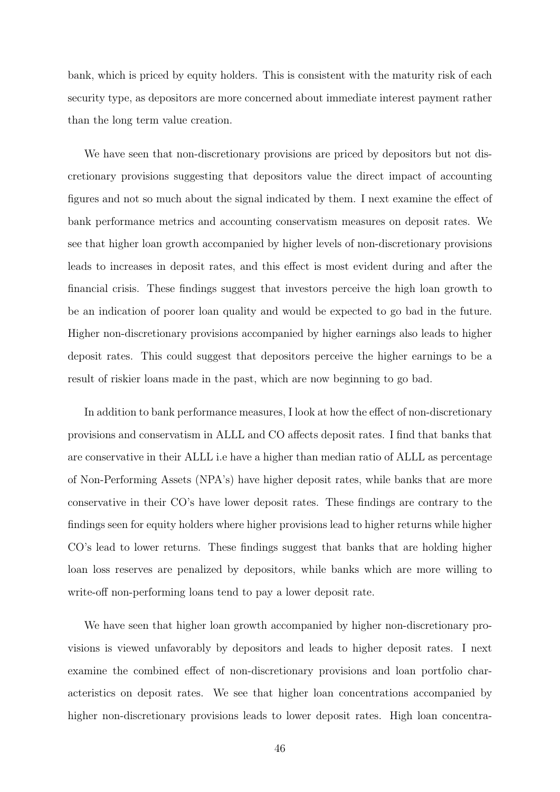bank, which is priced by equity holders. This is consistent with the maturity risk of each security type, as depositors are more concerned about immediate interest payment rather than the long term value creation.

We have seen that non-discretionary provisions are priced by depositors but not discretionary provisions suggesting that depositors value the direct impact of accounting figures and not so much about the signal indicated by them. I next examine the effect of bank performance metrics and accounting conservatism measures on deposit rates. We see that higher loan growth accompanied by higher levels of non-discretionary provisions leads to increases in deposit rates, and this effect is most evident during and after the financial crisis. These findings suggest that investors perceive the high loan growth to be an indication of poorer loan quality and would be expected to go bad in the future. Higher non-discretionary provisions accompanied by higher earnings also leads to higher deposit rates. This could suggest that depositors perceive the higher earnings to be a result of riskier loans made in the past, which are now beginning to go bad.

In addition to bank performance measures, I look at how the effect of non-discretionary provisions and conservatism in ALLL and CO affects deposit rates. I find that banks that are conservative in their ALLL i.e have a higher than median ratio of ALLL as percentage of Non-Performing Assets (NPA's) have higher deposit rates, while banks that are more conservative in their CO's have lower deposit rates. These findings are contrary to the findings seen for equity holders where higher provisions lead to higher returns while higher CO's lead to lower returns. These findings suggest that banks that are holding higher loan loss reserves are penalized by depositors, while banks which are more willing to write-off non-performing loans tend to pay a lower deposit rate.

We have seen that higher loan growth accompanied by higher non-discretionary provisions is viewed unfavorably by depositors and leads to higher deposit rates. I next examine the combined effect of non-discretionary provisions and loan portfolio characteristics on deposit rates. We see that higher loan concentrations accompanied by higher non-discretionary provisions leads to lower deposit rates. High loan concentra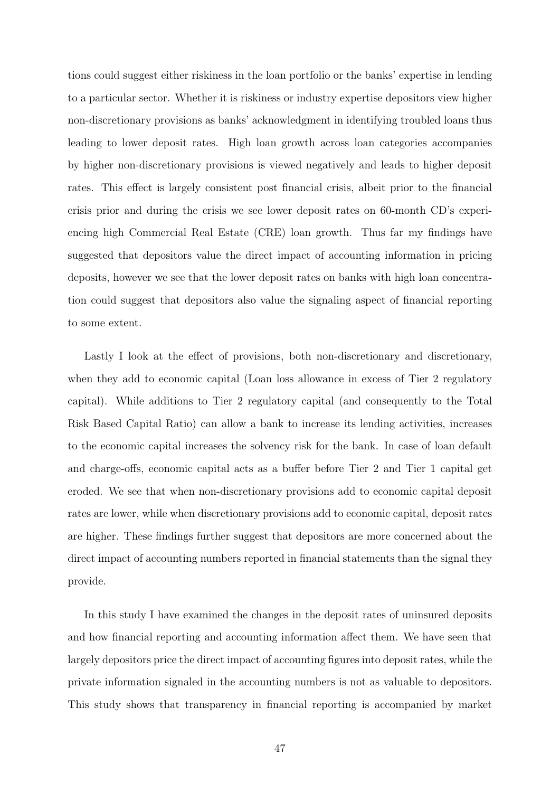tions could suggest either riskiness in the loan portfolio or the banks' expertise in lending to a particular sector. Whether it is riskiness or industry expertise depositors view higher non-discretionary provisions as banks' acknowledgment in identifying troubled loans thus leading to lower deposit rates. High loan growth across loan categories accompanies by higher non-discretionary provisions is viewed negatively and leads to higher deposit rates. This effect is largely consistent post financial crisis, albeit prior to the financial crisis prior and during the crisis we see lower deposit rates on 60-month CD's experiencing high Commercial Real Estate (CRE) loan growth. Thus far my findings have suggested that depositors value the direct impact of accounting information in pricing deposits, however we see that the lower deposit rates on banks with high loan concentration could suggest that depositors also value the signaling aspect of financial reporting to some extent.

Lastly I look at the effect of provisions, both non-discretionary and discretionary, when they add to economic capital (Loan loss allowance in excess of Tier 2 regulatory capital). While additions to Tier 2 regulatory capital (and consequently to the Total Risk Based Capital Ratio) can allow a bank to increase its lending activities, increases to the economic capital increases the solvency risk for the bank. In case of loan default and charge-offs, economic capital acts as a buffer before Tier 2 and Tier 1 capital get eroded. We see that when non-discretionary provisions add to economic capital deposit rates are lower, while when discretionary provisions add to economic capital, deposit rates are higher. These findings further suggest that depositors are more concerned about the direct impact of accounting numbers reported in financial statements than the signal they provide.

In this study I have examined the changes in the deposit rates of uninsured deposits and how financial reporting and accounting information affect them. We have seen that largely depositors price the direct impact of accounting figures into deposit rates, while the private information signaled in the accounting numbers is not as valuable to depositors. This study shows that transparency in financial reporting is accompanied by market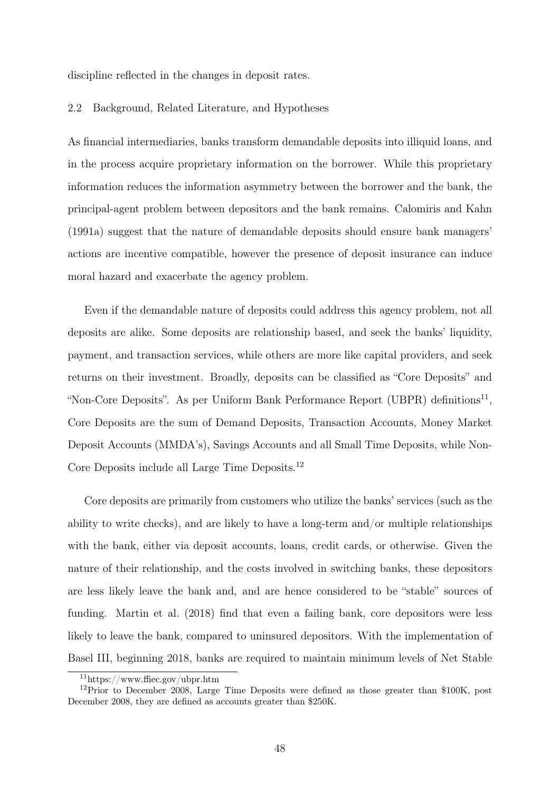discipline reflected in the changes in deposit rates.

#### 2.2 Background, Related Literature, and Hypotheses

As financial intermediaries, banks transform demandable deposits into illiquid loans, and in the process acquire proprietary information on the borrower. While this proprietary information reduces the information asymmetry between the borrower and the bank, the principal-agent problem between depositors and the bank remains. Calomiris and Kahn (1991a) suggest that the nature of demandable deposits should ensure bank managers' actions are incentive compatible, however the presence of deposit insurance can induce moral hazard and exacerbate the agency problem.

Even if the demandable nature of deposits could address this agency problem, not all deposits are alike. Some deposits are relationship based, and seek the banks' liquidity, payment, and transaction services, while others are more like capital providers, and seek returns on their investment. Broadly, deposits can be classified as "Core Deposits" and "Non-Core Deposits". As per Uniform Bank Performance Report (UBPR) definitions<sup>11</sup>, Core Deposits are the sum of Demand Deposits, Transaction Accounts, Money Market Deposit Accounts (MMDA's), Savings Accounts and all Small Time Deposits, while Non-Core Deposits include all Large Time Deposits.<sup>12</sup>

Core deposits are primarily from customers who utilize the banks' services (such as the ability to write checks), and are likely to have a long-term and/or multiple relationships with the bank, either via deposit accounts, loans, credit cards, or otherwise. Given the nature of their relationship, and the costs involved in switching banks, these depositors are less likely leave the bank and, and are hence considered to be "stable" sources of funding. Martin et al. (2018) find that even a failing bank, core depositors were less likely to leave the bank, compared to uninsured depositors. With the implementation of Basel III, beginning 2018, banks are required to maintain minimum levels of Net Stable

<sup>11</sup>https://www.ffiec.gov/ubpr.htm

 $12$ Prior to December 2008, Large Time Deposits were defined as those greater than \$100K, post December 2008, they are defined as accounts greater than \$250K.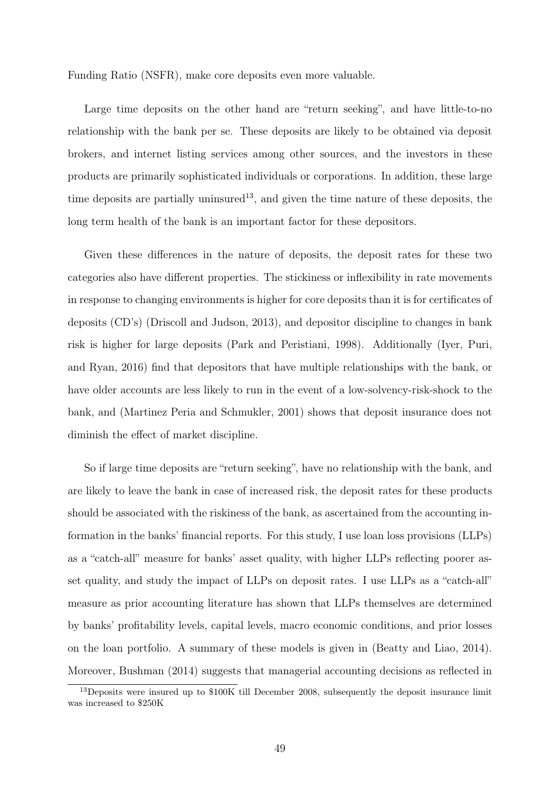Funding Ratio (NSFR), make core deposits even more valuable.

Large time deposits on the other hand are "return seeking", and have little-to-no relationship with the bank per se. These deposits are likely to be obtained via deposit brokers, and internet listing services among other sources, and the investors in these products are primarily sophisticated individuals or corporations. In addition, these large time deposits are partially uninsured<sup>13</sup>, and given the time nature of these deposits, the long term health of the bank is an important factor for these depositors.

Given these differences in the nature of deposits, the deposit rates for these two categories also have different properties. The stickiness or inflexibility in rate movements in response to changing environments is higher for core deposits than it is for certificates of deposits (CD's) (Driscoll and Judson, 2013), and depositor discipline to changes in bank risk is higher for large deposits (Park and Peristiani, 1998). Additionally (Iyer, Puri, and Ryan, 2016) find that depositors that have multiple relationships with the bank, or have older accounts are less likely to run in the event of a low-solvency-risk-shock to the bank, and (Martinez Peria and Schmukler, 2001) shows that deposit insurance does not diminish the effect of market discipline.

So if large time deposits are "return seeking", have no relationship with the bank, and are likely to leave the bank in case of increased risk, the deposit rates for these products should be associated with the riskiness of the bank, as ascertained from the accounting information in the banks' financial reports. For this study, I use loan loss provisions (LLPs) as a "catch-all" measure for banks' asset quality, with higher LLPs reflecting poorer asset quality, and study the impact of LLPs on deposit rates. I use LLPs as a "catch-all" measure as prior accounting literature has shown that LLPs themselves are determined by banks' profitability levels, capital levels, macro economic conditions, and prior losses on the loan portfolio. A summary of these models is given in (Beatty and Liao, 2014). Moreover, Bushman (2014) suggests that managerial accounting decisions as reflected in

<sup>&</sup>lt;sup>13</sup>Deposits were insured up to \$100K till December 2008, subsequently the deposit insurance limit was increased to \$250K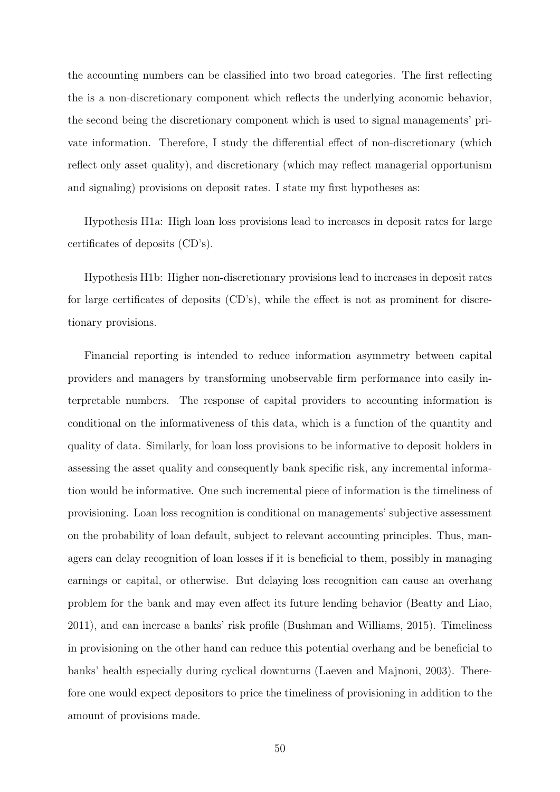the accounting numbers can be classified into two broad categories. The first reflecting the is a non-discretionary component which reflects the underlying aconomic behavior, the second being the discretionary component which is used to signal managements' private information. Therefore, I study the differential effect of non-discretionary (which reflect only asset quality), and discretionary (which may reflect managerial opportunism and signaling) provisions on deposit rates. I state my first hypotheses as:

Hypothesis H1a: High loan loss provisions lead to increases in deposit rates for large certificates of deposits (CD's).

Hypothesis H1b: Higher non-discretionary provisions lead to increases in deposit rates for large certificates of deposits (CD's), while the effect is not as prominent for discretionary provisions.

Financial reporting is intended to reduce information asymmetry between capital providers and managers by transforming unobservable firm performance into easily interpretable numbers. The response of capital providers to accounting information is conditional on the informativeness of this data, which is a function of the quantity and quality of data. Similarly, for loan loss provisions to be informative to deposit holders in assessing the asset quality and consequently bank specific risk, any incremental information would be informative. One such incremental piece of information is the timeliness of provisioning. Loan loss recognition is conditional on managements' subjective assessment on the probability of loan default, subject to relevant accounting principles. Thus, managers can delay recognition of loan losses if it is beneficial to them, possibly in managing earnings or capital, or otherwise. But delaying loss recognition can cause an overhang problem for the bank and may even affect its future lending behavior (Beatty and Liao, 2011), and can increase a banks' risk profile (Bushman and Williams, 2015). Timeliness in provisioning on the other hand can reduce this potential overhang and be beneficial to banks' health especially during cyclical downturns (Laeven and Majnoni, 2003). Therefore one would expect depositors to price the timeliness of provisioning in addition to the amount of provisions made.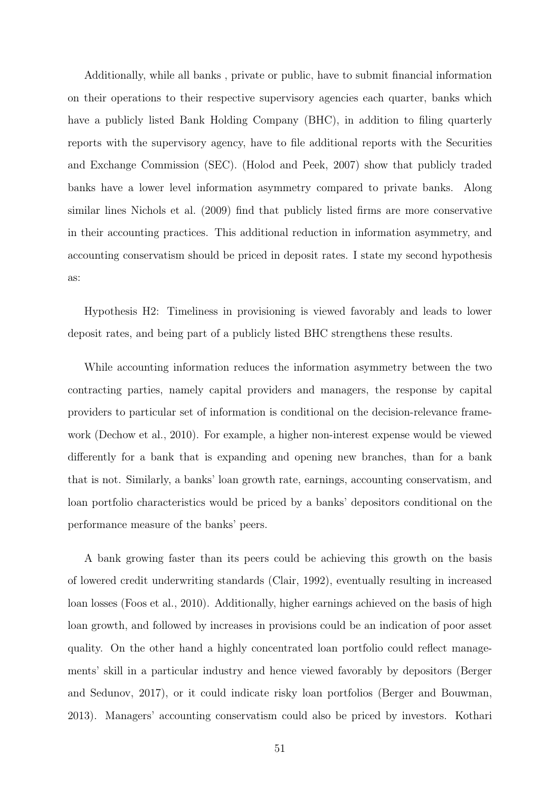Additionally, while all banks , private or public, have to submit financial information on their operations to their respective supervisory agencies each quarter, banks which have a publicly listed Bank Holding Company (BHC), in addition to filing quarterly reports with the supervisory agency, have to file additional reports with the Securities and Exchange Commission (SEC). (Holod and Peek, 2007) show that publicly traded banks have a lower level information asymmetry compared to private banks. Along similar lines Nichols et al. (2009) find that publicly listed firms are more conservative in their accounting practices. This additional reduction in information asymmetry, and accounting conservatism should be priced in deposit rates. I state my second hypothesis as:

Hypothesis H2: Timeliness in provisioning is viewed favorably and leads to lower deposit rates, and being part of a publicly listed BHC strengthens these results.

While accounting information reduces the information asymmetry between the two contracting parties, namely capital providers and managers, the response by capital providers to particular set of information is conditional on the decision-relevance framework (Dechow et al., 2010). For example, a higher non-interest expense would be viewed differently for a bank that is expanding and opening new branches, than for a bank that is not. Similarly, a banks' loan growth rate, earnings, accounting conservatism, and loan portfolio characteristics would be priced by a banks' depositors conditional on the performance measure of the banks' peers.

A bank growing faster than its peers could be achieving this growth on the basis of lowered credit underwriting standards (Clair, 1992), eventually resulting in increased loan losses (Foos et al., 2010). Additionally, higher earnings achieved on the basis of high loan growth, and followed by increases in provisions could be an indication of poor asset quality. On the other hand a highly concentrated loan portfolio could reflect managements' skill in a particular industry and hence viewed favorably by depositors (Berger and Sedunov, 2017), or it could indicate risky loan portfolios (Berger and Bouwman, 2013). Managers' accounting conservatism could also be priced by investors. Kothari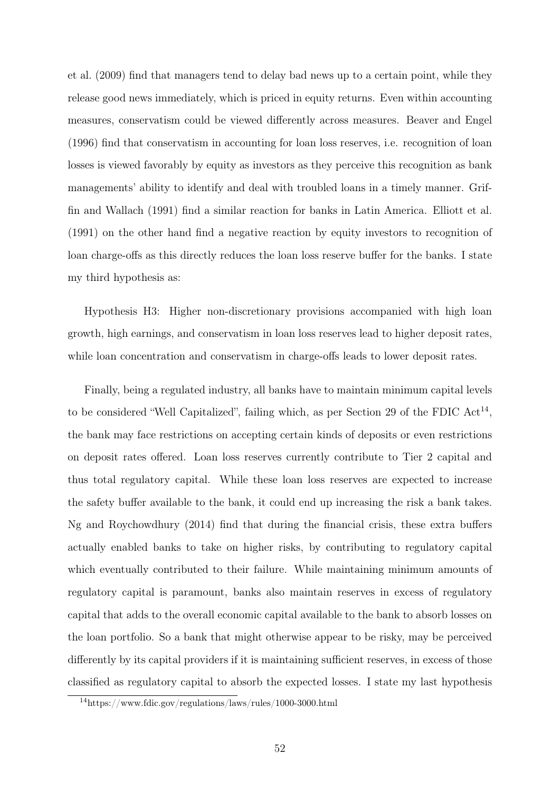et al. (2009) find that managers tend to delay bad news up to a certain point, while they release good news immediately, which is priced in equity returns. Even within accounting measures, conservatism could be viewed differently across measures. Beaver and Engel (1996) find that conservatism in accounting for loan loss reserves, i.e. recognition of loan losses is viewed favorably by equity as investors as they perceive this recognition as bank managements' ability to identify and deal with troubled loans in a timely manner. Griffin and Wallach (1991) find a similar reaction for banks in Latin America. Elliott et al. (1991) on the other hand find a negative reaction by equity investors to recognition of loan charge-offs as this directly reduces the loan loss reserve buffer for the banks. I state my third hypothesis as:

Hypothesis H3: Higher non-discretionary provisions accompanied with high loan growth, high earnings, and conservatism in loan loss reserves lead to higher deposit rates, while loan concentration and conservatism in charge-offs leads to lower deposit rates.

Finally, being a regulated industry, all banks have to maintain minimum capital levels to be considered "Well Capitalized", failing which, as per Section 29 of the FDIC  $Act^{14}$ , the bank may face restrictions on accepting certain kinds of deposits or even restrictions on deposit rates offered. Loan loss reserves currently contribute to Tier 2 capital and thus total regulatory capital. While these loan loss reserves are expected to increase the safety buffer available to the bank, it could end up increasing the risk a bank takes. Ng and Roychowdhury (2014) find that during the financial crisis, these extra buffers actually enabled banks to take on higher risks, by contributing to regulatory capital which eventually contributed to their failure. While maintaining minimum amounts of regulatory capital is paramount, banks also maintain reserves in excess of regulatory capital that adds to the overall economic capital available to the bank to absorb losses on the loan portfolio. So a bank that might otherwise appear to be risky, may be perceived differently by its capital providers if it is maintaining sufficient reserves, in excess of those classified as regulatory capital to absorb the expected losses. I state my last hypothesis

<sup>14</sup>https://www.fdic.gov/regulations/laws/rules/1000-3000.html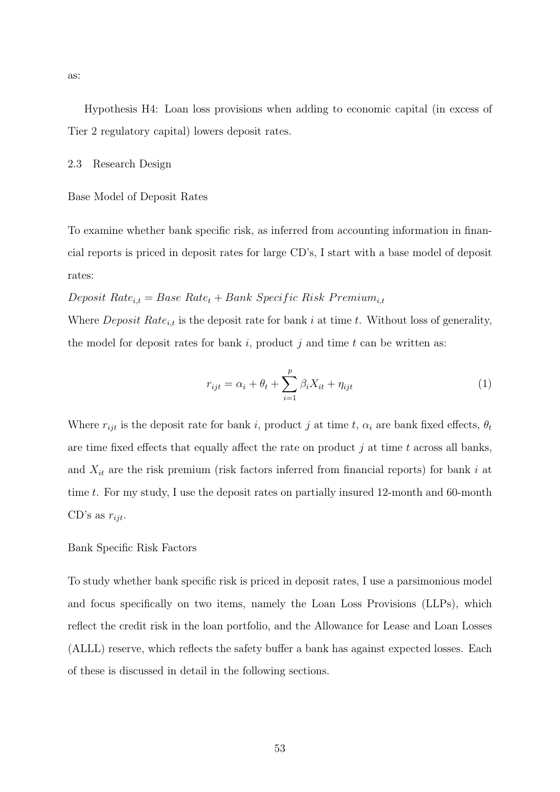Hypothesis H4: Loan loss provisions when adding to economic capital (in excess of Tier 2 regulatory capital) lowers deposit rates.

2.3 Research Design

Base Model of Deposit Rates

To examine whether bank specific risk, as inferred from accounting information in financial reports is priced in deposit rates for large CD's, I start with a base model of deposit rates:

# Deposit Rate<sub>i,t</sub> = Base Rate<sub>t</sub> + Bank Specific Risk Premium<sub>i,t</sub>

Where *Deposit Rate<sub>i,t</sub>* is the deposit rate for bank i at time t. Without loss of generality, the model for deposit rates for bank i, product j and time t can be written as:

$$
r_{ijt} = \alpha_i + \theta_t + \sum_{i=1}^{p} \beta_i X_{it} + \eta_{ijt}
$$
\n
$$
\tag{1}
$$

Where  $r_{ijt}$  is the deposit rate for bank i, product j at time t,  $\alpha_i$  are bank fixed effects,  $\theta_t$ are time fixed effects that equally affect the rate on product  $j$  at time  $t$  across all banks, and  $X_{it}$  are the risk premium (risk factors inferred from financial reports) for bank i at time  $t$ . For my study, I use the deposit rates on partially insured 12-month and 60-month CD's as  $r_{ijt}$ .

## Bank Specific Risk Factors

To study whether bank specific risk is priced in deposit rates, I use a parsimonious model and focus specifically on two items, namely the Loan Loss Provisions (LLPs), which reflect the credit risk in the loan portfolio, and the Allowance for Lease and Loan Losses (ALLL) reserve, which reflects the safety buffer a bank has against expected losses. Each of these is discussed in detail in the following sections.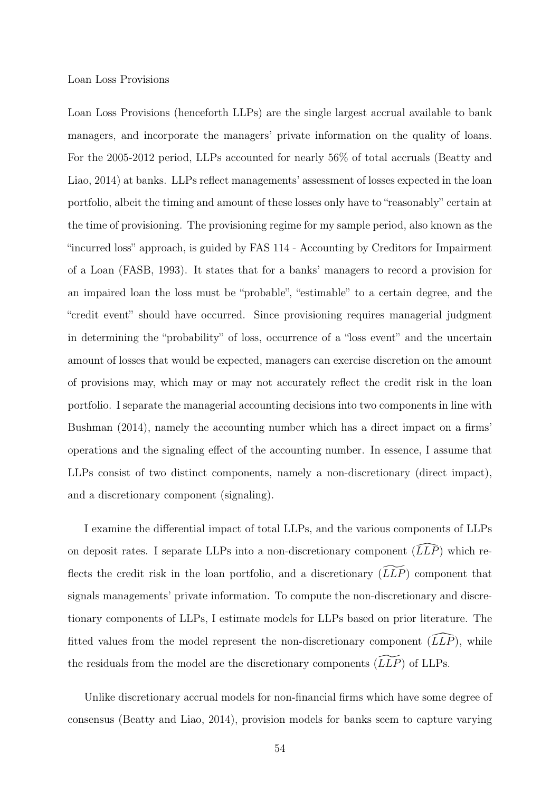#### Loan Loss Provisions

Loan Loss Provisions (henceforth LLPs) are the single largest accrual available to bank managers, and incorporate the managers' private information on the quality of loans. For the 2005-2012 period, LLPs accounted for nearly 56% of total accruals (Beatty and Liao, 2014) at banks. LLPs reflect managements' assessment of losses expected in the loan portfolio, albeit the timing and amount of these losses only have to "reasonably" certain at the time of provisioning. The provisioning regime for my sample period, also known as the "incurred loss" approach, is guided by FAS 114 - Accounting by Creditors for Impairment of a Loan (FASB, 1993). It states that for a banks' managers to record a provision for an impaired loan the loss must be "probable", "estimable" to a certain degree, and the "credit event" should have occurred. Since provisioning requires managerial judgment in determining the "probability" of loss, occurrence of a "loss event" and the uncertain amount of losses that would be expected, managers can exercise discretion on the amount of provisions may, which may or may not accurately reflect the credit risk in the loan portfolio. I separate the managerial accounting decisions into two components in line with Bushman (2014), namely the accounting number which has a direct impact on a firms' operations and the signaling effect of the accounting number. In essence, I assume that LLPs consist of two distinct components, namely a non-discretionary (direct impact), and a discretionary component (signaling).

I examine the differential impact of total LLPs, and the various components of LLPs on deposit rates. I separate LLPs into a non-discretionary component  $(\widehat{LLP})$  which reflects the credit risk in the loan portfolio, and a discretionary  $(\widetilde{LLP})$  component that signals managements' private information. To compute the non-discretionary and discretionary components of LLPs, I estimate models for LLPs based on prior literature. The fitted values from the model represent the non-discretionary component  $(\tilde{L}L\tilde{P})$ , while the residuals from the model are the discretionary components  $(\widetilde{LLP})$  of LLPs.

Unlike discretionary accrual models for non-financial firms which have some degree of consensus (Beatty and Liao, 2014), provision models for banks seem to capture varying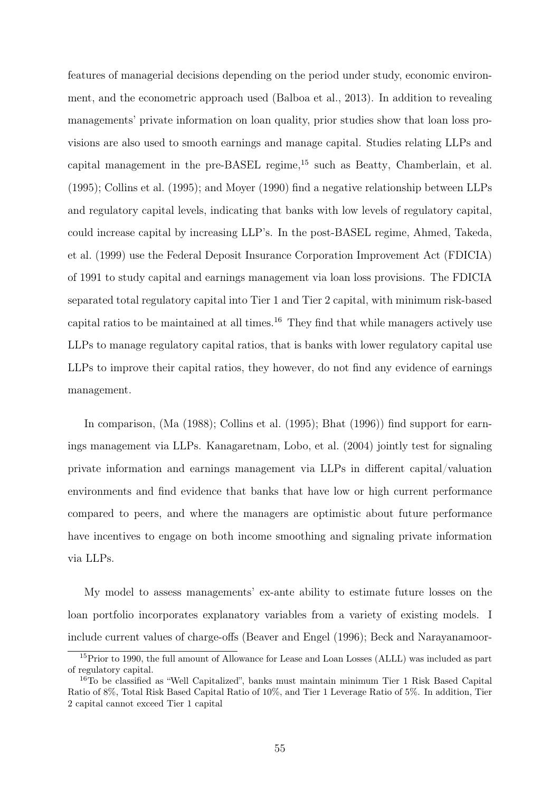features of managerial decisions depending on the period under study, economic environment, and the econometric approach used (Balboa et al., 2013). In addition to revealing managements' private information on loan quality, prior studies show that loan loss provisions are also used to smooth earnings and manage capital. Studies relating LLPs and capital management in the pre-BASEL regime,<sup>15</sup> such as Beatty, Chamberlain, et al. (1995); Collins et al. (1995); and Moyer (1990) find a negative relationship between LLPs and regulatory capital levels, indicating that banks with low levels of regulatory capital, could increase capital by increasing LLP's. In the post-BASEL regime, Ahmed, Takeda, et al. (1999) use the Federal Deposit Insurance Corporation Improvement Act (FDICIA) of 1991 to study capital and earnings management via loan loss provisions. The FDICIA separated total regulatory capital into Tier 1 and Tier 2 capital, with minimum risk-based capital ratios to be maintained at all times.<sup>16</sup> They find that while managers actively use LLPs to manage regulatory capital ratios, that is banks with lower regulatory capital use LLPs to improve their capital ratios, they however, do not find any evidence of earnings management.

In comparison, (Ma (1988); Collins et al. (1995); Bhat (1996)) find support for earnings management via LLPs. Kanagaretnam, Lobo, et al. (2004) jointly test for signaling private information and earnings management via LLPs in different capital/valuation environments and find evidence that banks that have low or high current performance compared to peers, and where the managers are optimistic about future performance have incentives to engage on both income smoothing and signaling private information via LLPs.

My model to assess managements' ex-ante ability to estimate future losses on the loan portfolio incorporates explanatory variables from a variety of existing models. I include current values of charge-offs (Beaver and Engel (1996); Beck and Narayanamoor-

<sup>15</sup>Prior to 1990, the full amount of Allowance for Lease and Loan Losses (ALLL) was included as part of regulatory capital.

<sup>&</sup>lt;sup>16</sup>To be classified as "Well Capitalized", banks must maintain minimum Tier 1 Risk Based Capital Ratio of 8%, Total Risk Based Capital Ratio of 10%, and Tier 1 Leverage Ratio of 5%. In addition, Tier 2 capital cannot exceed Tier 1 capital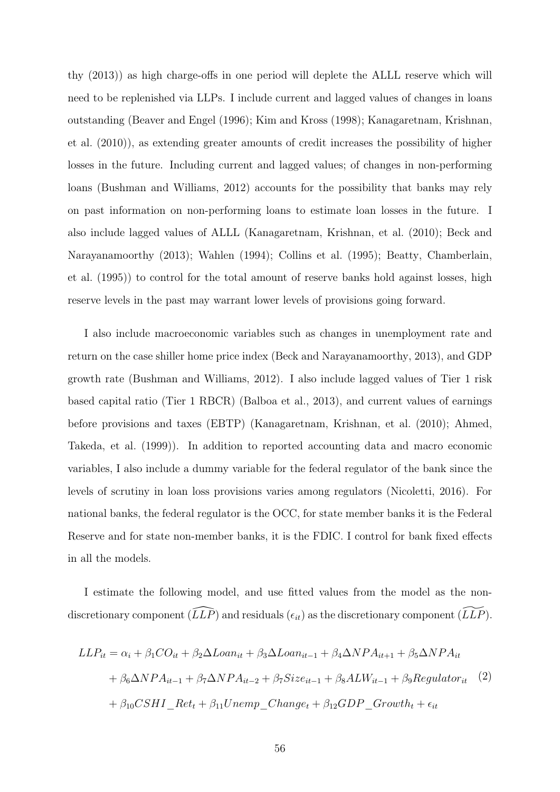thy (2013)) as high charge-offs in one period will deplete the ALLL reserve which will need to be replenished via LLPs. I include current and lagged values of changes in loans outstanding (Beaver and Engel (1996); Kim and Kross (1998); Kanagaretnam, Krishnan, et al. (2010)), as extending greater amounts of credit increases the possibility of higher losses in the future. Including current and lagged values; of changes in non-performing loans (Bushman and Williams, 2012) accounts for the possibility that banks may rely on past information on non-performing loans to estimate loan losses in the future. I also include lagged values of ALLL (Kanagaretnam, Krishnan, et al. (2010); Beck and Narayanamoorthy (2013); Wahlen (1994); Collins et al. (1995); Beatty, Chamberlain, et al. (1995)) to control for the total amount of reserve banks hold against losses, high reserve levels in the past may warrant lower levels of provisions going forward.

I also include macroeconomic variables such as changes in unemployment rate and return on the case shiller home price index (Beck and Narayanamoorthy, 2013), and GDP growth rate (Bushman and Williams, 2012). I also include lagged values of Tier 1 risk based capital ratio (Tier 1 RBCR) (Balboa et al., 2013), and current values of earnings before provisions and taxes (EBTP) (Kanagaretnam, Krishnan, et al. (2010); Ahmed, Takeda, et al. (1999)). In addition to reported accounting data and macro economic variables, I also include a dummy variable for the federal regulator of the bank since the levels of scrutiny in loan loss provisions varies among regulators (Nicoletti, 2016). For national banks, the federal regulator is the OCC, for state member banks it is the Federal Reserve and for state non-member banks, it is the FDIC. I control for bank fixed effects in all the models.

I estimate the following model, and use fitted values from the model as the nondiscretionary component  $(\widehat{LLP})$  and residuals  $(\epsilon_{it})$  as the discretionary component  $(\widetilde{LLP})$ .

$$
LLP_{it} = \alpha_i + \beta_1 CO_{it} + \beta_2 \Delta Loan_{it} + \beta_3 \Delta Loan_{it-1} + \beta_4 \Delta NPA_{it+1} + \beta_5 \Delta NPA_{it}
$$
  
+  $\beta_6 \Delta NPA_{it-1} + \beta_7 \Delta NPA_{it-2} + \beta_7 Size_{it-1} + \beta_8 ALW_{it-1} + \beta_9 Regularor_{it}$  (2)  
+  $\beta_{10}CSHI\_Ret_t + \beta_{11}Unemp\_Change_t + \beta_{12} GDP\_Growth_t + \epsilon_{it}$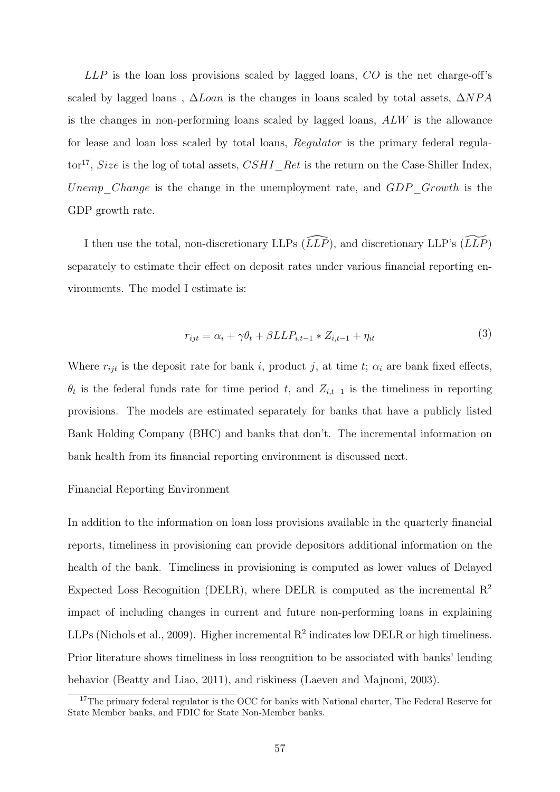$LLP$  is the loan loss provisions scaled by lagged loans,  $CO$  is the net charge-off's scaled by lagged loans,  $\Delta Loan$  is the changes in loans scaled by total assets,  $\Delta NPA$ is the changes in non-performing loans scaled by lagged loans, ALW is the allowance for lease and loan loss scaled by total loans, Regulator is the primary federal regulator<sup>17</sup>, Size is the log of total assets,  $CSHI\_Ret$  is the return on the Case-Shiller Index, Unemp Change is the change in the unemployment rate, and  $GDP$  Growth is the GDP growth rate.

I then use the total, non-discretionary LLPs  $(\widehat{LLP})$ , and discretionary LLP's  $(\widetilde{LLP})$ separately to estimate their effect on deposit rates under various financial reporting environments. The model I estimate is:

$$
r_{ijt} = \alpha_i + \gamma \theta_t + \beta L L P_{i,t-1} * Z_{i,t-1} + \eta_{it}
$$
\n
$$
\tag{3}
$$

Where  $r_{ijt}$  is the deposit rate for bank i, product j, at time t;  $\alpha_i$  are bank fixed effects,  $\theta_t$  is the federal funds rate for time period t, and  $Z_{i,t-1}$  is the timeliness in reporting provisions. The models are estimated separately for banks that have a publicly listed Bank Holding Company (BHC) and banks that don't. The incremental information on bank health from its financial reporting environment is discussed next.

#### Financial Reporting Environment

In addition to the information on loan loss provisions available in the quarterly financial reports, timeliness in provisioning can provide depositors additional information on the health of the bank. Timeliness in provisioning is computed as lower values of Delayed Expected Loss Recognition (DELR), where DELR is computed as the incremental  $\mathbb{R}^2$ impact of including changes in current and future non-performing loans in explaining LLPs (Nichols et al., 2009). Higher incremental  $R^2$  indicates low DELR or high timeliness. Prior literature shows timeliness in loss recognition to be associated with banks' lending behavior (Beatty and Liao, 2011), and riskiness (Laeven and Majnoni, 2003).

<sup>&</sup>lt;sup>17</sup>The primary federal regulator is the OCC for banks with National charter, The Federal Reserve for State Member banks, and FDIC for State Non-Member banks.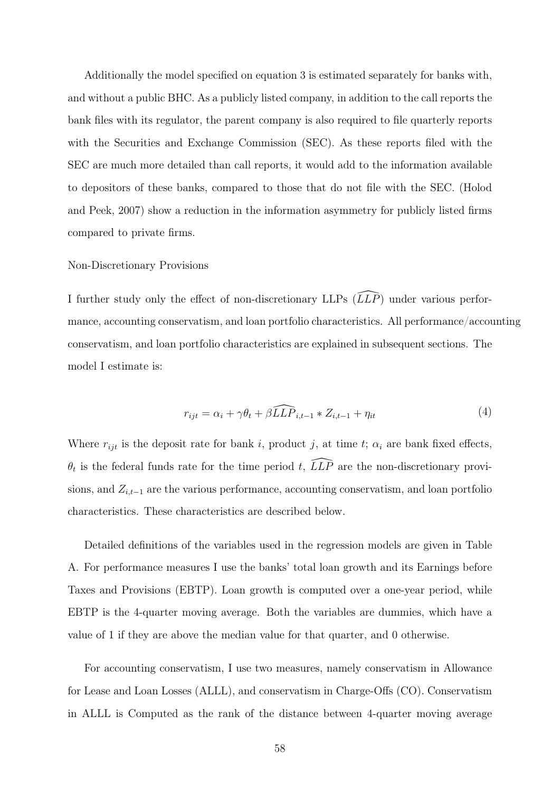Additionally the model specified on equation 3 is estimated separately for banks with, and without a public BHC. As a publicly listed company, in addition to the call reports the bank files with its regulator, the parent company is also required to file quarterly reports with the Securities and Exchange Commission (SEC). As these reports filed with the SEC are much more detailed than call reports, it would add to the information available to depositors of these banks, compared to those that do not file with the SEC. (Holod and Peek, 2007) show a reduction in the information asymmetry for publicly listed firms compared to private firms.

## Non-Discretionary Provisions

I further study only the effect of non-discretionary LLPs  $(\widehat{LLP})$  under various performance, accounting conservatism, and loan portfolio characteristics. All performance/accounting conservatism, and loan portfolio characteristics are explained in subsequent sections. The model I estimate is:

$$
r_{ijt} = \alpha_i + \gamma \theta_t + \beta \widehat{LLP}_{i,t-1} * Z_{i,t-1} + \eta_{it}
$$
\n
$$
\tag{4}
$$

Where  $r_{ijt}$  is the deposit rate for bank i, product j, at time t;  $\alpha_i$  are bank fixed effects,  $\theta_t$  is the federal funds rate for the time period t,  $\widehat{LLP}$  are the non-discretionary provisions, and  $Z_{i,t-1}$  are the various performance, accounting conservatism, and loan portfolio characteristics. These characteristics are described below.

Detailed definitions of the variables used in the regression models are given in Table A. For performance measures I use the banks' total loan growth and its Earnings before Taxes and Provisions (EBTP). Loan growth is computed over a one-year period, while EBTP is the 4-quarter moving average. Both the variables are dummies, which have a value of 1 if they are above the median value for that quarter, and 0 otherwise.

For accounting conservatism, I use two measures, namely conservatism in Allowance for Lease and Loan Losses (ALLL), and conservatism in Charge-Offs (CO). Conservatism in ALLL is Computed as the rank of the distance between 4-quarter moving average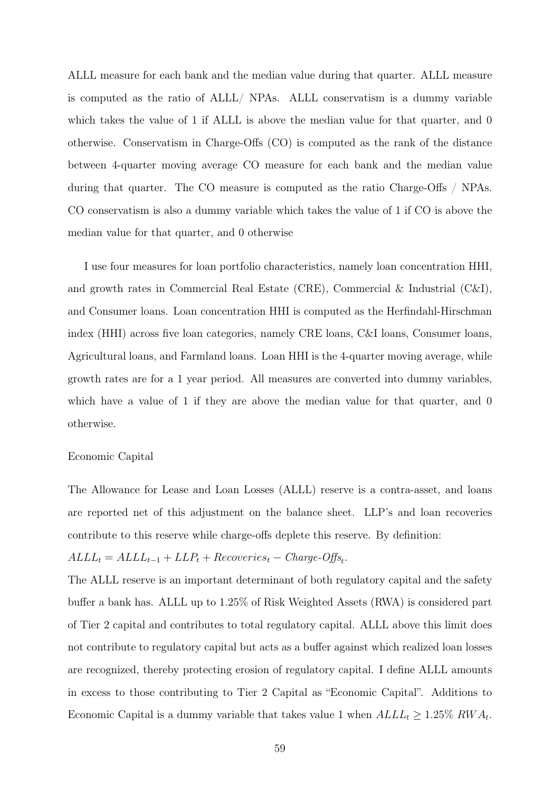ALLL measure for each bank and the median value during that quarter. ALLL measure is computed as the ratio of ALLL/ NPAs. ALLL conservatism is a dummy variable which takes the value of 1 if ALLL is above the median value for that quarter, and 0 otherwise. Conservatism in Charge-Offs (CO) is computed as the rank of the distance between 4-quarter moving average CO measure for each bank and the median value during that quarter. The CO measure is computed as the ratio Charge-Offs / NPAs. CO conservatism is also a dummy variable which takes the value of 1 if CO is above the median value for that quarter, and 0 otherwise

I use four measures for loan portfolio characteristics, namely loan concentration HHI, and growth rates in Commercial Real Estate (CRE), Commercial & Industrial (C&I), and Consumer loans. Loan concentration HHI is computed as the Herfindahl-Hirschman index (HHI) across five loan categories, namely CRE loans, C&I loans, Consumer loans, Agricultural loans, and Farmland loans. Loan HHI is the 4-quarter moving average, while growth rates are for a 1 year period. All measures are converted into dummy variables, which have a value of 1 if they are above the median value for that quarter, and 0 otherwise.

#### Economic Capital

The Allowance for Lease and Loan Losses (ALLL) reserve is a contra-asset, and loans are reported net of this adjustment on the balance sheet. LLP's and loan recoveries contribute to this reserve while charge-offs deplete this reserve. By definition:

# $ALL_t = ALLL_{t-1} + LLP_t + Recoveries_t - Charge\cdot Offs_t.$

The ALLL reserve is an important determinant of both regulatory capital and the safety buffer a bank has. ALLL up to 1.25% of Risk Weighted Assets (RWA) is considered part of Tier 2 capital and contributes to total regulatory capital. ALLL above this limit does not contribute to regulatory capital but acts as a buffer against which realized loan losses are recognized, thereby protecting erosion of regulatory capital. I define ALLL amounts in excess to those contributing to Tier 2 Capital as "Economic Capital". Additions to Economic Capital is a dummy variable that takes value 1 when  $ALL_t \geq 1.25\%$  RW $A_t$ .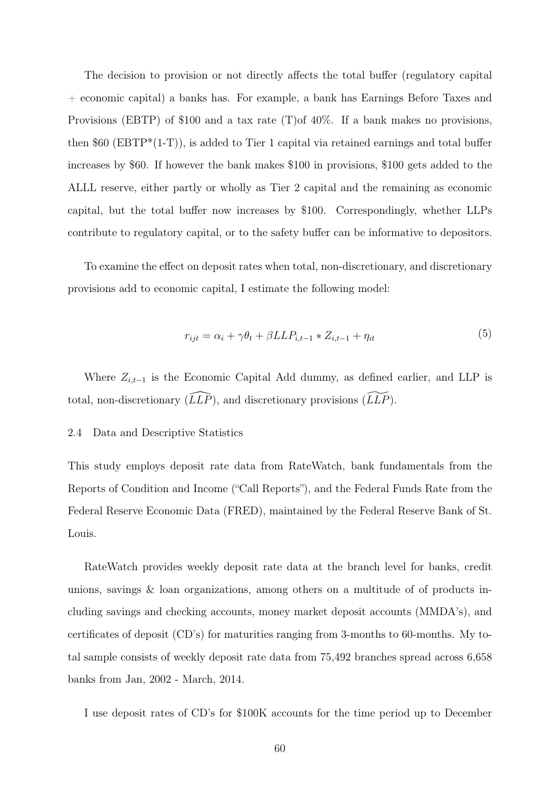The decision to provision or not directly affects the total buffer (regulatory capital + economic capital) a banks has. For example, a bank has Earnings Before Taxes and Provisions (EBTP) of \$100 and a tax rate (T)of 40%. If a bank makes no provisions, then  $60$  (EBTP<sup>\*</sup>(1-T)), is added to Tier 1 capital via retained earnings and total buffer increases by \$60. If however the bank makes \$100 in provisions, \$100 gets added to the ALLL reserve, either partly or wholly as Tier 2 capital and the remaining as economic capital, but the total buffer now increases by \$100. Correspondingly, whether LLPs contribute to regulatory capital, or to the safety buffer can be informative to depositors.

To examine the effect on deposit rates when total, non-discretionary, and discretionary provisions add to economic capital, I estimate the following model:

$$
r_{ijt} = \alpha_i + \gamma \theta_t + \beta L L P_{i,t-1} * Z_{i,t-1} + \eta_{it}
$$
\n
$$
\tag{5}
$$

Where  $Z_{i,t-1}$  is the Economic Capital Add dummy, as defined earlier, and LLP is total, non-discretionary  $(\tilde{L}L\tilde{P})$ , and discretionary provisions  $(\tilde{L}L\tilde{P})$ .

## 2.4 Data and Descriptive Statistics

This study employs deposit rate data from RateWatch, bank fundamentals from the Reports of Condition and Income ("Call Reports"), and the Federal Funds Rate from the Federal Reserve Economic Data (FRED), maintained by the Federal Reserve Bank of St. Louis.

RateWatch provides weekly deposit rate data at the branch level for banks, credit unions, savings & loan organizations, among others on a multitude of of products including savings and checking accounts, money market deposit accounts (MMDA's), and certificates of deposit (CD's) for maturities ranging from 3-months to 60-months. My total sample consists of weekly deposit rate data from 75,492 branches spread across 6,658 banks from Jan, 2002 - March, 2014.

I use deposit rates of CD's for \$100K accounts for the time period up to December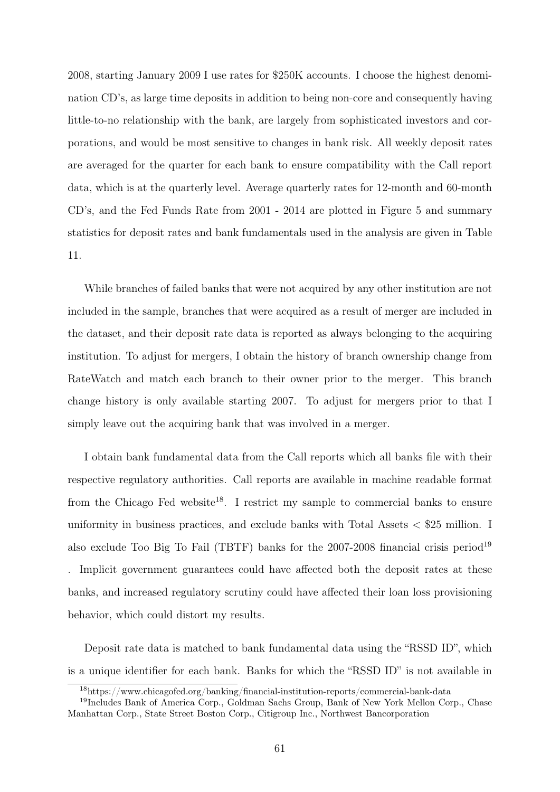2008, starting January 2009 I use rates for \$250K accounts. I choose the highest denomination CD's, as large time deposits in addition to being non-core and consequently having little-to-no relationship with the bank, are largely from sophisticated investors and corporations, and would be most sensitive to changes in bank risk. All weekly deposit rates are averaged for the quarter for each bank to ensure compatibility with the Call report data, which is at the quarterly level. Average quarterly rates for 12-month and 60-month CD's, and the Fed Funds Rate from 2001 - 2014 are plotted in Figure 5 and summary statistics for deposit rates and bank fundamentals used in the analysis are given in Table 11.

While branches of failed banks that were not acquired by any other institution are not included in the sample, branches that were acquired as a result of merger are included in the dataset, and their deposit rate data is reported as always belonging to the acquiring institution. To adjust for mergers, I obtain the history of branch ownership change from RateWatch and match each branch to their owner prior to the merger. This branch change history is only available starting 2007. To adjust for mergers prior to that I simply leave out the acquiring bank that was involved in a merger.

I obtain bank fundamental data from the Call reports which all banks file with their respective regulatory authorities. Call reports are available in machine readable format from the Chicago Fed website<sup>18</sup>. I restrict my sample to commercial banks to ensure uniformity in business practices, and exclude banks with Total Assets  $\langle$  \$25 million. I also exclude Too Big To Fail (TBTF) banks for the  $2007-2008$  financial crisis period<sup>19</sup> . Implicit government guarantees could have affected both the deposit rates at these banks, and increased regulatory scrutiny could have affected their loan loss provisioning behavior, which could distort my results.

Deposit rate data is matched to bank fundamental data using the "RSSD ID", which is a unique identifier for each bank. Banks for which the "RSSD ID" is not available in

<sup>18</sup>https://www.chicagofed.org/banking/financial-institution-reports/commercial-bank-data

<sup>19</sup>Includes Bank of America Corp., Goldman Sachs Group, Bank of New York Mellon Corp., Chase Manhattan Corp., State Street Boston Corp., Citigroup Inc., Northwest Bancorporation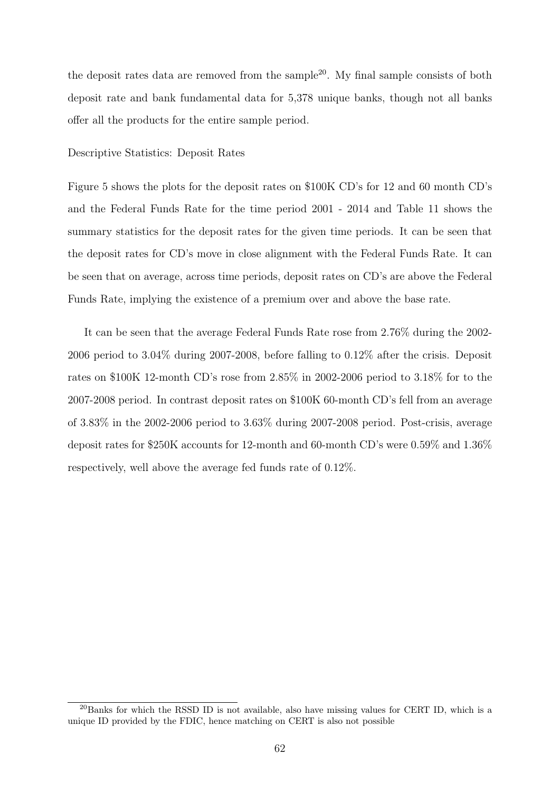the deposit rates data are removed from the sample<sup>20</sup>. My final sample consists of both deposit rate and bank fundamental data for 5,378 unique banks, though not all banks offer all the products for the entire sample period.

#### Descriptive Statistics: Deposit Rates

Figure 5 shows the plots for the deposit rates on \$100K CD's for 12 and 60 month CD's and the Federal Funds Rate for the time period 2001 - 2014 and Table 11 shows the summary statistics for the deposit rates for the given time periods. It can be seen that the deposit rates for CD's move in close alignment with the Federal Funds Rate. It can be seen that on average, across time periods, deposit rates on CD's are above the Federal Funds Rate, implying the existence of a premium over and above the base rate.

It can be seen that the average Federal Funds Rate rose from 2.76% during the 2002- 2006 period to 3.04% during 2007-2008, before falling to 0.12% after the crisis. Deposit rates on \$100K 12-month CD's rose from 2.85% in 2002-2006 period to 3.18% for to the 2007-2008 period. In contrast deposit rates on \$100K 60-month CD's fell from an average of 3.83% in the 2002-2006 period to 3.63% during 2007-2008 period. Post-crisis, average deposit rates for \$250K accounts for 12-month and 60-month CD's were 0.59% and 1.36% respectively, well above the average fed funds rate of 0.12%.

 $^{20}$ Banks for which the RSSD ID is not available, also have missing values for CERT ID, which is a unique ID provided by the FDIC, hence matching on CERT is also not possible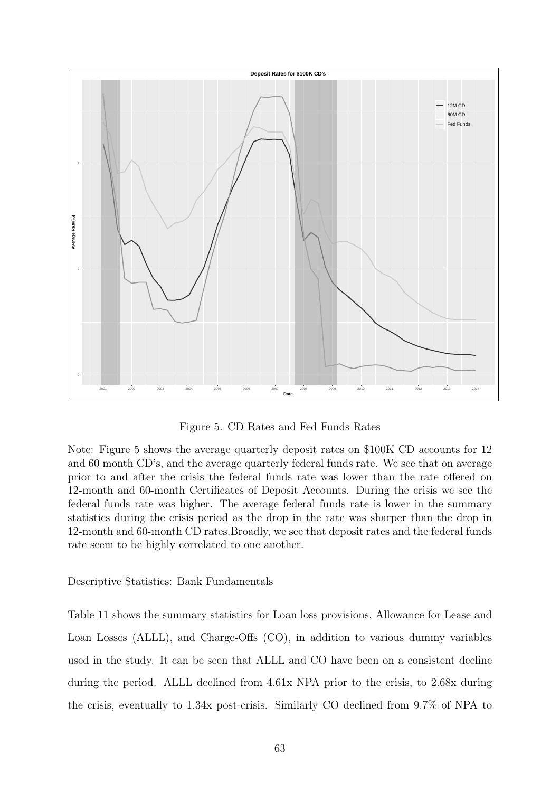

Figure 5. CD Rates and Fed Funds Rates

Note: Figure 5 shows the average quarterly deposit rates on \$100K CD accounts for 12 and 60 month CD's, and the average quarterly federal funds rate. We see that on average prior to and after the crisis the federal funds rate was lower than the rate offered on 12-month and 60-month Certificates of Deposit Accounts. During the crisis we see the federal funds rate was higher. The average federal funds rate is lower in the summary statistics during the crisis period as the drop in the rate was sharper than the drop in 12-month and 60-month CD rates.Broadly, we see that deposit rates and the federal funds rate seem to be highly correlated to one another.

Descriptive Statistics: Bank Fundamentals

Table 11 shows the summary statistics for Loan loss provisions, Allowance for Lease and Loan Losses (ALLL), and Charge-Offs (CO), in addition to various dummy variables used in the study. It can be seen that ALLL and CO have been on a consistent decline during the period. ALLL declined from 4.61x NPA prior to the crisis, to 2.68x during the crisis, eventually to 1.34x post-crisis. Similarly CO declined from 9.7% of NPA to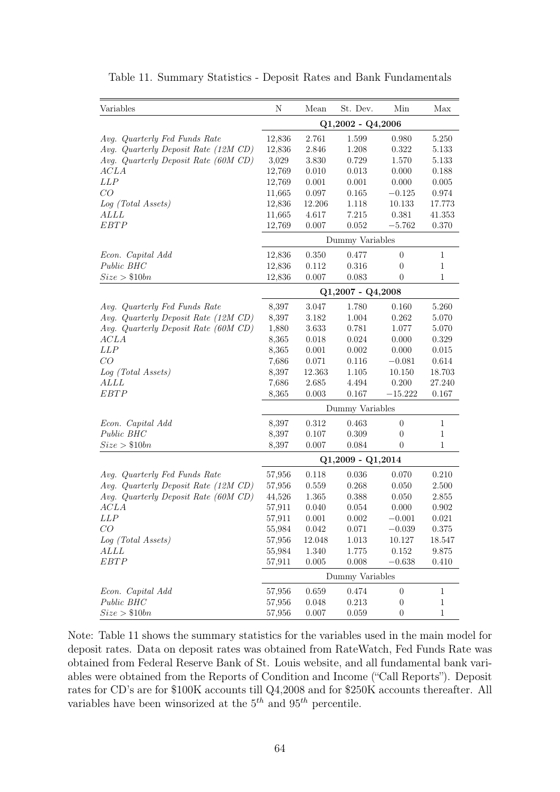| Variables                            | N                   | Mean   | St. Dev.          | Min              | Max          |  |
|--------------------------------------|---------------------|--------|-------------------|------------------|--------------|--|
|                                      | $Q1,2002 - Q4,2006$ |        |                   |                  |              |  |
| Avg. Quarterly Fed Funds Rate        | 12,836              | 2.761  | 1.599             | 0.980            | 5.250        |  |
| Avg. Quarterly Deposit Rate (12M CD) | 12,836              | 2.846  | 1.208             | 0.322            | 5.133        |  |
| Avg. Quarterly Deposit Rate (60M CD) | 3,029               | 3.830  | 0.729             | 1.570            | 5.133        |  |
| ACLA                                 | 12,769              | 0.010  | 0.013             | 0.000            | 0.188        |  |
| LLP                                  | 12,769              | 0.001  | 0.001             | 0.000            | 0.005        |  |
| CO                                   | 11,665              | 0.097  | 0.165             | $-0.125$         | 0.974        |  |
| Log (Total Assets)                   | 12,836              | 12.206 | 1.118             | 10.133           | 17.773       |  |
| <i>ALLL</i>                          | 11,665              | 4.617  | 7.215             | 0.381            | 41.353       |  |
| <b>EBTP</b>                          | 12,769              | 0.007  | 0.052             | $-5.762$         | 0.370        |  |
|                                      |                     |        | Dummy Variables   |                  |              |  |
| Econ. Capital Add                    | 12,836              | 0.350  | 0.477             | $\boldsymbol{0}$ | $\mathbf{1}$ |  |
| Public BHC                           | 12,836              | 0.112  | 0.316             | 0                | 1            |  |
| Size > \$10bn                        | 12,836              | 0.007  | 0.083             | $\theta$         | 1            |  |
|                                      |                     |        | Q1,2007 - Q4,2008 |                  |              |  |
| Avg. Quarterly Fed Funds Rate        | 8,397               | 3.047  | 1.780             | 0.160            | 5.260        |  |
| Avg. Quarterly Deposit Rate (12M CD) | 8,397               | 3.182  | 1.004             | 0.262            | 5.070        |  |
| Avg. Quarterly Deposit Rate (60M CD) | 1,880               | 3.633  | 0.781             | 1.077            | 5.070        |  |
| ACLA                                 | 8,365               | 0.018  | 0.024             | 0.000            | 0.329        |  |
| <b>LLP</b>                           | 8,365               | 0.001  | 0.002             | 0.000            | 0.015        |  |
| CO                                   | 7,686               | 0.071  | 0.116             | $-0.081$         | 0.614        |  |
| Log (Total Assets)                   | 8,397               | 12.363 | $1.105\,$         | 10.150           | 18.703       |  |
| <i>ALLL</i>                          | 7,686               | 2.685  | 4.494             | 0.200            | 27.240       |  |
| <b>EBTP</b>                          | 8,365               | 0.003  | 0.167             | $-15.222$        | 0.167        |  |
|                                      | Dummy Variables     |        |                   |                  |              |  |
| Econ. Capital Add                    | 8,397               | 0.312  | 0.463             | $\boldsymbol{0}$ | $\mathbf 1$  |  |
| Public BHC                           | 8,397               | 0.107  | 0.309             | $\theta$         | $\mathbf{1}$ |  |
| Size > \$10bn                        | 8,397               | 0.007  | 0.084             | 0                | $\mathbf{1}$ |  |
|                                      | $Q1,2009 - Q1,2014$ |        |                   |                  |              |  |
| Avg. Quarterly Fed Funds Rate        | 57,956              | 0.118  | 0.036             | 0.070            | 0.210        |  |
| Avg. Quarterly Deposit Rate (12M CD) | $57,\!956$          | 0.559  | 0.268             | 0.050            | 2.500        |  |
| Avg. Quarterly Deposit Rate (60M CD) | 44,526              | 1.365  | 0.388             | 0.050            | 2.855        |  |
| ACLA                                 | 57,911              | 0.040  | 0.054             | 0.000            | 0.902        |  |
| LLP                                  | 57,911              | 0.001  | 0.002             | $-0.001$         | 0.021        |  |
| CO                                   | 55,984              | 0.042  | 0.071             | $-0.039$         | 0.375        |  |
| Log (Total Assets)                   | 57,956              | 12.048 | 1.013             | 10.127           | 18.547       |  |
| <i>ALLL</i>                          | 55,984              | 1.340  | 1.775             | 0.152            | 9.875        |  |
| EBTP                                 | 57,911              | 0.005  | 0.008             | $-0.638$         | 0.410        |  |
|                                      | Dummy Variables     |        |                   |                  |              |  |
| Econ. Capital Add                    | 57,956              | 0.659  | 0.474             | $\boldsymbol{0}$ | $\mathbf 1$  |  |
| Public BHC                           | 57,956              | 0.048  | 0.213             | $\theta$         | 1            |  |
| Size > \$10bn                        | 57,956              | 0.007  | 0.059             | $\boldsymbol{0}$ | 1            |  |

Table 11. Summary Statistics - Deposit Rates and Bank Fundamentals

Note: Table 11 shows the summary statistics for the variables used in the main model for deposit rates. Data on deposit rates was obtained from RateWatch, Fed Funds Rate was obtained from Federal Reserve Bank of St. Louis website, and all fundamental bank variables were obtained from the Reports of Condition and Income ("Call Reports"). Deposit rates for CD's are for \$100K accounts till Q4,2008 and for \$250K accounts thereafter. All variables have been winsorized at the  $5<sup>th</sup>$  and  $95<sup>th</sup>$  percentile.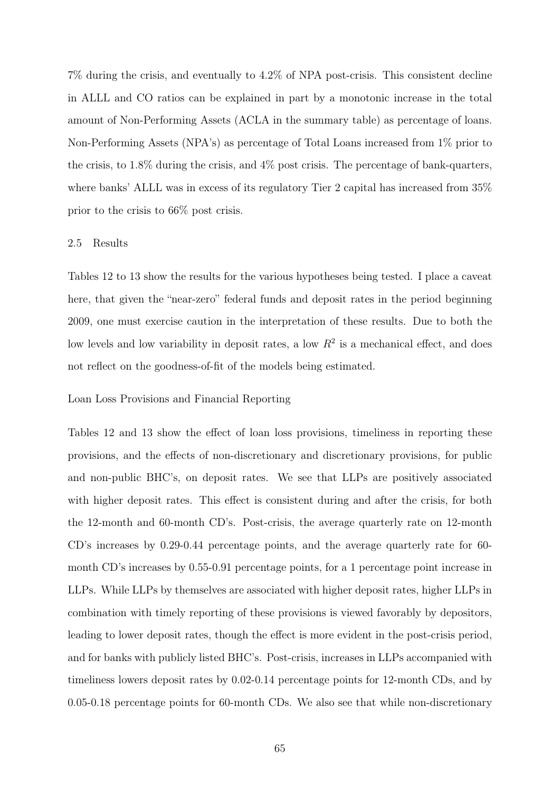7% during the crisis, and eventually to 4.2% of NPA post-crisis. This consistent decline in ALLL and CO ratios can be explained in part by a monotonic increase in the total amount of Non-Performing Assets (ACLA in the summary table) as percentage of loans. Non-Performing Assets (NPA's) as percentage of Total Loans increased from 1% prior to the crisis, to 1.8% during the crisis, and 4% post crisis. The percentage of bank-quarters, where banks' ALLL was in excess of its regulatory Tier 2 capital has increased from 35% prior to the crisis to 66% post crisis.

#### 2.5 Results

Tables 12 to 13 show the results for the various hypotheses being tested. I place a caveat here, that given the "near-zero" federal funds and deposit rates in the period beginning 2009, one must exercise caution in the interpretation of these results. Due to both the low levels and low variability in deposit rates, a low  $R^2$  is a mechanical effect, and does not reflect on the goodness-of-fit of the models being estimated.

### Loan Loss Provisions and Financial Reporting

Tables 12 and 13 show the effect of loan loss provisions, timeliness in reporting these provisions, and the effects of non-discretionary and discretionary provisions, for public and non-public BHC's, on deposit rates. We see that LLPs are positively associated with higher deposit rates. This effect is consistent during and after the crisis, for both the 12-month and 60-month CD's. Post-crisis, the average quarterly rate on 12-month CD's increases by 0.29-0.44 percentage points, and the average quarterly rate for 60 month CD's increases by 0.55-0.91 percentage points, for a 1 percentage point increase in LLPs. While LLPs by themselves are associated with higher deposit rates, higher LLPs in combination with timely reporting of these provisions is viewed favorably by depositors, leading to lower deposit rates, though the effect is more evident in the post-crisis period, and for banks with publicly listed BHC's. Post-crisis, increases in LLPs accompanied with timeliness lowers deposit rates by 0.02-0.14 percentage points for 12-month CDs, and by 0.05-0.18 percentage points for 60-month CDs. We also see that while non-discretionary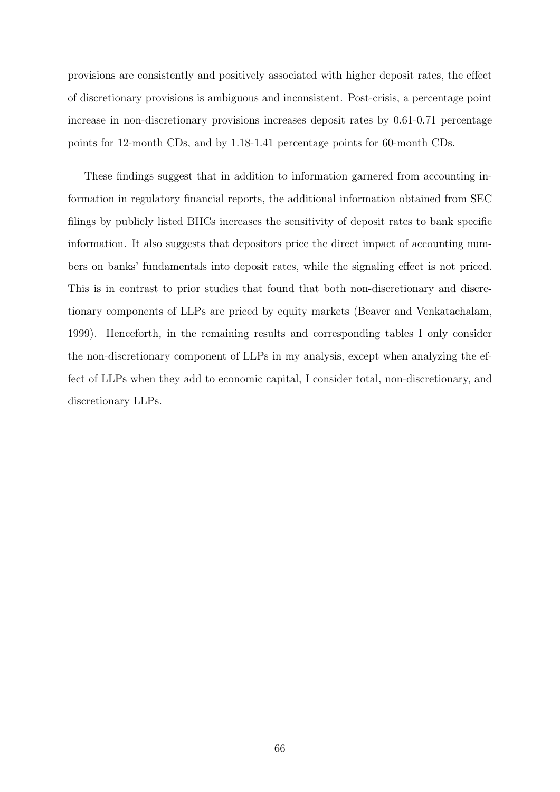provisions are consistently and positively associated with higher deposit rates, the effect of discretionary provisions is ambiguous and inconsistent. Post-crisis, a percentage point increase in non-discretionary provisions increases deposit rates by 0.61-0.71 percentage points for 12-month CDs, and by 1.18-1.41 percentage points for 60-month CDs.

These findings suggest that in addition to information garnered from accounting information in regulatory financial reports, the additional information obtained from SEC filings by publicly listed BHCs increases the sensitivity of deposit rates to bank specific information. It also suggests that depositors price the direct impact of accounting numbers on banks' fundamentals into deposit rates, while the signaling effect is not priced. This is in contrast to prior studies that found that both non-discretionary and discretionary components of LLPs are priced by equity markets (Beaver and Venkatachalam, 1999). Henceforth, in the remaining results and corresponding tables I only consider the non-discretionary component of LLPs in my analysis, except when analyzing the effect of LLPs when they add to economic capital, I consider total, non-discretionary, and discretionary LLPs.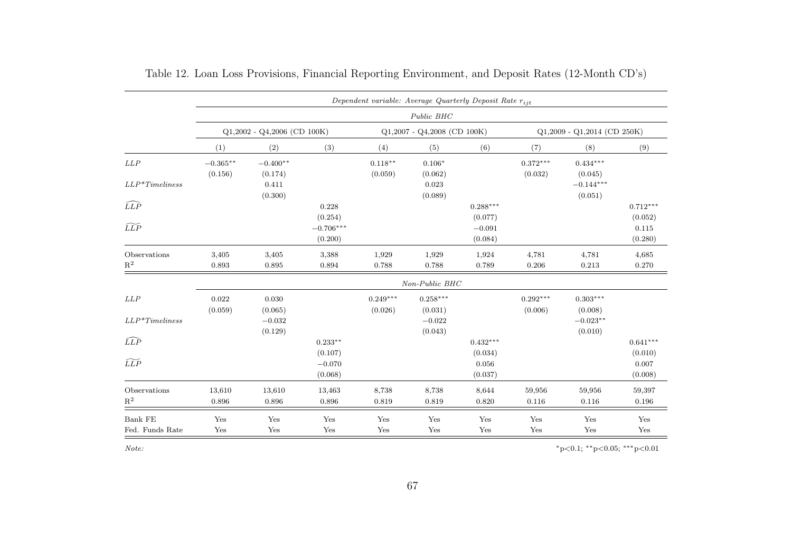|                   | Dependent variable: Average Quarterly Deposit Rate $r_{ijt}$ |                               |             |            |                               |            |                               |             |            |  |
|-------------------|--------------------------------------------------------------|-------------------------------|-------------|------------|-------------------------------|------------|-------------------------------|-------------|------------|--|
|                   |                                                              | Public BHC                    |             |            |                               |            |                               |             |            |  |
|                   |                                                              | $Q1,2002 - Q4,2006$ (CD 100K) |             |            | $Q1,2007 - Q4,2008$ (CD 100K) |            | $Q1,2009 - Q1,2014$ (CD 250K) |             |            |  |
|                   | (1)                                                          | (2)                           | (3)         | (4)        | (5)                           | (6)        | (7)                           | (8)         | (9)        |  |
| LLP               | $-0.365^{\ast\ast}$                                          | $-0.400**$                    |             | $0.118**$  | $0.106*$                      |            | $0.372***$                    | $0.434***$  |            |  |
|                   | (0.156)                                                      | (0.174)                       |             | (0.059)    | (0.062)                       |            | (0.032)                       | (0.045)     |            |  |
| $LLP^*Time lines$ |                                                              | 0.411                         |             |            | 0.023                         |            |                               | $-0.144***$ |            |  |
|                   |                                                              | (0.300)                       |             |            | (0.089)                       |            |                               | (0.051)     |            |  |
| $\widehat{LLP}$   |                                                              |                               | 0.228       |            |                               | $0.288***$ |                               |             | $0.712***$ |  |
|                   |                                                              |                               | (0.254)     |            |                               | (0.077)    |                               |             | (0.052)    |  |
| $\widetilde{LLP}$ |                                                              |                               | $-0.706***$ |            |                               | $-0.091$   |                               |             | 0.115      |  |
|                   |                                                              |                               | (0.200)     |            |                               | (0.084)    |                               |             | (0.280)    |  |
| Observations      | 3,405                                                        | 3,405                         | 3,388       | 1,929      | 1,929                         | 1,924      | 4,781                         | 4,781       | 4,685      |  |
| $\mathbf{R}^2$    | 0.893                                                        | 0.895                         | 0.894       | 0.788      | 0.788                         | 0.789      | 0.206                         | 0.213       | 0.270      |  |
|                   |                                                              |                               |             |            | Non-Public BHC                |            |                               |             |            |  |
| LLP               | 0.022                                                        | 0.030                         |             | $0.249***$ | $0.258***$                    |            | $0.292***$                    | $0.303***$  |            |  |
|                   | (0.059)                                                      | (0.065)                       |             | (0.026)    | (0.031)                       |            | (0.006)                       | (0.008)     |            |  |
| $LLP*Time lines$  |                                                              | $-0.032$                      |             |            | $-0.022$                      |            |                               | $-0.023**$  |            |  |
|                   |                                                              | (0.129)                       |             |            | (0.043)                       |            |                               | (0.010)     |            |  |
| $\widehat{LLP}$   |                                                              |                               | $0.233**$   |            |                               | $0.432***$ |                               |             | $0.641***$ |  |
|                   |                                                              |                               | (0.107)     |            |                               | (0.034)    |                               |             | (0.010)    |  |
| $\widetilde{LLP}$ |                                                              |                               | $-0.070$    |            |                               | 0.056      |                               |             | 0.007      |  |
|                   |                                                              |                               | (0.068)     |            |                               | (0.037)    |                               |             | (0.008)    |  |
| Observations      | 13,610                                                       | 13,610                        | 13,463      | 8,738      | 8,738                         | 8,644      | 59,956                        | 59,956      | 59,397     |  |
| $\mathbb{R}^2$    | 0.896                                                        | 0.896                         | 0.896       | 0.819      | 0.819                         | 0.820      | 0.116                         | 0.116       | 0.196      |  |
| Bank FE           | Yes                                                          | Yes                           | Yes         | Yes        | Yes                           | Yes        | Yes                           | Yes         | Yes        |  |
| Fed. Funds Rate   | Yes                                                          | Yes                           | Yes         | Yes        | Yes                           | Yes        | Yes                           | Yes         | Yes        |  |

Table 12. Loan Loss Provisions, Financial Reporting Environment, and Deposit Rates (12-Month CD's)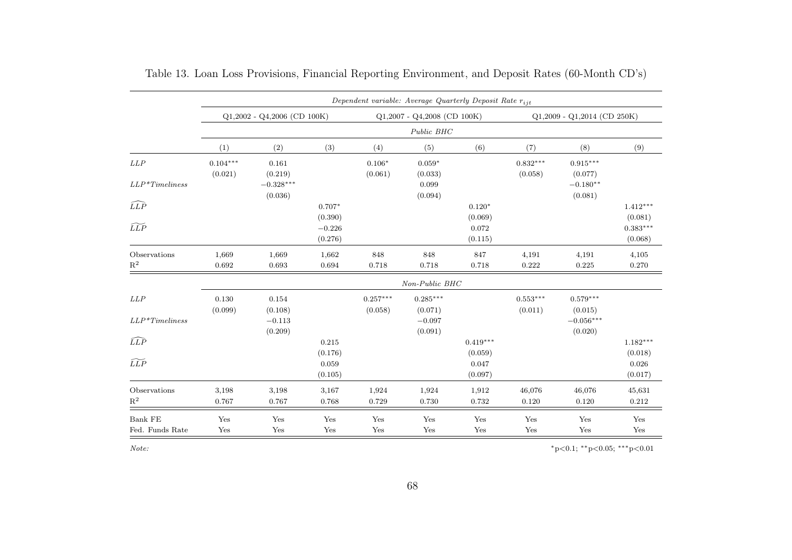|                                      | Dependent variable: Average Quarterly Deposit Rate $r_{ijt}$ |                               |                     |                       |                               |                       |                       |                               |                       |  |
|--------------------------------------|--------------------------------------------------------------|-------------------------------|---------------------|-----------------------|-------------------------------|-----------------------|-----------------------|-------------------------------|-----------------------|--|
|                                      |                                                              | $Q1,2002 - Q4,2006$ (CD 100K) |                     |                       | $Q1,2007 - Q4,2008$ (CD 100K) |                       |                       | $Q1,2009 - Q1,2014$ (CD 250K) |                       |  |
|                                      |                                                              |                               |                     |                       | Public BHC                    |                       |                       |                               |                       |  |
|                                      | (1)                                                          | (2)                           | (3)                 | (4)                   | (5)                           | (6)                   | (7)                   | (8)                           | (9)                   |  |
| LLP                                  | $0.104***$<br>(0.021)                                        | 0.161<br>(0.219)              |                     | $0.106*$<br>(0.061)   | $0.059*$<br>(0.033)           |                       | $0.832***$<br>(0.058) | $0.915***$<br>(0.077)         |                       |  |
| $LLP*Time lines$                     |                                                              | $-0.328***$<br>(0.036)        |                     |                       | 0.099<br>(0.094)              |                       |                       | $-0.180**$<br>(0.081)         |                       |  |
| $\widehat{LLP}$<br>$\widetilde{LLP}$ |                                                              |                               | $0.707*$<br>(0.390) |                       |                               | $0.120*$<br>(0.069)   |                       |                               | $1.412***$<br>(0.081) |  |
|                                      |                                                              |                               | $-0.226$<br>(0.276) |                       |                               | 0.072<br>(0.115)      |                       |                               | $0.383***$<br>(0.068) |  |
| Observations<br>$\mathbf{R}^2$       | 1,669<br>0.692                                               | 1,669<br>0.693                | 1,662<br>0.694      | 848<br>0.718          | 848<br>0.718                  | 847<br>0.718          | 4,191<br>0.222        | 4,191<br>0.225                | 4,105<br>0.270        |  |
|                                      |                                                              |                               |                     |                       | Non-Public BHC                |                       |                       |                               |                       |  |
| LLP                                  | 0.130<br>(0.099)                                             | 0.154<br>(0.108)              |                     | $0.257***$<br>(0.058) | $0.285***$<br>(0.071)         |                       | $0.553***$<br>(0.011) | $0.579***$<br>(0.015)         |                       |  |
| $LLP*Time lines$                     |                                                              | $-0.113$<br>(0.209)           |                     |                       | $-0.097$<br>(0.091)           |                       |                       | $-0.056***$<br>(0.020)        |                       |  |
| $\widehat{LLP}$                      |                                                              |                               | 0.215<br>(0.176)    |                       |                               | $0.419***$<br>(0.059) |                       |                               | $1.182***$<br>(0.018) |  |
| $\widetilde{LLP}$                    |                                                              |                               | 0.059<br>(0.105)    |                       |                               | 0.047<br>(0.097)      |                       |                               | 0.026<br>(0.017)      |  |
| Observations                         | 3,198                                                        | 3,198                         | 3,167               | 1,924                 | 1,924                         | 1,912                 | 46,076                | 46,076                        | 45,631                |  |
| $\mathbf{R}^2$                       | 0.767                                                        | 0.767                         | 0.768               | 0.729                 | 0.730                         | 0.732                 | 0.120                 | 0.120                         | $0.212\,$             |  |
| Bank FE                              | Yes                                                          | Yes                           | Yes                 | Yes                   | Yes                           | Yes                   | Yes                   | Yes                           | Yes                   |  |
| Fed. Funds Rate                      | Yes                                                          | Yes                           | Yes                 | Yes                   | Yes                           | Yes                   | Yes                   | Yes                           | Yes                   |  |

| Table 13. Loan Loss Provisions, Financial Reporting Environment, and Deposit Rates (60-Month CD's) |  |  |  |  |
|----------------------------------------------------------------------------------------------------|--|--|--|--|
|----------------------------------------------------------------------------------------------------|--|--|--|--|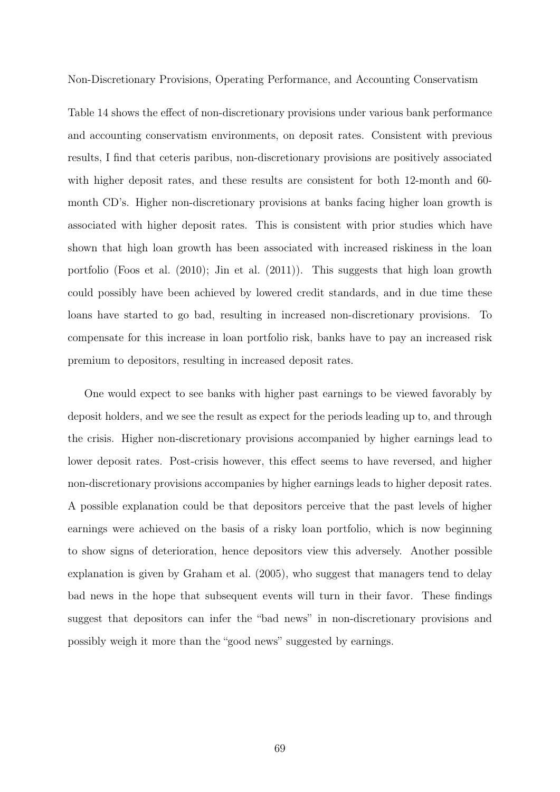Non-Discretionary Provisions, Operating Performance, and Accounting Conservatism

Table 14 shows the effect of non-discretionary provisions under various bank performance and accounting conservatism environments, on deposit rates. Consistent with previous results, I find that ceteris paribus, non-discretionary provisions are positively associated with higher deposit rates, and these results are consistent for both 12-month and 60month CD's. Higher non-discretionary provisions at banks facing higher loan growth is associated with higher deposit rates. This is consistent with prior studies which have shown that high loan growth has been associated with increased riskiness in the loan portfolio (Foos et al. (2010); Jin et al. (2011)). This suggests that high loan growth could possibly have been achieved by lowered credit standards, and in due time these loans have started to go bad, resulting in increased non-discretionary provisions. To compensate for this increase in loan portfolio risk, banks have to pay an increased risk premium to depositors, resulting in increased deposit rates.

One would expect to see banks with higher past earnings to be viewed favorably by deposit holders, and we see the result as expect for the periods leading up to, and through the crisis. Higher non-discretionary provisions accompanied by higher earnings lead to lower deposit rates. Post-crisis however, this effect seems to have reversed, and higher non-discretionary provisions accompanies by higher earnings leads to higher deposit rates. A possible explanation could be that depositors perceive that the past levels of higher earnings were achieved on the basis of a risky loan portfolio, which is now beginning to show signs of deterioration, hence depositors view this adversely. Another possible explanation is given by Graham et al. (2005), who suggest that managers tend to delay bad news in the hope that subsequent events will turn in their favor. These findings suggest that depositors can infer the "bad news" in non-discretionary provisions and possibly weigh it more than the "good news" suggested by earnings.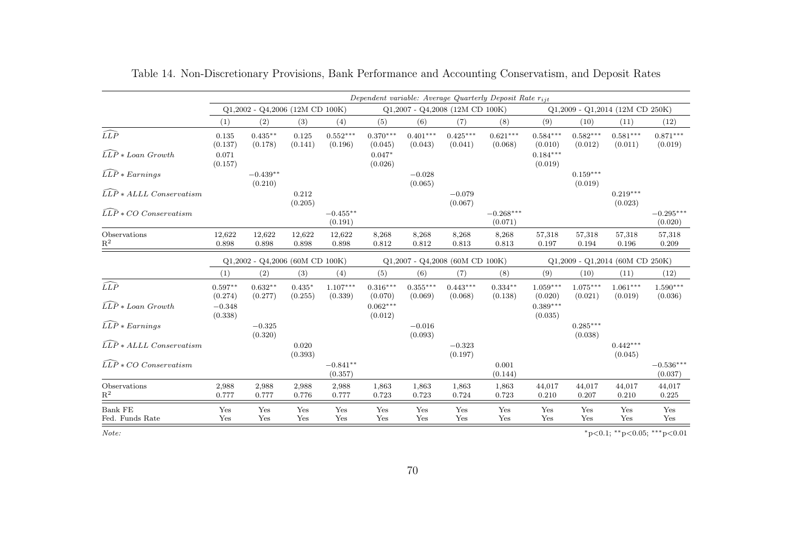|                                     | Dependent variable: Average Quarterly Deposit Rate $r_{i,i}$ |                       |                     |                                   |                       |                       |                                   |                                   |                                   |                       |                       |                        |
|-------------------------------------|--------------------------------------------------------------|-----------------------|---------------------|-----------------------------------|-----------------------|-----------------------|-----------------------------------|-----------------------------------|-----------------------------------|-----------------------|-----------------------|------------------------|
|                                     | $Q1,2002 - Q4,2006$ (12M CD 100K)                            |                       |                     |                                   |                       |                       | $Q1,2007 - Q4,2008$ (12M CD 100K) |                                   | $Q1,2009 - Q1,2014$ (12M CD 250K) |                       |                       |                        |
|                                     | (1)                                                          | (2)                   | (3)                 | (4)                               | (5)                   | (6)                   | (7)                               | (8)                               | (9)                               | (10)                  | (11)                  | (12)                   |
| $\widehat{LLP}$                     | 0.135<br>(0.137)                                             | $0.435**$<br>(0.178)  | 0.125<br>(0.141)    | $0.552***$<br>(0.196)             | $0.370***$<br>(0.045) | $0.401***$<br>(0.043) | $0.425***$<br>(0.041)             | $0.621***$<br>(0.068)             | $0.584***$<br>(0.010)             | $0.582***$<br>(0.012) | $0.581***$<br>(0.011) | $0.871***$<br>(0.019)  |
| $\widehat{LLP} * Loan$ Growth       | 0.071<br>(0.157)                                             |                       |                     |                                   | $0.047*$<br>(0.026)   |                       |                                   |                                   | $0.184***$<br>(0.019)             |                       |                       |                        |
| $\widehat{LLP} * Earnings$          |                                                              | $-0.439**$<br>(0.210) |                     |                                   |                       | $-0.028$<br>(0.065)   |                                   |                                   |                                   | $0.159***$<br>(0.019) |                       |                        |
| $\widehat{LLP} * ALLL$ Conservatism |                                                              |                       | 0.212<br>(0.205)    |                                   |                       |                       | $-0.079$<br>(0.067)               |                                   |                                   |                       | $0.219***$<br>(0.023) |                        |
| $\widehat{LLP} * CO$ Conservatism   |                                                              |                       |                     | $-0.455***$<br>(0.191)            |                       |                       |                                   | $-0.268***$<br>(0.071)            |                                   |                       |                       | $-0.295***$<br>(0.020) |
| Observations<br>$\mathbf{R}^2$      | 12,622<br>0.898                                              | 12,622<br>0.898       | 12,622<br>0.898     | 12,622<br>0.898                   | 8,268<br>0.812        | 8,268<br>0.812        | 8,268<br>0.813                    | 8,268<br>0.813                    | 57,318<br>0.197                   | 57,318<br>0.194       | 57,318<br>0.196       | 57,318<br>0.209        |
|                                     | $Q1,2002$ - $Q4,2006$ (60M CD 100K)                          |                       |                     | $Q1,2007 - Q4,2008$ (60M CD 100K) |                       |                       |                                   | $Q1,2009 - Q1,2014$ (60M CD 250K) |                                   |                       |                       |                        |
|                                     | (1)                                                          | (2)                   | (3)                 | (4)                               | (5)                   | (6)                   | (7)                               | (8)                               | (9)                               | (10)                  | (11)                  | (12)                   |
| $\widehat{LLP}$                     | $0.597**$<br>(0.274)                                         | $0.632**$<br>(0.277)  | $0.435*$<br>(0.255) | $1.107***$<br>(0.339)             | $0.316***$<br>(0.070) | $0.355***$<br>(0.069) | $0.443***$<br>(0.068)             | $0.334**$<br>(0.138)              | $1.059***$<br>(0.020)             | $1.075***$<br>(0.021) | $1.061***$<br>(0.019) | $1.590***$<br>(0.036)  |
| $\widehat{LLP} * Loan$ Growth       | $-0.348$<br>(0.338)                                          |                       |                     |                                   | $0.062***$<br>(0.012) |                       |                                   |                                   | $0.389***$<br>(0.035)             |                       |                       |                        |
| $\widehat{LLP} * Earnings$          |                                                              | $-0.325$<br>(0.320)   |                     |                                   |                       | $-0.016$<br>(0.093)   |                                   |                                   |                                   | $0.285***$<br>(0.038) |                       |                        |
| $\widehat{LLP} * ALLL$ Conservatism |                                                              |                       | 0.020<br>(0.393)    |                                   |                       |                       | $-0.323$<br>(0.197)               |                                   |                                   |                       | $0.442***$<br>(0.045) |                        |
| $\widehat{LLP} * CO$ Conservatism   |                                                              |                       |                     | $-0.841**$<br>(0.357)             |                       |                       |                                   | 0.001<br>(0.144)                  |                                   |                       |                       | $-0.536***$<br>(0.037) |
| Observations<br>$\mathbf{R}^2$      | 2,988<br>0.777                                               | 2,988<br>0.777        | 2,988<br>0.776      | 2,988<br>0.777                    | 1,863<br>0.723        | 1,863<br>0.723        | 1,863<br>0.724                    | 1,863<br>0.723                    | 44,017<br>0.210                   | 44,017<br>0.207       | 44,017<br>0.210       | 44,017<br>0.225        |
| <b>Bank FE</b><br>Fed. Funds Rate   | Yes<br>Yes                                                   | Yes<br>Yes            | Yes<br>Yes          | Yes<br>Yes                        | Yes<br>Yes            | Yes<br>Yes            | Yes<br>Yes                        | Yes<br>Yes                        | Yes<br>Yes                        | Yes<br>Yes            | Yes<br>Yes            | Yes<br>Yes             |

Table 14. Non-Discretionary Provisions, Bank Performance and Accounting Conservatism, and Deposit Rates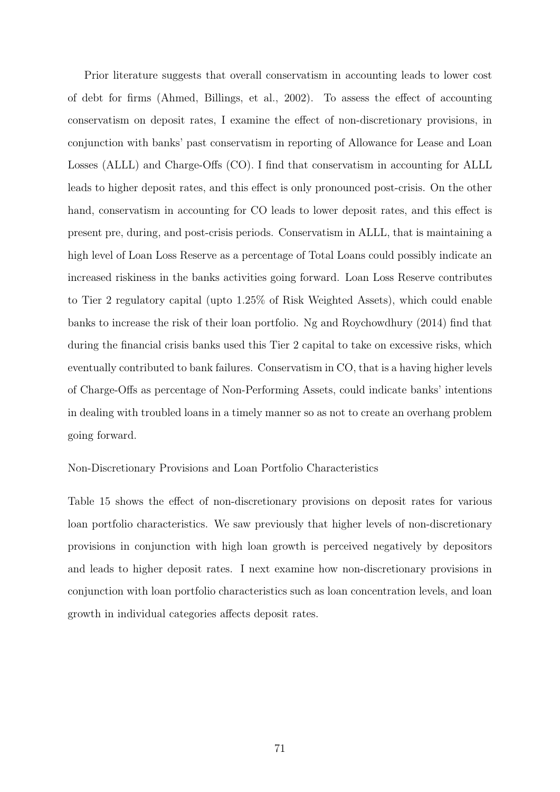Prior literature suggests that overall conservatism in accounting leads to lower cost of debt for firms (Ahmed, Billings, et al., 2002). To assess the effect of accounting conservatism on deposit rates, I examine the effect of non-discretionary provisions, in conjunction with banks' past conservatism in reporting of Allowance for Lease and Loan Losses (ALLL) and Charge-Offs (CO). I find that conservatism in accounting for ALLL leads to higher deposit rates, and this effect is only pronounced post-crisis. On the other hand, conservatism in accounting for CO leads to lower deposit rates, and this effect is present pre, during, and post-crisis periods. Conservatism in ALLL, that is maintaining a high level of Loan Loss Reserve as a percentage of Total Loans could possibly indicate an increased riskiness in the banks activities going forward. Loan Loss Reserve contributes to Tier 2 regulatory capital (upto 1.25% of Risk Weighted Assets), which could enable banks to increase the risk of their loan portfolio. Ng and Roychowdhury (2014) find that during the financial crisis banks used this Tier 2 capital to take on excessive risks, which eventually contributed to bank failures. Conservatism in CO, that is a having higher levels of Charge-Offs as percentage of Non-Performing Assets, could indicate banks' intentions in dealing with troubled loans in a timely manner so as not to create an overhang problem going forward.

Non-Discretionary Provisions and Loan Portfolio Characteristics

Table 15 shows the effect of non-discretionary provisions on deposit rates for various loan portfolio characteristics. We saw previously that higher levels of non-discretionary provisions in conjunction with high loan growth is perceived negatively by depositors and leads to higher deposit rates. I next examine how non-discretionary provisions in conjunction with loan portfolio characteristics such as loan concentration levels, and loan growth in individual categories affects deposit rates.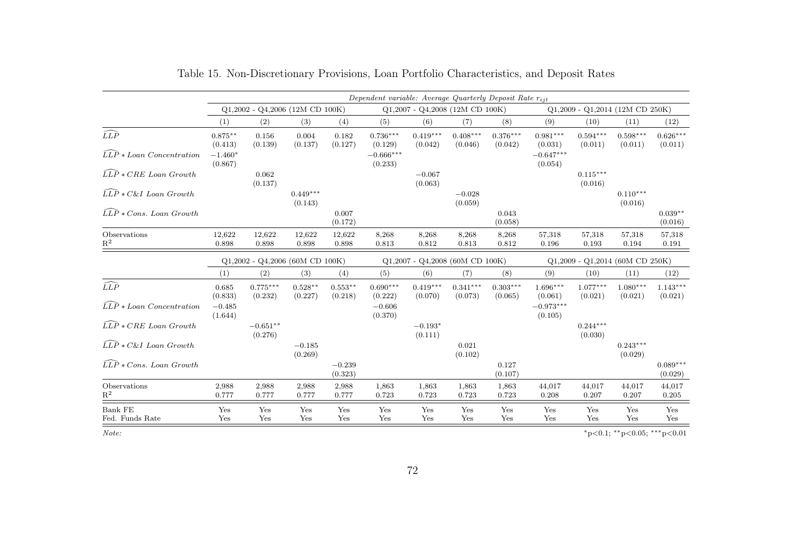|                                                           | Dependent variable: Average Quarterly Deposit Rate $r_{i,i}$ |                       |                       |                                 |                        |                                   |                       |                                 |                        |                                   |                       |                       |  |
|-----------------------------------------------------------|--------------------------------------------------------------|-----------------------|-----------------------|---------------------------------|------------------------|-----------------------------------|-----------------------|---------------------------------|------------------------|-----------------------------------|-----------------------|-----------------------|--|
|                                                           | $Q1,2002 - Q4,2006$ (12M CD 100K)                            |                       |                       |                                 |                        | $Q1,2007 - Q4,2008$ (12M CD 100K) |                       |                                 |                        | $Q1,2009 - Q1,2014$ (12M CD 250K) |                       |                       |  |
|                                                           | (1)                                                          | (2)                   | (3)                   | (4)                             | (5)                    | (6)                               | (7)                   | (8)                             | (9)                    | (10)                              | (11)                  | (12)                  |  |
| $\widehat{LLP}$                                           | $0.875**$<br>(0.413)                                         | 0.156<br>(0.139)      | 0.004<br>(0.137)      | 0.182<br>(0.127)                | $0.736***$<br>(0.129)  | $0.419***$<br>(0.042)             | $0.408***$<br>(0.046) | $0.376***$<br>(0.042)           | $0.981***$<br>(0.031)  | $0.594***$<br>(0.011)             | $0.598***$<br>(0.011) | $0.626***$<br>(0.011) |  |
| $\widehat{LLP} * Loan$ Concentration                      | $-1.460*$<br>(0.867)                                         |                       |                       |                                 | $-0.666***$<br>(0.233) |                                   |                       |                                 | $-0.647***$<br>(0.054) |                                   |                       |                       |  |
| $\widehat{LLP} * CRE$ Loan Growth                         |                                                              | 0.062<br>(0.137)      |                       |                                 |                        | $-0.067$<br>(0.063)               |                       |                                 |                        | $0.115***$<br>(0.016)             |                       |                       |  |
| $\overline{L}\overline{L}\overline{P} * C\&I$ Loan Growth |                                                              |                       | $0.449***$<br>(0.143) |                                 |                        |                                   | $-0.028$<br>(0.059)   |                                 |                        |                                   | $0.110***$<br>(0.016) |                       |  |
| $\widehat{LLP} * Cons.$ Loan Growth                       |                                                              |                       |                       | 0.007<br>(0.172)                |                        |                                   |                       | 0.043<br>(0.058)                |                        |                                   |                       | $0.039**$<br>(0.016)  |  |
| Observations<br>$\mathbf{R}^2$                            | 12,622<br>0.898                                              | 12,622<br>0.898       | 12,622<br>0.898       | 12,622<br>0.898                 | 8,268<br>0.813         | 8,268<br>0.812                    | 8,268<br>0.813        | 8,268<br>0.812                  | 57,318<br>0.196        | 57,318<br>0.193                   | 57,318<br>0.194       | 57,318<br>0.191       |  |
|                                                           | $Q1,2002$ - $Q4,2006$ (60M CD 100K)                          |                       |                       | Q1,2007 - Q4,2008 (60M CD 100K) |                        |                                   |                       | Q1,2009 - Q1,2014 (60M CD 250K) |                        |                                   |                       |                       |  |
|                                                           | (1)                                                          | (2)                   | (3)                   | (4)                             | (5)                    | (6)                               | (7)                   | (8)                             | (9)                    | (10)                              | (11)                  | (12)                  |  |
| $\widehat{LLP}$                                           | 0.685<br>(0.833)                                             | $0.775***$<br>(0.232) | $0.528**$<br>(0.227)  | $0.553**$<br>(0.218)            | $0.690***$<br>(0.222)  | $0.419***$<br>(0.070)             | $0.341***$<br>(0.073) | $0.303***$<br>(0.065)           | $1.696***$<br>(0.061)  | $1.077***$<br>(0.021)             | $1.080***$<br>(0.021) | $1.143***$<br>(0.021) |  |
| $\widehat{LLP} * Loan$ Concentration                      | $-0.485$<br>(1.644)                                          |                       |                       |                                 | $-0.606$<br>(0.370)    |                                   |                       |                                 | $-0.973***$<br>(0.105) |                                   |                       |                       |  |
| $\widehat{LLP} * CRE$ Loan Growth                         |                                                              | $-0.651**$<br>(0.276) |                       |                                 |                        | $-0.193*$<br>(0.111)              |                       |                                 |                        | $0.244***$<br>(0.030)             |                       |                       |  |
| $\widehat{LLP} * C\&I$ Loan Growth                        |                                                              |                       | $-0.185$<br>(0.269)   |                                 |                        |                                   | 0.021<br>(0.102)      |                                 |                        |                                   | $0.243***$<br>(0.029) |                       |  |
| $\widehat{LLP} * Cons.$ Loan Growth                       |                                                              |                       |                       | $-0.239$<br>(0.323)             |                        |                                   |                       | 0.127<br>(0.107)                |                        |                                   |                       | $0.089***$<br>(0.029) |  |
| Observations<br>$\mathbf{R}^2$                            | 2,988<br>0.777                                               | 2,988<br>0.777        | 2,988<br>0.777        | 2,988<br>0.777                  | 1,863<br>0.723         | 1,863<br>0.723                    | 1,863<br>0.723        | 1,863<br>0.723                  | 44,017<br>0.208        | 44,017<br>0.207                   | 44,017<br>0.207       | 44,017<br>0.205       |  |
| <b>Bank FE</b><br>Fed. Funds Rate                         | Yes<br>Yes                                                   | Yes<br>Yes            | Yes<br>Yes            | Yes<br>Yes                      | Yes<br>Yes             | Yes<br>Yes                        | Yes<br>Yes            | Yes<br>Yes                      | Yes<br>Yes             | Yes<br>Yes                        | Yes<br>Yes            | Yes<br>Yes            |  |

Table 15. Non-Discretionary Provisions, Loan Portfolio Characteristics, and Deposit Rates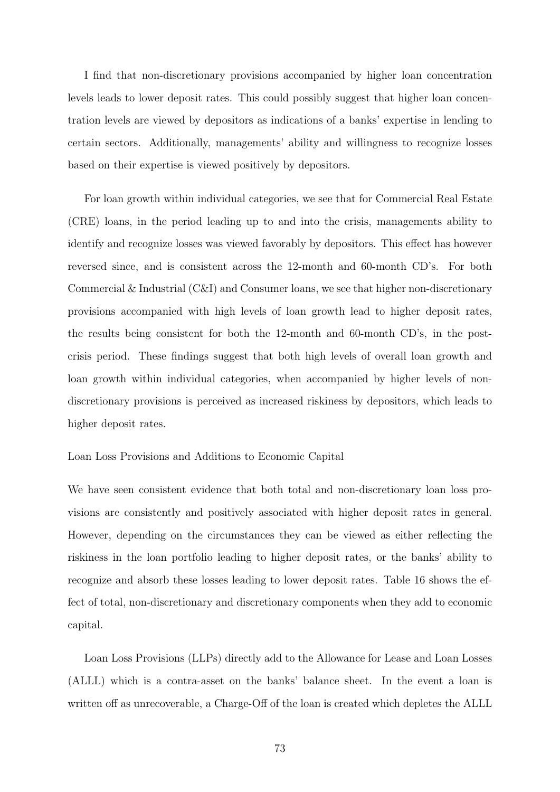I find that non-discretionary provisions accompanied by higher loan concentration levels leads to lower deposit rates. This could possibly suggest that higher loan concentration levels are viewed by depositors as indications of a banks' expertise in lending to certain sectors. Additionally, managements' ability and willingness to recognize losses based on their expertise is viewed positively by depositors.

For loan growth within individual categories, we see that for Commercial Real Estate (CRE) loans, in the period leading up to and into the crisis, managements ability to identify and recognize losses was viewed favorably by depositors. This effect has however reversed since, and is consistent across the 12-month and 60-month CD's. For both Commercial & Industrial (C&I) and Consumer loans, we see that higher non-discretionary provisions accompanied with high levels of loan growth lead to higher deposit rates, the results being consistent for both the 12-month and 60-month CD's, in the postcrisis period. These findings suggest that both high levels of overall loan growth and loan growth within individual categories, when accompanied by higher levels of nondiscretionary provisions is perceived as increased riskiness by depositors, which leads to higher deposit rates.

### Loan Loss Provisions and Additions to Economic Capital

We have seen consistent evidence that both total and non-discretionary loan loss provisions are consistently and positively associated with higher deposit rates in general. However, depending on the circumstances they can be viewed as either reflecting the riskiness in the loan portfolio leading to higher deposit rates, or the banks' ability to recognize and absorb these losses leading to lower deposit rates. Table 16 shows the effect of total, non-discretionary and discretionary components when they add to economic capital.

Loan Loss Provisions (LLPs) directly add to the Allowance for Lease and Loan Losses (ALLL) which is a contra-asset on the banks' balance sheet. In the event a loan is written off as unrecoverable, a Charge-Off of the loan is created which depletes the ALLL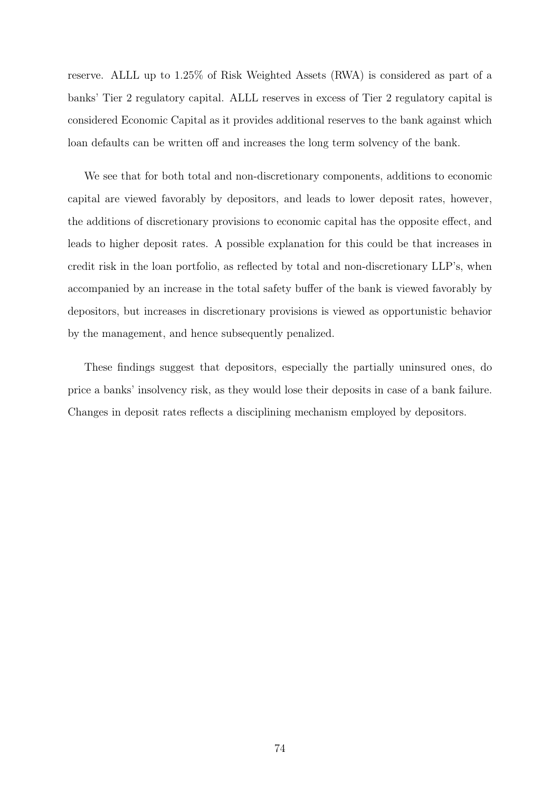reserve. ALLL up to 1.25% of Risk Weighted Assets (RWA) is considered as part of a banks' Tier 2 regulatory capital. ALLL reserves in excess of Tier 2 regulatory capital is considered Economic Capital as it provides additional reserves to the bank against which loan defaults can be written off and increases the long term solvency of the bank.

We see that for both total and non-discretionary components, additions to economic capital are viewed favorably by depositors, and leads to lower deposit rates, however, the additions of discretionary provisions to economic capital has the opposite effect, and leads to higher deposit rates. A possible explanation for this could be that increases in credit risk in the loan portfolio, as reflected by total and non-discretionary LLP's, when accompanied by an increase in the total safety buffer of the bank is viewed favorably by depositors, but increases in discretionary provisions is viewed as opportunistic behavior by the management, and hence subsequently penalized.

These findings suggest that depositors, especially the partially uninsured ones, do price a banks' insolvency risk, as they would lose their deposits in case of a bank failure. Changes in deposit rates reflects a disciplining mechanism employed by depositors.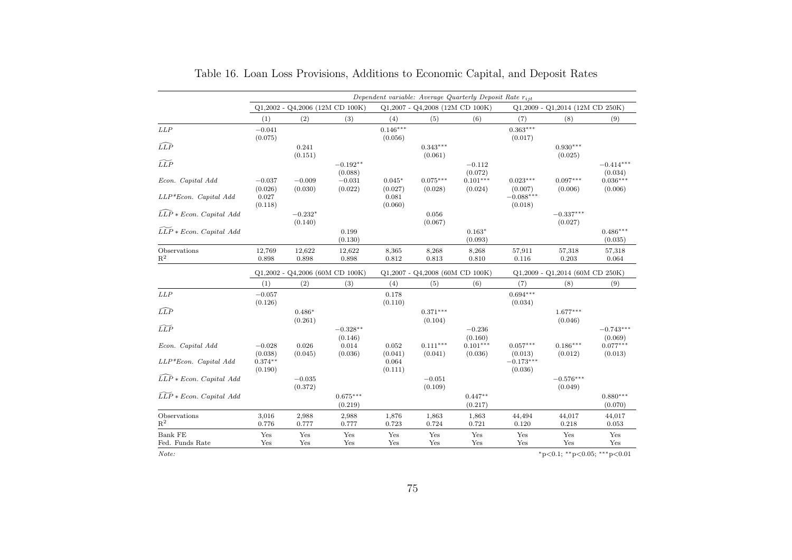|                                       | Dependent variable: Average Quarterly Deposit Rate $r_{ijt}$ |                      |                       |                       |                                   |                       |                        |                                         |                        |
|---------------------------------------|--------------------------------------------------------------|----------------------|-----------------------|-----------------------|-----------------------------------|-----------------------|------------------------|-----------------------------------------|------------------------|
|                                       | $Q1,2002$ - $Q4,2006$ (12M CD 100K)                          |                      |                       |                       | $Q1,2007 - Q4,2008$ (12M CD 100K) |                       |                        | Q1,2009 - Q1,2014 (12M CD 250K)         |                        |
|                                       | (1)                                                          | (2)                  | (3)                   | (4)                   | (5)                               | (6)                   | (7)                    | (8)                                     | (9)                    |
| LLP                                   | $-0.041$<br>(0.075)                                          |                      |                       | $0.146***$<br>(0.056) |                                   |                       | $0.363***$<br>(0.017)  |                                         |                        |
| $\widehat{LLP}$                       |                                                              | 0.241<br>(0.151)     |                       |                       | $0.343***$<br>(0.061)             |                       |                        | $0.930***$<br>(0.025)                   |                        |
| $\widetilde{LLP}$                     |                                                              |                      | $-0.192**$<br>(0.088) |                       |                                   | $-0.112$<br>(0.072)   |                        |                                         | $-0.414***$<br>(0.034) |
| Econ. Capital Add                     | $-0.037$<br>(0.026)                                          | $-0.009$<br>(0.030)  | $-0.031$<br>(0.022)   | $0.045*$<br>(0.027)   | $0.075***$<br>(0.028)             | $0.101***$<br>(0.024) | $0.023***$<br>(0.007)  | $0.097***$<br>(0.006)                   | $0.036***$<br>(0.006)  |
| $LLP*Econ. Capital Add$               | 0.027<br>(0.118)                                             |                      |                       | 0.081<br>(0.060)      |                                   |                       | $-0.088***$<br>(0.018) |                                         |                        |
| $\widehat{LLP} * Econ. Capital Add$   |                                                              | $-0.232*$<br>(0.140) |                       |                       | 0.056<br>(0.067)                  |                       |                        | $-0.337***$<br>(0.027)                  |                        |
| $LLP * Econ. Capital Add$             |                                                              |                      | 0.199<br>(0.130)      |                       |                                   | $0.163*$<br>(0.093)   |                        |                                         | $0.486***$<br>(0.035)  |
| Observations<br>$R^2$                 | 12,769<br>0.898                                              | 12,622<br>0.898      | 12,622<br>0.898       | 8,365<br>0.812        | 8,268<br>0.813                    | 8,268<br>0.810        | 57,911<br>0.116        | 57,318<br>0.203                         | 57,318<br>0.064        |
|                                       | $Q1,2002$ - $Q4,2006$ (60M CD 100K)                          |                      |                       |                       | Q1,2007 - Q4,2008 (60M CD 100K)   |                       |                        | Q1,2009 - Q1,2014 (60M CD 250K)         |                        |
|                                       | (1)                                                          | (2)                  | (3)                   | (4)                   | (5)                               | (6)                   | (7)                    | (8)                                     | (9)                    |
| LLP                                   | $-0.057$<br>(0.126)                                          |                      |                       | 0.178<br>(0.110)      |                                   |                       | $0.694***$<br>(0.034)  |                                         |                        |
| $\widehat{LLP}$                       |                                                              | $0.486*$<br>(0.261)  |                       |                       | $0.371***$<br>(0.104)             |                       |                        | $1.677***$<br>(0.046)                   |                        |
| $\widetilde{LLP}$                     |                                                              |                      | $-0.328**$<br>(0.146) |                       |                                   | $-0.236$<br>(0.160)   |                        |                                         | $-0.743***$<br>(0.069) |
| Econ. Capital Add                     | $-0.028$<br>(0.038)                                          | 0.026<br>(0.045)     | 0.014<br>(0.036)      | 0.052<br>(0.041)      | $0.111***$<br>(0.041)             | $0.101***$<br>(0.036) | $0.057***$<br>(0.013)  | $0.186***$<br>(0.012)                   | $0.077***$<br>(0.013)  |
| LLP*Econ. Capital Add                 | $0.374**$<br>(0.190)                                         |                      |                       | 0.064<br>(0.111)      |                                   |                       | $-0.173***$<br>(0.036) |                                         |                        |
| $\widehat{LLP} * Econ. Capital Add$   |                                                              | $-0.035$<br>(0.372)  |                       |                       | $-0.051$<br>(0.109)               |                       |                        | $-0.576***$<br>(0.049)                  |                        |
| $\widetilde{LLP} * Econ. Capital Add$ |                                                              |                      | $0.675***$<br>(0.219) |                       |                                   | $0.447**$<br>(0.217)  |                        |                                         | $0.880***$<br>(0.070)  |
| Observations<br>$R^2$                 | 3,016<br>0.776                                               | 2,988<br>0.777       | 2,988<br>0.777        | 1,876<br>0.723        | 1,863<br>0.724                    | 1,863<br>0.721        | 44,494<br>0.120        | 44,017<br>0.218                         | 44,017<br>0.053        |
| Bank FE                               | Yes                                                          | Yes                  | Yes                   | Yes                   | Yes                               | Yes                   | Yes                    | Yes                                     | Yes                    |
| Fed. Funds Rate                       | Yes                                                          | Yes                  | Yes                   | Yes                   | Yes                               | Yes                   | Yes                    | Yes                                     | Yes                    |
| Note:                                 |                                                              |                      |                       |                       |                                   |                       |                        | $*_{p<0.1;}$ $*_{p<0.05;}$ $*_{p<0.01}$ |                        |

| Table 16. Loan Loss Provisions, Additions to Economic Capital, and Deposit Rates |  |
|----------------------------------------------------------------------------------|--|
|----------------------------------------------------------------------------------|--|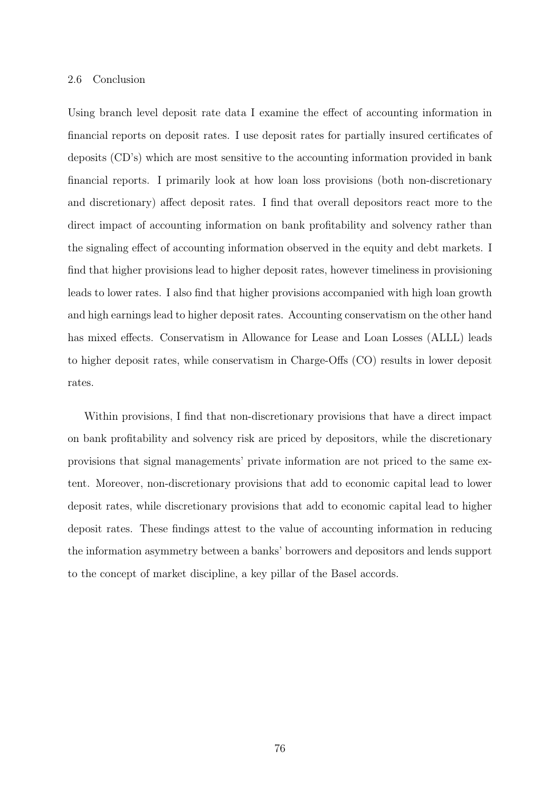#### 2.6 Conclusion

Using branch level deposit rate data I examine the effect of accounting information in financial reports on deposit rates. I use deposit rates for partially insured certificates of deposits (CD's) which are most sensitive to the accounting information provided in bank financial reports. I primarily look at how loan loss provisions (both non-discretionary and discretionary) affect deposit rates. I find that overall depositors react more to the direct impact of accounting information on bank profitability and solvency rather than the signaling effect of accounting information observed in the equity and debt markets. I find that higher provisions lead to higher deposit rates, however timeliness in provisioning leads to lower rates. I also find that higher provisions accompanied with high loan growth and high earnings lead to higher deposit rates. Accounting conservatism on the other hand has mixed effects. Conservatism in Allowance for Lease and Loan Losses (ALLL) leads to higher deposit rates, while conservatism in Charge-Offs (CO) results in lower deposit rates.

Within provisions, I find that non-discretionary provisions that have a direct impact on bank profitability and solvency risk are priced by depositors, while the discretionary provisions that signal managements' private information are not priced to the same extent. Moreover, non-discretionary provisions that add to economic capital lead to lower deposit rates, while discretionary provisions that add to economic capital lead to higher deposit rates. These findings attest to the value of accounting information in reducing the information asymmetry between a banks' borrowers and depositors and lends support to the concept of market discipline, a key pillar of the Basel accords.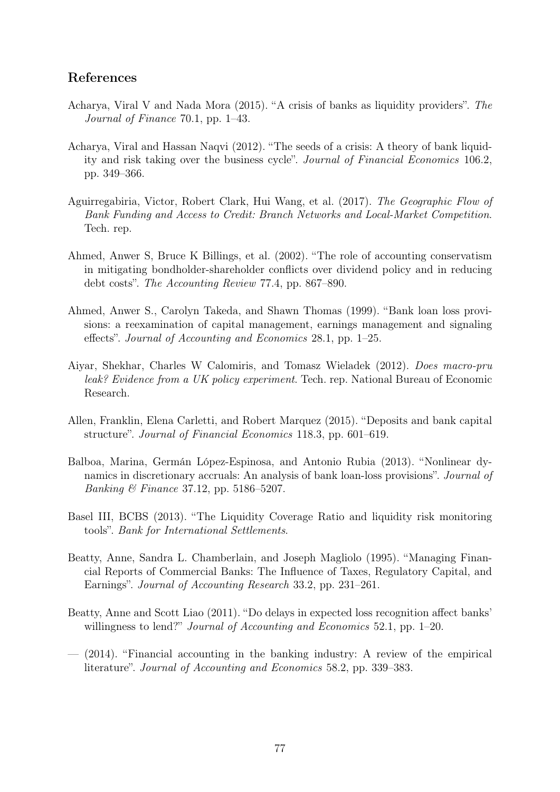## References

- Acharya, Viral V and Nada Mora (2015). "A crisis of banks as liquidity providers". The Journal of Finance 70.1, pp. 1–43.
- Acharya, Viral and Hassan Naqvi (2012). "The seeds of a crisis: A theory of bank liquidity and risk taking over the business cycle". Journal of Financial Economics 106.2, pp. 349–366.
- Aguirregabiria, Victor, Robert Clark, Hui Wang, et al. (2017). The Geographic Flow of Bank Funding and Access to Credit: Branch Networks and Local-Market Competition. Tech. rep.
- Ahmed, Anwer S, Bruce K Billings, et al. (2002). "The role of accounting conservatism in mitigating bondholder-shareholder conflicts over dividend policy and in reducing debt costs". The Accounting Review 77.4, pp. 867–890.
- Ahmed, Anwer S., Carolyn Takeda, and Shawn Thomas (1999). "Bank loan loss provisions: a reexamination of capital management, earnings management and signaling effects". Journal of Accounting and Economics 28.1, pp. 1–25.
- Aiyar, Shekhar, Charles W Calomiris, and Tomasz Wieladek (2012). Does macro-pru leak? Evidence from a UK policy experiment. Tech. rep. National Bureau of Economic Research.
- Allen, Franklin, Elena Carletti, and Robert Marquez (2015). "Deposits and bank capital structure". Journal of Financial Economics 118.3, pp. 601–619.
- Balboa, Marina, Germán López-Espinosa, and Antonio Rubia (2013). "Nonlinear dynamics in discretionary accruals: An analysis of bank loan-loss provisions". Journal of Banking & Finance 37.12, pp. 5186–5207.
- Basel III, BCBS (2013). "The Liquidity Coverage Ratio and liquidity risk monitoring tools". Bank for International Settlements.
- Beatty, Anne, Sandra L. Chamberlain, and Joseph Magliolo (1995). "Managing Financial Reports of Commercial Banks: The Influence of Taxes, Regulatory Capital, and Earnings". Journal of Accounting Research 33.2, pp. 231–261.
- Beatty, Anne and Scott Liao (2011). "Do delays in expected loss recognition affect banks' willingness to lend?" *Journal of Accounting and Economics* 52.1, pp. 1–20.
- $-$  (2014). "Financial accounting in the banking industry: A review of the empirical literature". Journal of Accounting and Economics 58.2, pp. 339–383.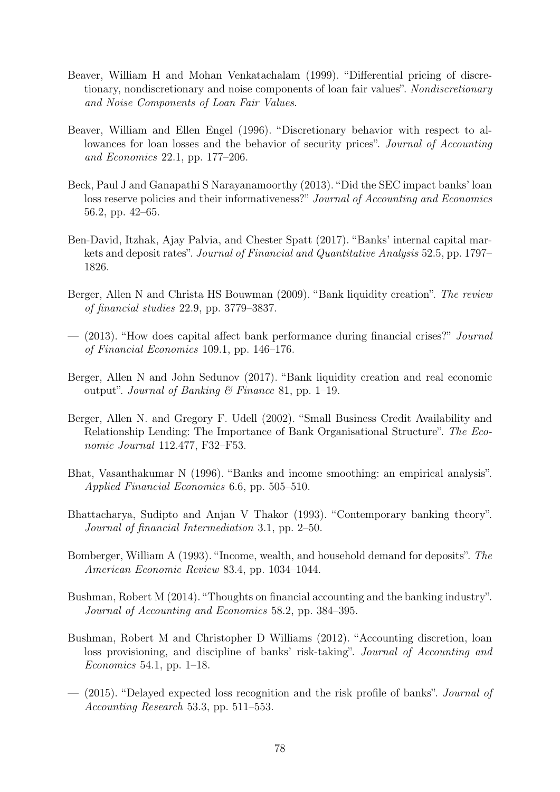- Beaver, William H and Mohan Venkatachalam (1999). "Differential pricing of discretionary, nondiscretionary and noise components of loan fair values". Nondiscretionary and Noise Components of Loan Fair Values.
- Beaver, William and Ellen Engel (1996). "Discretionary behavior with respect to allowances for loan losses and the behavior of security prices". Journal of Accounting and Economics 22.1, pp. 177–206.
- Beck, Paul J and Ganapathi S Narayanamoorthy (2013). "Did the SEC impact banks' loan loss reserve policies and their informativeness?" Journal of Accounting and Economics 56.2, pp. 42–65.
- Ben-David, Itzhak, Ajay Palvia, and Chester Spatt (2017). "Banks' internal capital markets and deposit rates". Journal of Financial and Quantitative Analysis 52.5, pp. 1797– 1826.
- Berger, Allen N and Christa HS Bouwman (2009). "Bank liquidity creation". The review of financial studies 22.9, pp. 3779–3837.
- (2013). "How does capital affect bank performance during financial crises?" Journal of Financial Economics 109.1, pp. 146–176.
- Berger, Allen N and John Sedunov (2017). "Bank liquidity creation and real economic output". Journal of Banking & Finance 81, pp. 1–19.
- Berger, Allen N. and Gregory F. Udell (2002). "Small Business Credit Availability and Relationship Lending: The Importance of Bank Organisational Structure". The Economic Journal 112.477, F32–F53.
- Bhat, Vasanthakumar N (1996). "Banks and income smoothing: an empirical analysis". Applied Financial Economics 6.6, pp. 505–510.
- Bhattacharya, Sudipto and Anjan V Thakor (1993). "Contemporary banking theory". Journal of financial Intermediation 3.1, pp. 2–50.
- Bomberger, William A (1993). "Income, wealth, and household demand for deposits". The American Economic Review 83.4, pp. 1034–1044.
- Bushman, Robert M (2014). "Thoughts on financial accounting and the banking industry". Journal of Accounting and Economics 58.2, pp. 384–395.
- Bushman, Robert M and Christopher D Williams (2012). "Accounting discretion, loan loss provisioning, and discipline of banks' risk-taking". Journal of Accounting and Economics 54.1, pp. 1–18.
- (2015). "Delayed expected loss recognition and the risk profile of banks". Journal of Accounting Research 53.3, pp. 511–553.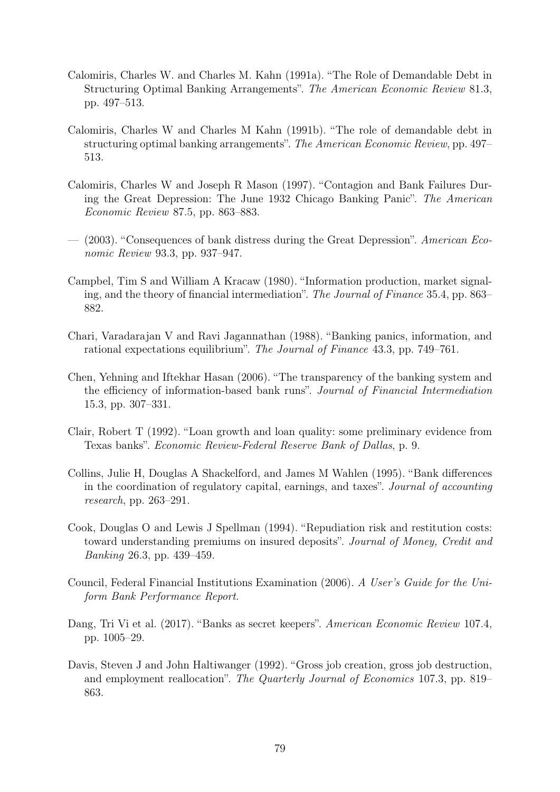- Calomiris, Charles W. and Charles M. Kahn (1991a). "The Role of Demandable Debt in Structuring Optimal Banking Arrangements". The American Economic Review 81.3, pp. 497–513.
- Calomiris, Charles W and Charles M Kahn (1991b). "The role of demandable debt in structuring optimal banking arrangements". The American Economic Review, pp. 497– 513.
- Calomiris, Charles W and Joseph R Mason (1997). "Contagion and Bank Failures During the Great Depression: The June 1932 Chicago Banking Panic". The American Economic Review 87.5, pp. 863–883.
- (2003). "Consequences of bank distress during the Great Depression". American Economic Review 93.3, pp. 937–947.
- Campbel, Tim S and William A Kracaw (1980). "Information production, market signaling, and the theory of financial intermediation". The Journal of Finance 35.4, pp. 863– 882.
- Chari, Varadarajan V and Ravi Jagannathan (1988). "Banking panics, information, and rational expectations equilibrium". The Journal of Finance 43.3, pp. 749–761.
- Chen, Yehning and Iftekhar Hasan (2006). "The transparency of the banking system and the efficiency of information-based bank runs". Journal of Financial Intermediation 15.3, pp. 307–331.
- Clair, Robert T (1992). "Loan growth and loan quality: some preliminary evidence from Texas banks". Economic Review-Federal Reserve Bank of Dallas, p. 9.
- Collins, Julie H, Douglas A Shackelford, and James M Wahlen (1995). "Bank differences in the coordination of regulatory capital, earnings, and taxes". Journal of accounting research, pp. 263–291.
- Cook, Douglas O and Lewis J Spellman (1994). "Repudiation risk and restitution costs: toward understanding premiums on insured deposits". Journal of Money, Credit and Banking 26.3, pp. 439–459.
- Council, Federal Financial Institutions Examination (2006). A User's Guide for the Uniform Bank Performance Report.
- Dang, Tri Vi et al. (2017). "Banks as secret keepers". American Economic Review 107.4, pp. 1005–29.
- Davis, Steven J and John Haltiwanger (1992). "Gross job creation, gross job destruction, and employment reallocation". The Quarterly Journal of Economics 107.3, pp. 819– 863.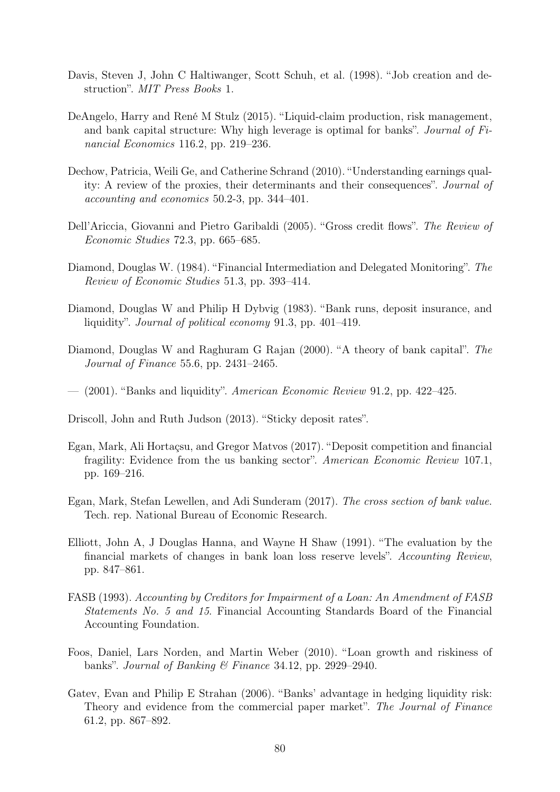- Davis, Steven J, John C Haltiwanger, Scott Schuh, et al. (1998). "Job creation and destruction". MIT Press Books 1.
- DeAngelo, Harry and René M Stulz (2015). "Liquid-claim production, risk management, and bank capital structure: Why high leverage is optimal for banks". Journal of Financial Economics 116.2, pp. 219–236.
- Dechow, Patricia, Weili Ge, and Catherine Schrand (2010). "Understanding earnings quality: A review of the proxies, their determinants and their consequences". Journal of accounting and economics 50.2-3, pp. 344–401.
- Dell'Ariccia, Giovanni and Pietro Garibaldi (2005). "Gross credit flows". The Review of Economic Studies 72.3, pp. 665–685.
- Diamond, Douglas W. (1984). "Financial Intermediation and Delegated Monitoring". The Review of Economic Studies 51.3, pp. 393–414.
- Diamond, Douglas W and Philip H Dybvig (1983). "Bank runs, deposit insurance, and liquidity". Journal of political economy 91.3, pp. 401–419.
- Diamond, Douglas W and Raghuram G Rajan (2000). "A theory of bank capital". The Journal of Finance 55.6, pp. 2431–2465.
- $-$  (2001). "Banks and liquidity". American Economic Review 91.2, pp. 422–425.
- Driscoll, John and Ruth Judson (2013). "Sticky deposit rates".
- Egan, Mark, Ali Hortaçsu, and Gregor Matvos (2017). "Deposit competition and financial fragility: Evidence from the us banking sector". American Economic Review 107.1, pp. 169–216.
- Egan, Mark, Stefan Lewellen, and Adi Sunderam (2017). The cross section of bank value. Tech. rep. National Bureau of Economic Research.
- Elliott, John A, J Douglas Hanna, and Wayne H Shaw (1991). "The evaluation by the financial markets of changes in bank loan loss reserve levels". Accounting Review, pp. 847–861.
- FASB (1993). Accounting by Creditors for Impairment of a Loan: An Amendment of FASB Statements No. 5 and 15. Financial Accounting Standards Board of the Financial Accounting Foundation.
- Foos, Daniel, Lars Norden, and Martin Weber (2010). "Loan growth and riskiness of banks". Journal of Banking & Finance 34.12, pp. 2929–2940.
- Gatev, Evan and Philip E Strahan (2006). "Banks' advantage in hedging liquidity risk: Theory and evidence from the commercial paper market". The Journal of Finance 61.2, pp. 867–892.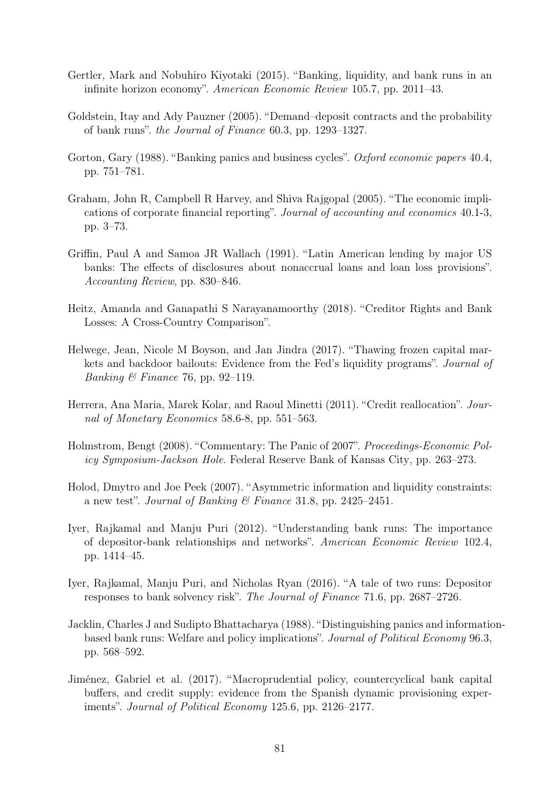- Gertler, Mark and Nobuhiro Kiyotaki (2015). "Banking, liquidity, and bank runs in an infinite horizon economy". American Economic Review 105.7, pp. 2011–43.
- Goldstein, Itay and Ady Pauzner (2005). "Demand–deposit contracts and the probability of bank runs". the Journal of Finance 60.3, pp. 1293–1327.
- Gorton, Gary (1988). "Banking panics and business cycles". Oxford economic papers 40.4, pp. 751–781.
- Graham, John R, Campbell R Harvey, and Shiva Rajgopal (2005). "The economic implications of corporate financial reporting". Journal of accounting and economics 40.1-3, pp. 3–73.
- Griffin, Paul A and Samoa JR Wallach (1991). "Latin American lending by major US banks: The effects of disclosures about nonaccrual loans and loan loss provisions". Accounting Review, pp. 830–846.
- Heitz, Amanda and Ganapathi S Narayanamoorthy (2018). "Creditor Rights and Bank Losses: A Cross-Country Comparison".
- Helwege, Jean, Nicole M Boyson, and Jan Jindra (2017). "Thawing frozen capital markets and backdoor bailouts: Evidence from the Fed's liquidity programs". Journal of *Banking*  $\&$  Finance 76, pp. 92–119.
- Herrera, Ana Maria, Marek Kolar, and Raoul Minetti (2011). "Credit reallocation". Journal of Monetary Economics 58.6-8, pp. 551–563.
- Holmstrom, Bengt (2008). "Commentary: The Panic of 2007". Proceedings-Economic Policy Symposium-Jackson Hole. Federal Reserve Bank of Kansas City, pp. 263–273.
- Holod, Dmytro and Joe Peek (2007). "Asymmetric information and liquidity constraints: a new test". Journal of Banking & Finance 31.8, pp. 2425–2451.
- Iyer, Rajkamal and Manju Puri (2012). "Understanding bank runs: The importance of depositor-bank relationships and networks". American Economic Review 102.4, pp. 1414–45.
- Iyer, Rajkamal, Manju Puri, and Nicholas Ryan (2016). "A tale of two runs: Depositor responses to bank solvency risk". The Journal of Finance 71.6, pp. 2687–2726.
- Jacklin, Charles J and Sudipto Bhattacharya (1988). "Distinguishing panics and informationbased bank runs: Welfare and policy implications". Journal of Political Economy 96.3, pp. 568–592.
- Jiménez, Gabriel et al. (2017). "Macroprudential policy, countercyclical bank capital buffers, and credit supply: evidence from the Spanish dynamic provisioning experiments". Journal of Political Economy 125.6, pp. 2126–2177.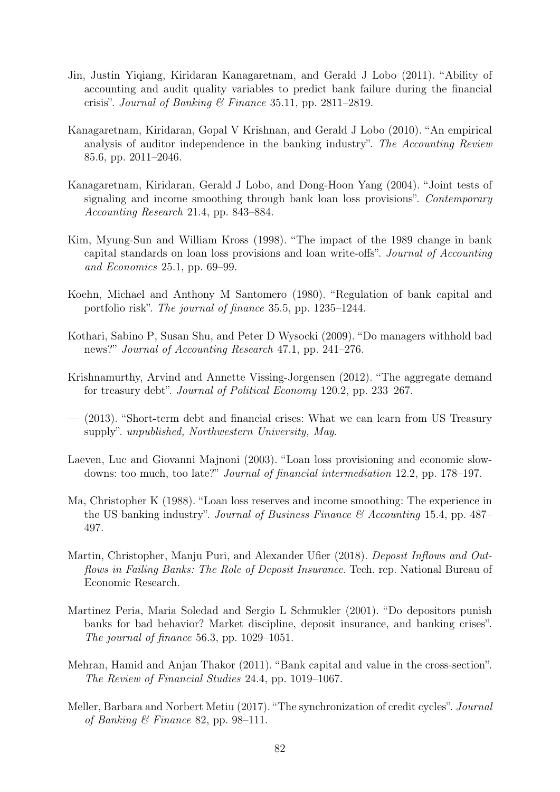- Jin, Justin Yiqiang, Kiridaran Kanagaretnam, and Gerald J Lobo (2011). "Ability of accounting and audit quality variables to predict bank failure during the financial crisis". Journal of Banking & Finance 35.11, pp. 2811–2819.
- Kanagaretnam, Kiridaran, Gopal V Krishnan, and Gerald J Lobo (2010). "An empirical analysis of auditor independence in the banking industry". The Accounting Review 85.6, pp. 2011–2046.
- Kanagaretnam, Kiridaran, Gerald J Lobo, and Dong-Hoon Yang (2004). "Joint tests of signaling and income smoothing through bank loan loss provisions". Contemporary Accounting Research 21.4, pp. 843–884.
- Kim, Myung-Sun and William Kross (1998). "The impact of the 1989 change in bank capital standards on loan loss provisions and loan write-offs". Journal of Accounting and Economics 25.1, pp. 69–99.
- Koehn, Michael and Anthony M Santomero (1980). "Regulation of bank capital and portfolio risk". The journal of finance 35.5, pp. 1235–1244.
- Kothari, Sabino P, Susan Shu, and Peter D Wysocki (2009). "Do managers withhold bad news?" Journal of Accounting Research 47.1, pp. 241–276.
- Krishnamurthy, Arvind and Annette Vissing-Jorgensen (2012). "The aggregate demand for treasury debt". Journal of Political Economy 120.2, pp. 233–267.
- (2013). "Short-term debt and financial crises: What we can learn from US Treasury supply". unpublished, Northwestern University, May.
- Laeven, Luc and Giovanni Majnoni (2003). "Loan loss provisioning and economic slowdowns: too much, too late?" Journal of financial intermediation 12.2, pp. 178–197.
- Ma, Christopher K (1988). "Loan loss reserves and income smoothing: The experience in the US banking industry". Journal of Business Finance  $\mathcal{B}$  Accounting 15.4, pp. 487– 497.
- Martin, Christopher, Manju Puri, and Alexander Ufier (2018). Deposit Inflows and Outflows in Failing Banks: The Role of Deposit Insurance. Tech. rep. National Bureau of Economic Research.
- Martinez Peria, Maria Soledad and Sergio L Schmukler (2001). "Do depositors punish banks for bad behavior? Market discipline, deposit insurance, and banking crises". The journal of finance 56.3, pp. 1029–1051.
- Mehran, Hamid and Anjan Thakor (2011). "Bank capital and value in the cross-section". The Review of Financial Studies 24.4, pp. 1019–1067.
- Meller, Barbara and Norbert Metiu (2017). "The synchronization of credit cycles". Journal of Banking & Finance 82, pp. 98–111.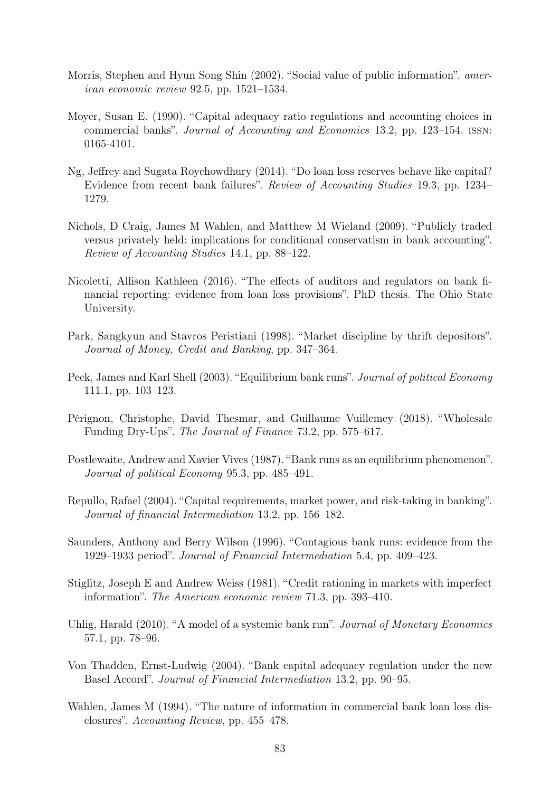- Morris, Stephen and Hyun Song Shin (2002). "Social value of public information". american economic review 92.5, pp. 1521–1534.
- Moyer, Susan E. (1990). "Capital adequacy ratio regulations and accounting choices in commercial banks". Journal of Accounting and Economics 13.2, pp. 123–154. issn: 0165-4101.
- Ng, Jeffrey and Sugata Roychowdhury (2014). "Do loan loss reserves behave like capital? Evidence from recent bank failures". Review of Accounting Studies 19.3, pp. 1234– 1279.
- Nichols, D Craig, James M Wahlen, and Matthew M Wieland (2009). "Publicly traded versus privately held: implications for conditional conservatism in bank accounting". Review of Accounting Studies 14.1, pp. 88–122.
- Nicoletti, Allison Kathleen (2016). "The effects of auditors and regulators on bank financial reporting: evidence from loan loss provisions". PhD thesis. The Ohio State University.
- Park, Sangkyun and Stavros Peristiani (1998). "Market discipline by thrift depositors". Journal of Money, Credit and Banking, pp. 347–364.
- Peck, James and Karl Shell (2003). "Equilibrium bank runs". Journal of political Economy 111.1, pp. 103–123.
- Pérignon, Christophe, David Thesmar, and Guillaume Vuillemey (2018). "Wholesale Funding Dry-Ups". The Journal of Finance 73.2, pp. 575–617.
- Postlewaite, Andrew and Xavier Vives (1987). "Bank runs as an equilibrium phenomenon". Journal of political Economy 95.3, pp. 485–491.
- Repullo, Rafael (2004). "Capital requirements, market power, and risk-taking in banking". Journal of financial Intermediation 13.2, pp. 156–182.
- Saunders, Anthony and Berry Wilson (1996). "Contagious bank runs: evidence from the 1929–1933 period". Journal of Financial Intermediation 5.4, pp. 409–423.
- Stiglitz, Joseph E and Andrew Weiss (1981). "Credit rationing in markets with imperfect information". The American economic review 71.3, pp. 393–410.
- Uhlig, Harald (2010). "A model of a systemic bank run". *Journal of Monetary Economics* 57.1, pp. 78–96.
- Von Thadden, Ernst-Ludwig (2004). "Bank capital adequacy regulation under the new Basel Accord". Journal of Financial Intermediation 13.2, pp. 90–95.
- Wahlen, James M (1994). "The nature of information in commercial bank loan loss disclosures". Accounting Review, pp. 455–478.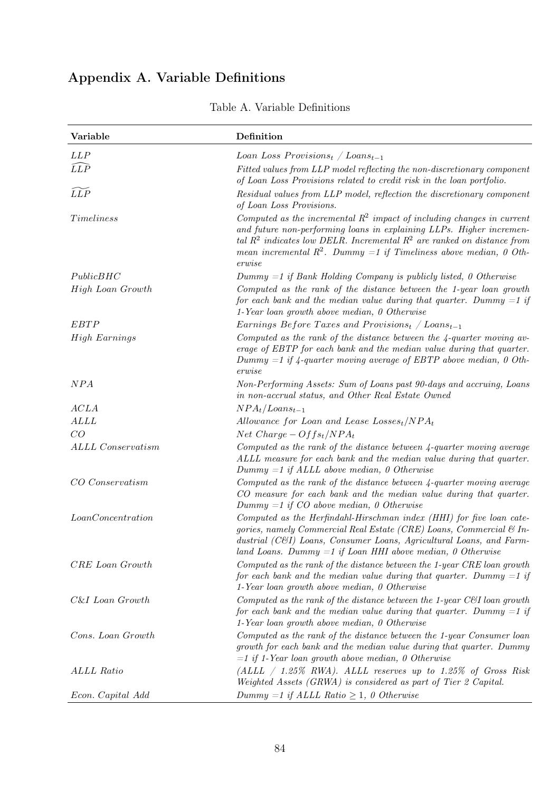# Appendix A. Variable Definitions

| Variable                 | Definition                                                                                                                                                                                                                                                                                                        |
|--------------------------|-------------------------------------------------------------------------------------------------------------------------------------------------------------------------------------------------------------------------------------------------------------------------------------------------------------------|
| LLP                      | Loan Loss Provisions <sub>t</sub> / Loans <sub>t-1</sub>                                                                                                                                                                                                                                                          |
| $\widehat{LLP}$          | Fitted values from LLP model reflecting the non-discretionary component<br>of Loan Loss Provisions related to credit risk in the loan portfolio.                                                                                                                                                                  |
| LLP                      | Residual values from LLP model, reflection the discretionary component<br>of Loan Loss Provisions.                                                                                                                                                                                                                |
| Timeliness               | Computed as the incremental $R^2$ impact of including changes in current<br>and future non-performing loans in explaining LLPs. Higher incremen-<br>tal $R^2$ indicates low DELR. Incremental $R^2$ are ranked on distance from<br>mean incremental $R^2$ . Dummy =1 if Timeliness above median, 0 Oth-<br>erwise |
| PublicBHC                | $Dummy = 1$ if Bank Holding Company is publicly listed, 0 Otherwise                                                                                                                                                                                                                                               |
| High Loan Growth         | Computed as the rank of the distance between the 1-year loan growth<br>for each bank and the median value during that quarter. Dummy $=1$ if<br>$1$ -Year loan growth above median, $0$ Otherwise                                                                                                                 |
| <i>EBTP</i>              | Earnings Before Taxes and Provisions <sub>t</sub> / Loans <sub>t-1</sub>                                                                                                                                                                                                                                          |
| <b>High Earnings</b>     | Computed as the rank of the distance between the $\frac{1}{4}$ -quarter moving av-<br>erage of EBTP for each bank and the median value during that quarter.<br>Dummy $=1$ if $4$ -quarter moving average of EBTP above median, 0 Oth-<br>erwise                                                                   |
| NPA                      | Non-Performing Assets: Sum of Loans past 90-days and accruing, Loans<br>in non-accrual status, and Other Real Estate Owned                                                                                                                                                                                        |
| ACLA                     | $NPA_t/Loans_{t-1}$                                                                                                                                                                                                                                                                                               |
| ALL                      | Allowance for Loan and Lease $Loss_{t}/NPA_{t}$                                                                                                                                                                                                                                                                   |
| CO                       | Net Charge $-Offs_t/NPA_t$                                                                                                                                                                                                                                                                                        |
| <b>ALLL Conservatism</b> | Computed as the rank of the distance between $4$ -quarter moving average<br>ALLL measure for each bank and the median value during that quarter.<br>$Dummy = 1$ if ALLL above median, 0 Otherwise                                                                                                                 |
| CO Conservatism          | Computed as the rank of the distance between 4-quarter moving average<br>CO measure for each bank and the median value during that quarter.<br>Dummy $=1$ if CO above median, 0 Otherwise                                                                                                                         |
| LoanConcentration        | Computed as the Herfindahl-Hirschman index (HHI) for five loan cate-<br>gories, namely Commercial Real Estate (CRE) Loans, Commercial & In-<br>dustrial (C&I) Loans, Consumer Loans, Agricultural Loans, and Farm-<br>land Loans. Dummy $=1$ if Loan HHI above median, 0 Otherwise                                |
| CRE Loan Growth          | Computed as the rank of the distance between the 1-year CRE loan growth<br>for each bank and the median value during that quarter. Dummy $=1$ if<br>$1$ -Year loan growth above median, $0$ Otherwise                                                                                                             |
| C&I Loan Growth          | Computed as the rank of the distance between the 1-year C&I loan growth<br>for each bank and the median value during that quarter. Dummy $=1$ if<br>$1$ -Year loan growth above median, $0$ Otherwise                                                                                                             |
| Cons. Loan Growth        | Computed as the rank of the distance between the 1-year Consumer loan<br>growth for each bank and the median value during that quarter. Dummy<br>$=1$ if 1-Year loan growth above median, 0 Otherwise                                                                                                             |
| ALLL Ratio               | $(ALLL \ / \ 1.25\% \ RWA).$ ALLL reserves up to 1.25% of Gross Risk<br>Weighted Assets (GRWA) is considered as part of Tier 2 Capital.                                                                                                                                                                           |
| Econ. Capital Add        | Dummy =1 if ALLL Ratio $\geq$ 1, 0 Otherwise                                                                                                                                                                                                                                                                      |

## Table A. Variable Definitions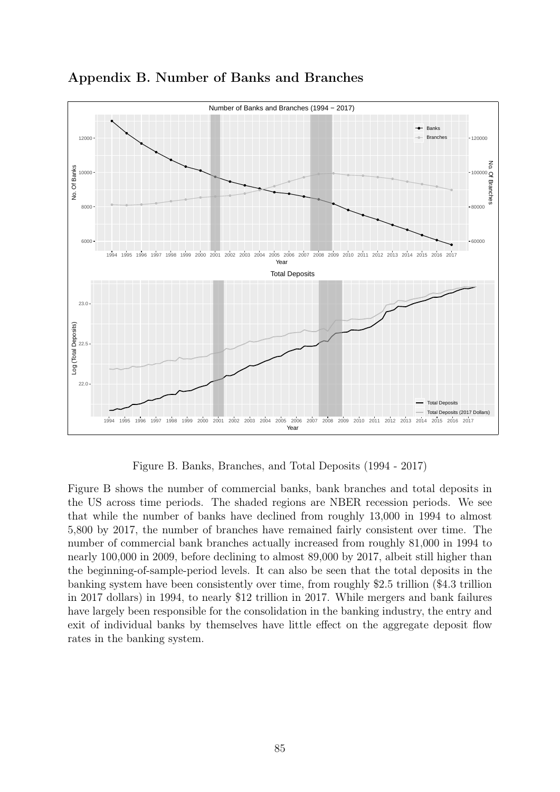

Appendix B. Number of Banks and Branches

Figure B. Banks, Branches, and Total Deposits (1994 - 2017)

Figure B shows the number of commercial banks, bank branches and total deposits in the US across time periods. The shaded regions are NBER recession periods. We see that while the number of banks have declined from roughly 13,000 in 1994 to almost 5,800 by 2017, the number of branches have remained fairly consistent over time. The number of commercial bank branches actually increased from roughly 81,000 in 1994 to nearly 100,000 in 2009, before declining to almost 89,000 by 2017, albeit still higher than the beginning-of-sample-period levels. It can also be seen that the total deposits in the banking system have been consistently over time, from roughly \$2.5 trillion (\$4.3 trillion in 2017 dollars) in 1994, to nearly \$12 trillion in 2017. While mergers and bank failures have largely been responsible for the consolidation in the banking industry, the entry and exit of individual banks by themselves have little effect on the aggregate deposit flow rates in the banking system.